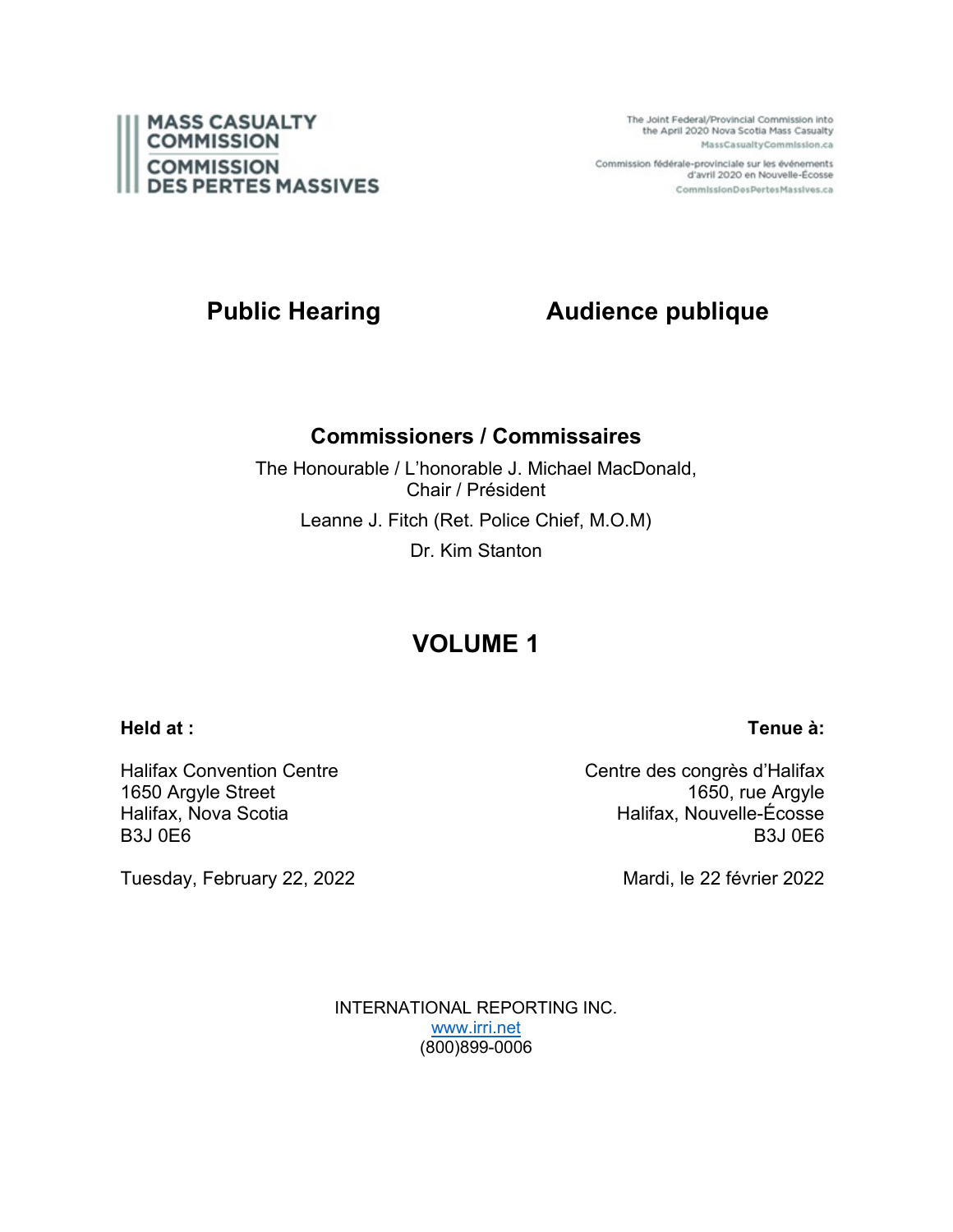

The Joint Federal/Provincial Commission into the April 2020 Nova Scotia Mass Casualty MassCasualtyCommission.ca

Commission fédérale-provinciale sur les événements d'avril 2020 en Nouvelle-Écosse CommissionDesPertesMassives.ca

# **Public Hearing Audience publique**

### **Commissioners / Commissaires**

The Honourable / L'honorable J. Michael MacDonald, Chair / Président Leanne J. Fitch (Ret. Police Chief, M.O.M) Dr. Kim Stanton

# **VOLUME 1**

### **Held at :**

Halifax Convention Centre 1650 Argyle Street Halifax, Nova Scotia B3J 0E6

Tuesday, February 22, 2022

Centre des congrès d'Halifax 1650, rue Argyle Halifax, Nouvelle-Écosse B3J 0E6

Mardi, le 22 février 2022

INTERNATIONAL REPORTING INC. [www.irri.net](http://www.irri.net/) (800)899-0006

### **Tenue à:**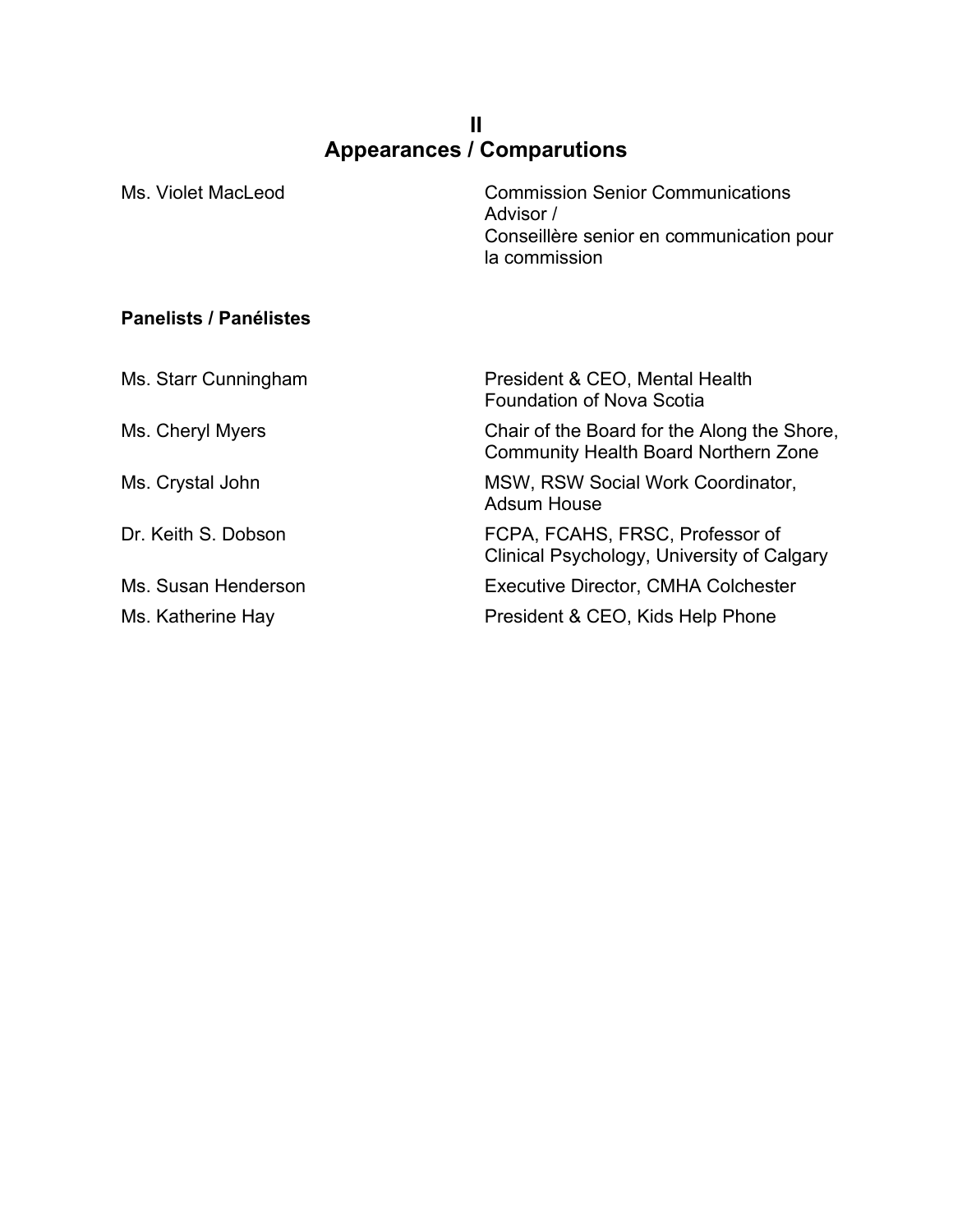### **II Appearances / Comparutions**

| Ms. Violet MacLeod            | <b>Commission Senior Communications</b><br>Advisor /<br>Conseillère senior en communication pour<br>la commission |
|-------------------------------|-------------------------------------------------------------------------------------------------------------------|
| <b>Panelists / Panélistes</b> |                                                                                                                   |
| Ms. Starr Cunningham          | President & CEO, Mental Health<br><b>Foundation of Nova Scotia</b>                                                |
| Ms. Cheryl Myers              | Chair of the Board for the Along the Shore,<br><b>Community Health Board Northern Zone</b>                        |
| Ms. Crystal John              | MSW, RSW Social Work Coordinator,<br><b>Adsum House</b>                                                           |
| Dr. Keith S. Dobson           | FCPA, FCAHS, FRSC, Professor of<br>Clinical Psychology, University of Calgary                                     |
| Ms. Susan Henderson           | <b>Executive Director, CMHA Colchester</b>                                                                        |
| Ms. Katherine Hay             | President & CEO, Kids Help Phone                                                                                  |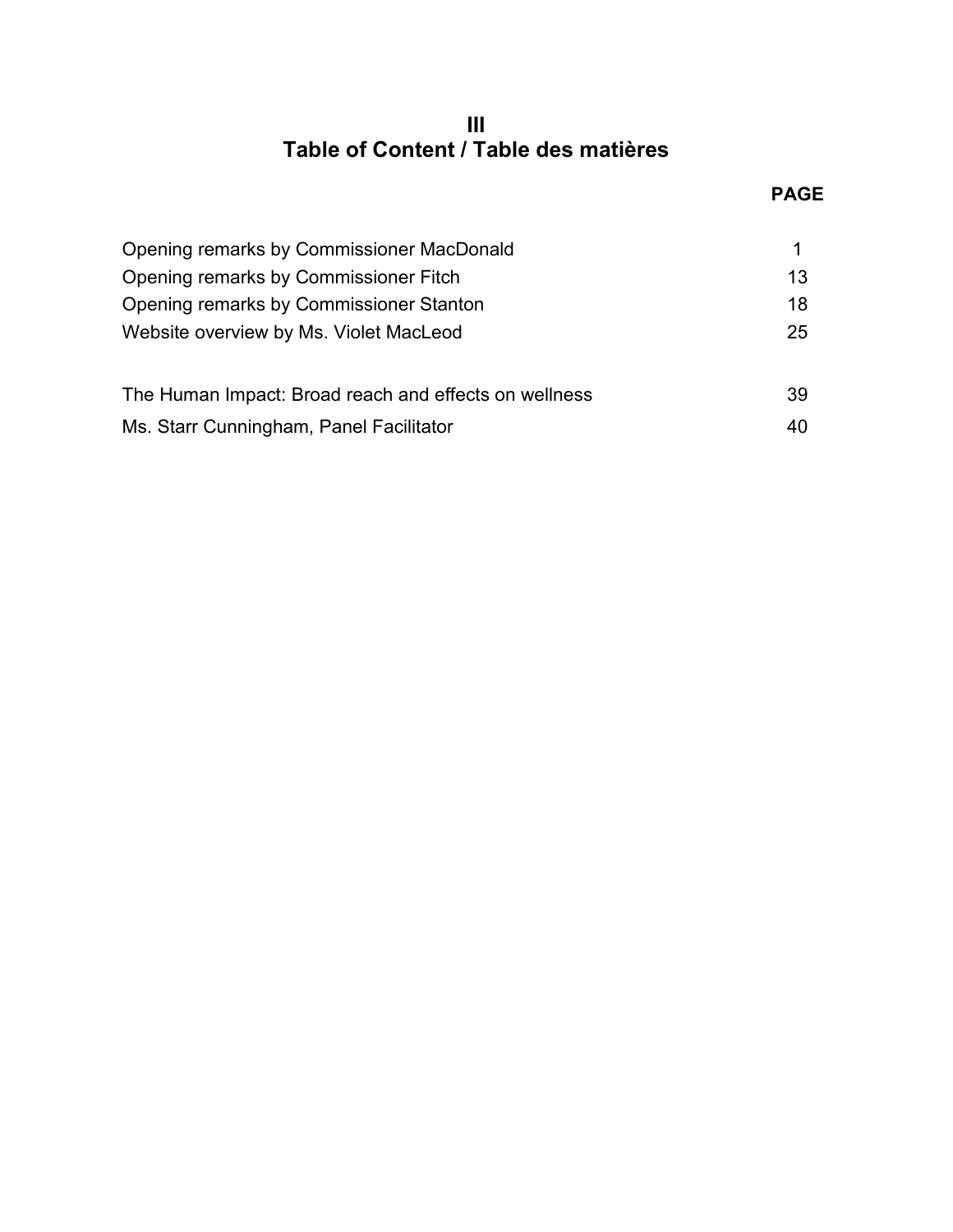## **III Table of Content / Table des matières**

| Opening remarks by Commissioner MacDonald             |    |
|-------------------------------------------------------|----|
| Opening remarks by Commissioner Fitch                 | 13 |
| Opening remarks by Commissioner Stanton               | 18 |
| Website overview by Ms. Violet MacLeod                | 25 |
| The Human Impact: Broad reach and effects on wellness | 39 |
| Ms. Starr Cunningham, Panel Facilitator               | 40 |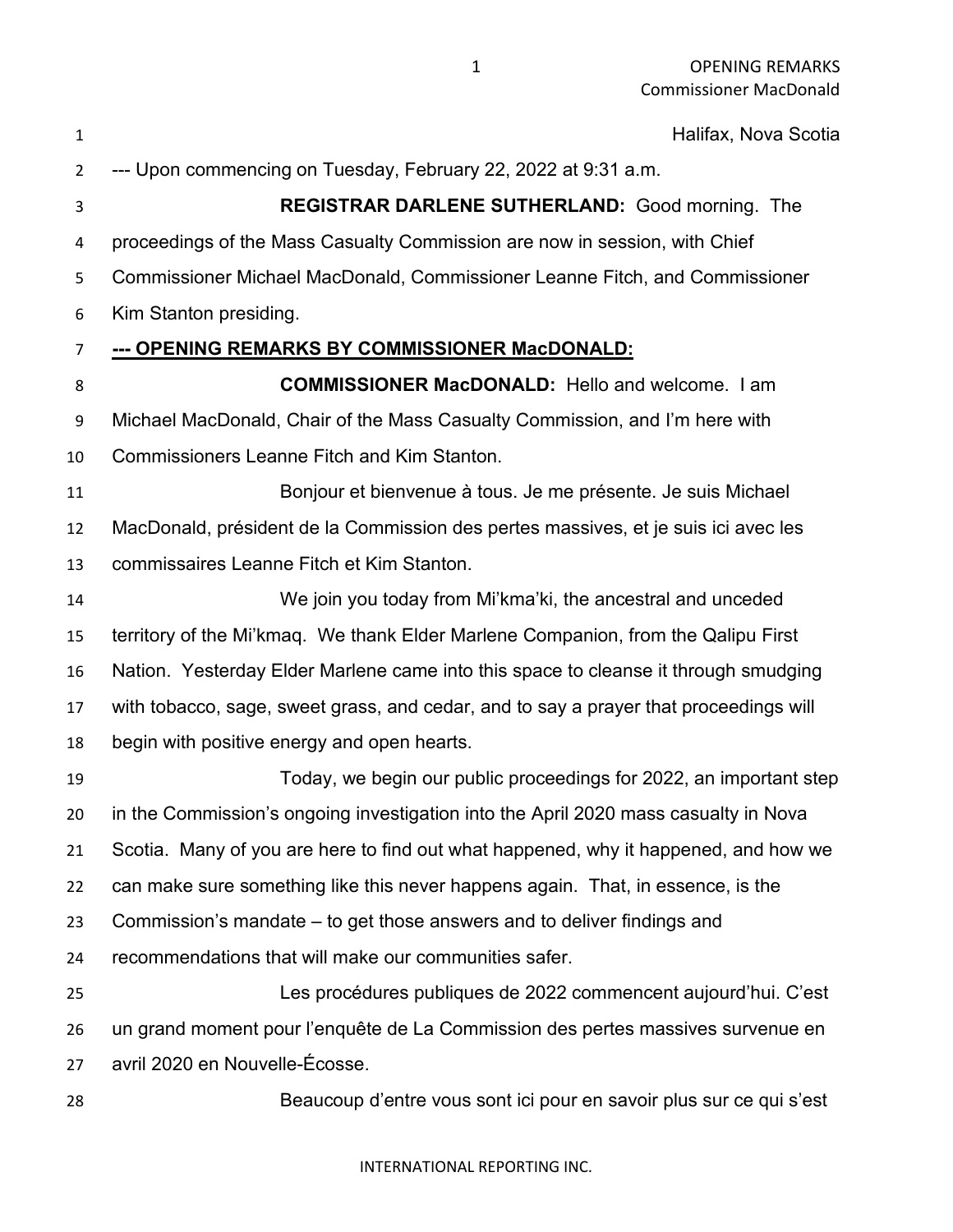| $\mathbf{1}$   | Halifax, Nova Scotia                                                                  |
|----------------|---------------------------------------------------------------------------------------|
| $\overline{2}$ | --- Upon commencing on Tuesday, February 22, 2022 at 9:31 a.m.                        |
| 3              | <b>REGISTRAR DARLENE SUTHERLAND: Good morning. The</b>                                |
| 4              | proceedings of the Mass Casualty Commission are now in session, with Chief            |
| 5              | Commissioner Michael MacDonald, Commissioner Leanne Fitch, and Commissioner           |
| 6              | Kim Stanton presiding.                                                                |
| 7              | --- OPENING REMARKS BY COMMISSIONER MacDONALD:                                        |
| 8              | <b>COMMISSIONER MacDONALD:</b> Hello and welcome. I am                                |
| 9              | Michael MacDonald, Chair of the Mass Casualty Commission, and I'm here with           |
| 10             | <b>Commissioners Leanne Fitch and Kim Stanton.</b>                                    |
| 11             | Bonjour et bienvenue à tous. Je me présente. Je suis Michael                          |
| 12             | MacDonald, président de la Commission des pertes massives, et je suis ici avec les    |
| 13             | commissaires Leanne Fitch et Kim Stanton.                                             |
| 14             | We join you today from Mi'kma'ki, the ancestral and unceded                           |
| 15             | territory of the Mi'kmaq. We thank Elder Marlene Companion, from the Qalipu First     |
| 16             | Nation. Yesterday Elder Marlene came into this space to cleanse it through smudging   |
| 17             | with tobacco, sage, sweet grass, and cedar, and to say a prayer that proceedings will |
| 18             | begin with positive energy and open hearts.                                           |
| 19             | Today, we begin our public proceedings for 2022, an important step                    |
| 20             | in the Commission's ongoing investigation into the April 2020 mass casualty in Nova   |
| 21             | Scotia. Many of you are here to find out what happened, why it happened, and how we   |
| 22             | can make sure something like this never happens again. That, in essence, is the       |
| 23             | Commission's mandate – to get those answers and to deliver findings and               |
| 24             | recommendations that will make our communities safer.                                 |
| 25             | Les procédures publiques de 2022 commencent aujourd'hui. C'est                        |
| 26             | un grand moment pour l'enquête de La Commission des pertes massives survenue en       |
| 27             | avril 2020 en Nouvelle-Écosse.                                                        |
| 28             | Beaucoup d'entre vous sont ici pour en savoir plus sur ce qui s'est                   |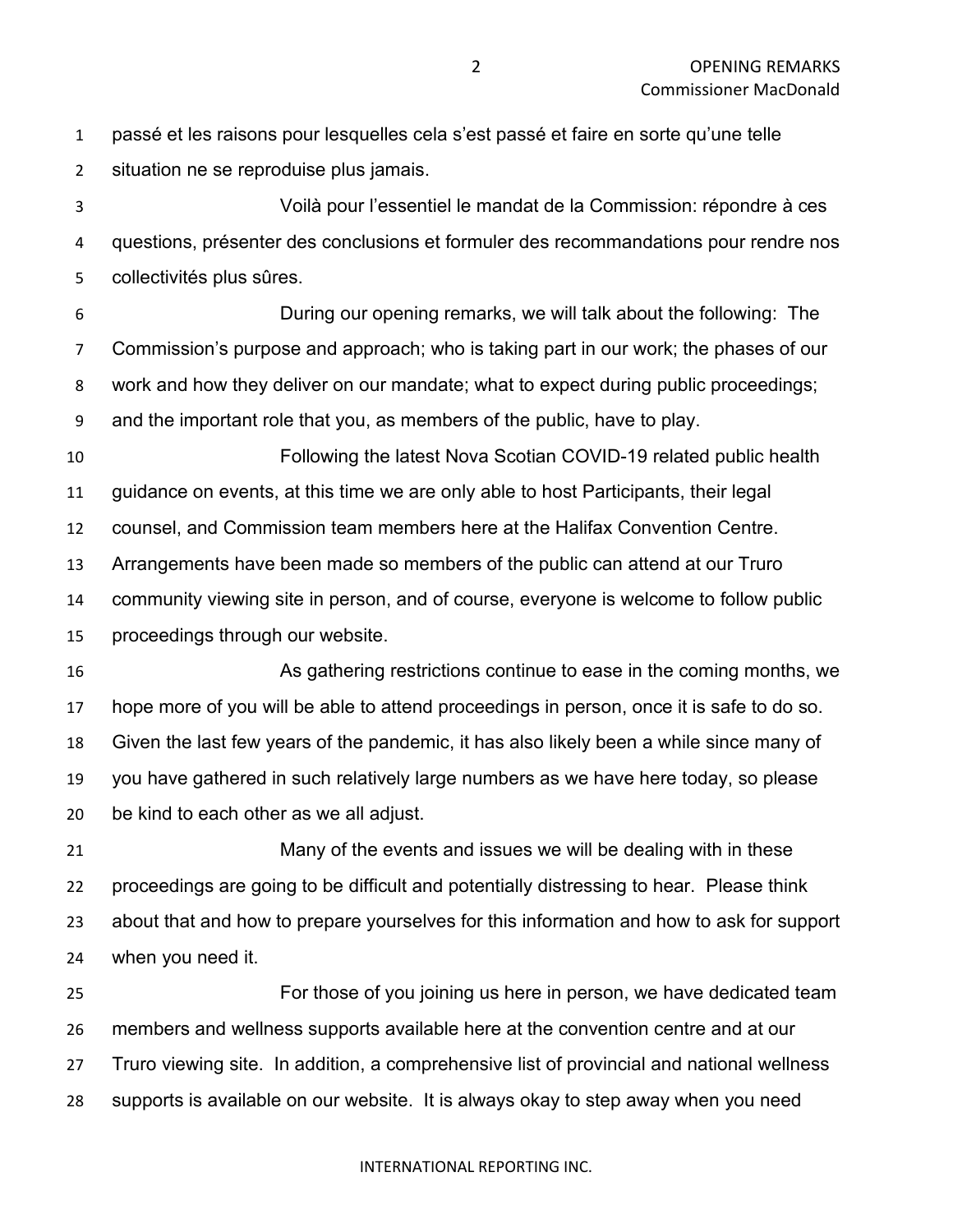passé et les raisons pour lesquelles cela s'est passé et faire en sorte qu'une telle situation ne se reproduise plus jamais.

 Voilà pour l'essentiel le mandat de la Commission: répondre à ces questions, présenter des conclusions et formuler des recommandations pour rendre nos collectivités plus sûres.

 During our opening remarks, we will talk about the following: The Commission's purpose and approach; who is taking part in our work; the phases of our work and how they deliver on our mandate; what to expect during public proceedings; and the important role that you, as members of the public, have to play.

 Following the latest Nova Scotian COVID-19 related public health guidance on events, at this time we are only able to host Participants, their legal counsel, and Commission team members here at the Halifax Convention Centre.

Arrangements have been made so members of the public can attend at our Truro

community viewing site in person, and of course, everyone is welcome to follow public

proceedings through our website.

 As gathering restrictions continue to ease in the coming months, we hope more of you will be able to attend proceedings in person, once it is safe to do so. Given the last few years of the pandemic, it has also likely been a while since many of you have gathered in such relatively large numbers as we have here today, so please be kind to each other as we all adjust.

 Many of the events and issues we will be dealing with in these proceedings are going to be difficult and potentially distressing to hear. Please think about that and how to prepare yourselves for this information and how to ask for support when you need it.

 For those of you joining us here in person, we have dedicated team members and wellness supports available here at the convention centre and at our Truro viewing site. In addition, a comprehensive list of provincial and national wellness supports is available on our website. It is always okay to step away when you need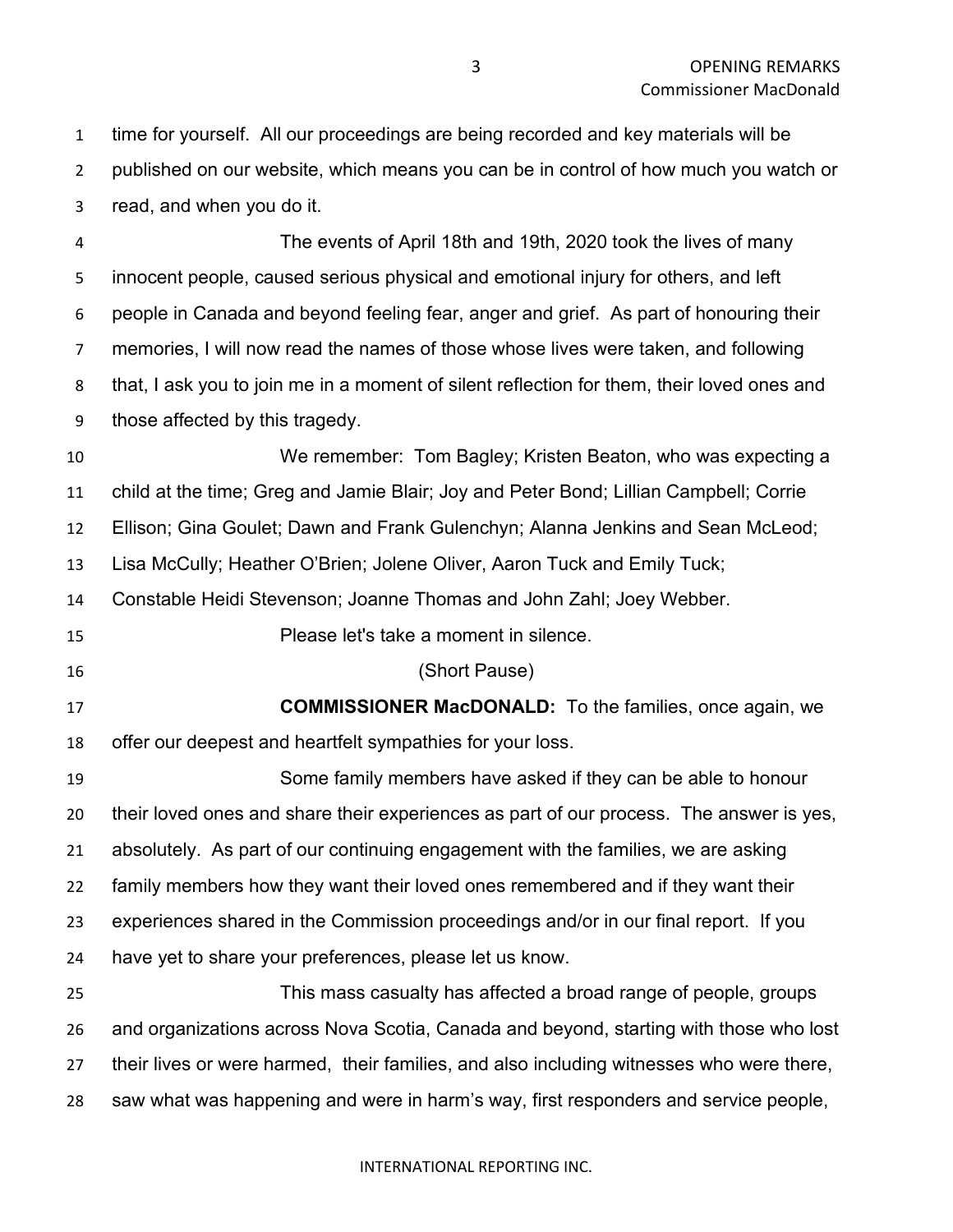time for yourself. All our proceedings are being recorded and key materials will be published on our website, which means you can be in control of how much you watch or read, and when you do it.

 The events of April 18th and 19th, 2020 took the lives of many innocent people, caused serious physical and emotional injury for others, and left people in Canada and beyond feeling fear, anger and grief. As part of honouring their memories, I will now read the names of those whose lives were taken, and following that, I ask you to join me in a moment of silent reflection for them, their loved ones and those affected by this tragedy.

 We remember: Tom Bagley; Kristen Beaton, who was expecting a child at the time; Greg and Jamie Blair; Joy and Peter Bond; Lillian Campbell; Corrie Ellison; Gina Goulet; Dawn and Frank Gulenchyn; Alanna Jenkins and Sean McLeod; Lisa McCully; Heather O'Brien; Jolene Oliver, Aaron Tuck and Emily Tuck; Constable Heidi Stevenson; Joanne Thomas and John Zahl; Joey Webber. Please let's take a moment in silence. (Short Pause) **COMMISSIONER MacDONALD:** To the families, once again, we offer our deepest and heartfelt sympathies for your loss. Some family members have asked if they can be able to honour their loved ones and share their experiences as part of our process. The answer is yes, absolutely. As part of our continuing engagement with the families, we are asking family members how they want their loved ones remembered and if they want their experiences shared in the Commission proceedings and/or in our final report. If you have yet to share your preferences, please let us know. This mass casualty has affected a broad range of people, groups and organizations across Nova Scotia, Canada and beyond, starting with those who lost their lives or were harmed, their families, and also including witnesses who were there,

saw what was happening and were in harm's way, first responders and service people,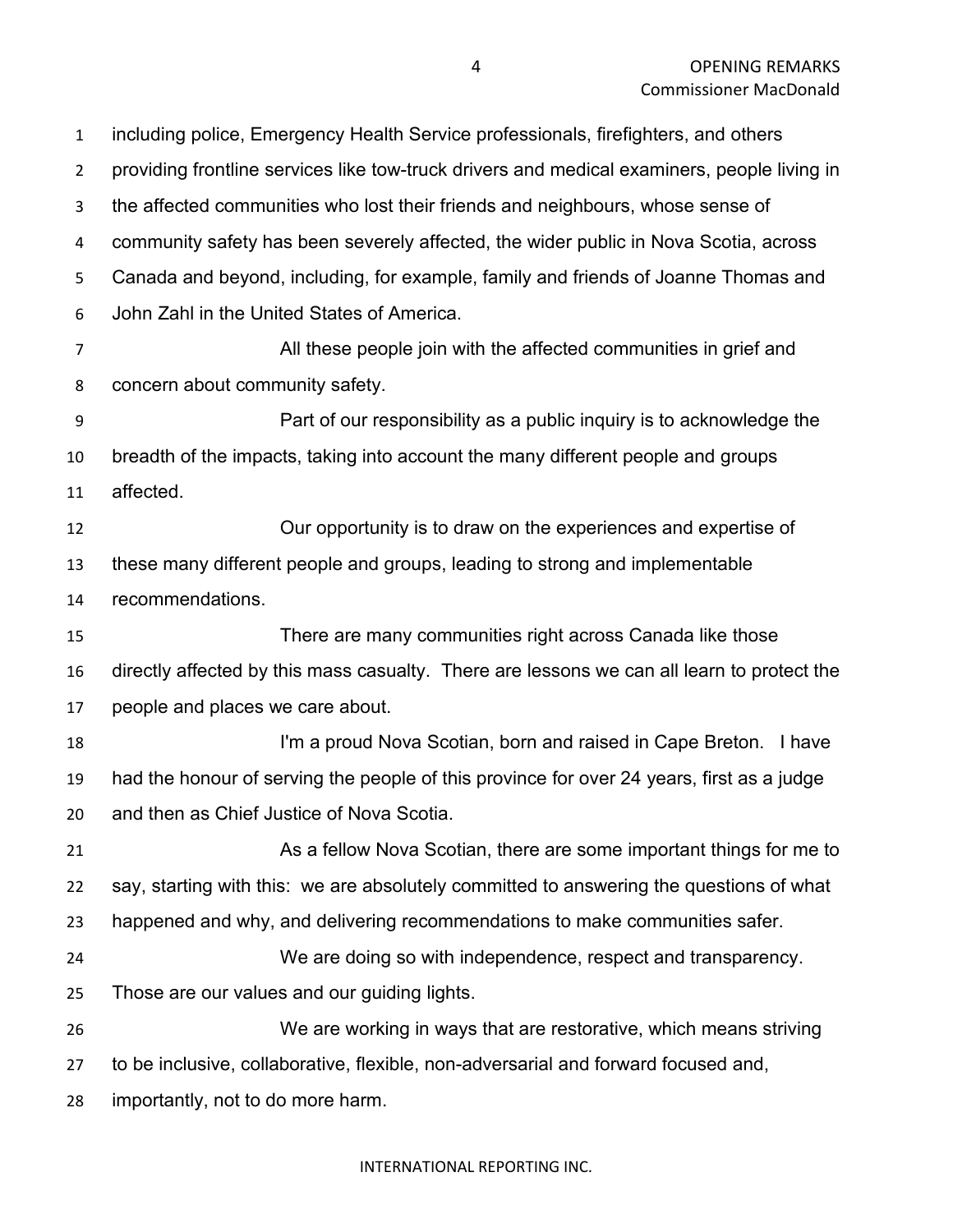including police, Emergency Health Service professionals, firefighters, and others providing frontline services like tow-truck drivers and medical examiners, people living in the affected communities who lost their friends and neighbours, whose sense of community safety has been severely affected, the wider public in Nova Scotia, across Canada and beyond, including, for example, family and friends of Joanne Thomas and John Zahl in the United States of America. All these people join with the affected communities in grief and concern about community safety. Part of our responsibility as a public inquiry is to acknowledge the breadth of the impacts, taking into account the many different people and groups affected.

 Our opportunity is to draw on the experiences and expertise of these many different people and groups, leading to strong and implementable recommendations.

 There are many communities right across Canada like those directly affected by this mass casualty. There are lessons we can all learn to protect the people and places we care about.

 I'm a proud Nova Scotian, born and raised in Cape Breton. I have had the honour of serving the people of this province for over 24 years, first as a judge and then as Chief Justice of Nova Scotia.

 As a fellow Nova Scotian, there are some important things for me to say, starting with this: we are absolutely committed to answering the questions of what happened and why, and delivering recommendations to make communities safer.

 We are doing so with independence, respect and transparency. Those are our values and our guiding lights.

 We are working in ways that are restorative, which means striving to be inclusive, collaborative, flexible, non-adversarial and forward focused and,

importantly, not to do more harm.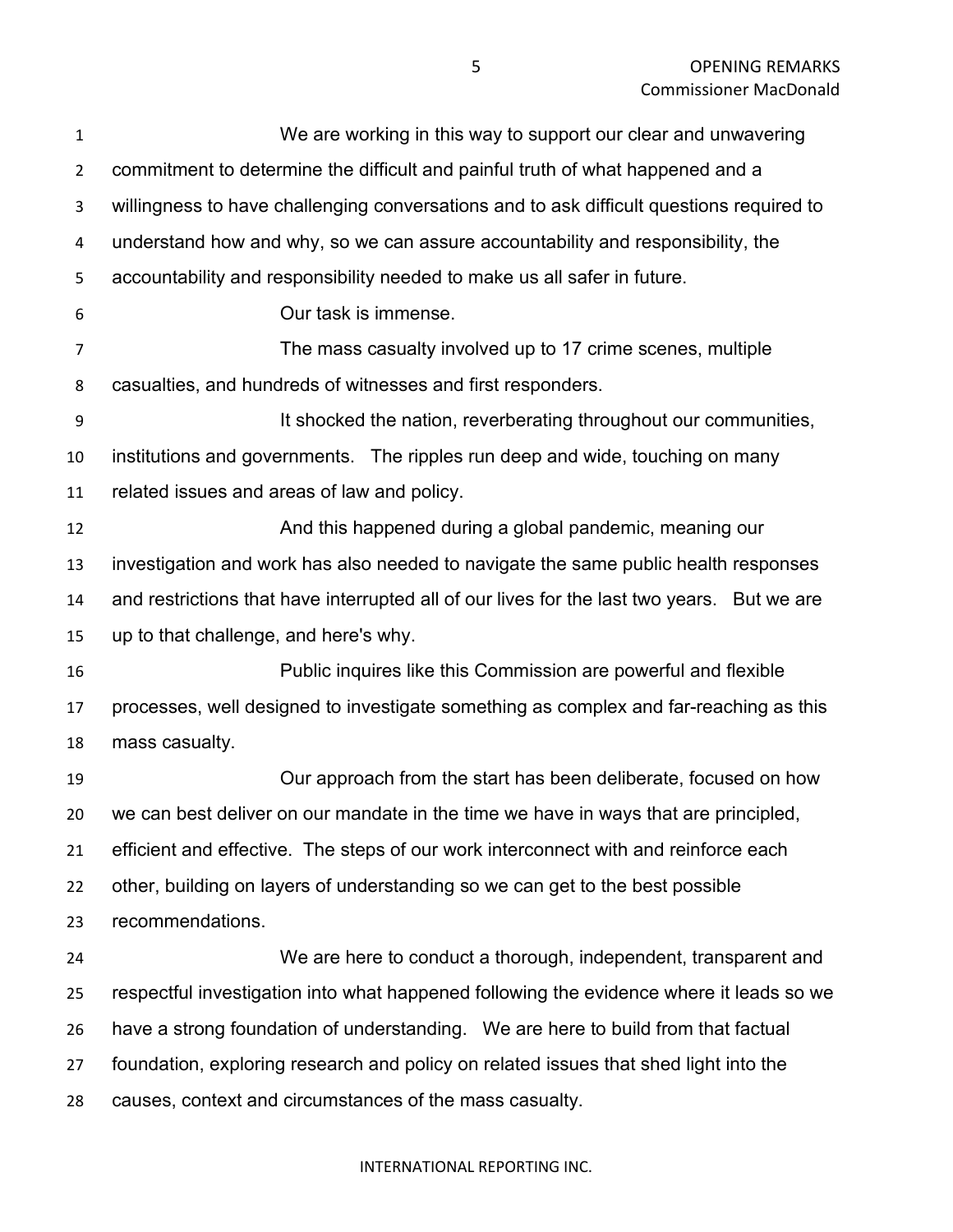| $\mathbf{1}$   | We are working in this way to support our clear and unwavering                             |
|----------------|--------------------------------------------------------------------------------------------|
| $\overline{2}$ | commitment to determine the difficult and painful truth of what happened and a             |
| 3              | willingness to have challenging conversations and to ask difficult questions required to   |
| 4              | understand how and why, so we can assure accountability and responsibility, the            |
| 5              | accountability and responsibility needed to make us all safer in future.                   |
| 6              | Our task is immense.                                                                       |
| 7              | The mass casualty involved up to 17 crime scenes, multiple                                 |
| 8              | casualties, and hundreds of witnesses and first responders.                                |
| 9              | It shocked the nation, reverberating throughout our communities,                           |
| 10             | institutions and governments. The ripples run deep and wide, touching on many              |
| 11             | related issues and areas of law and policy.                                                |
| 12             | And this happened during a global pandemic, meaning our                                    |
| 13             | investigation and work has also needed to navigate the same public health responses        |
| 14             | and restrictions that have interrupted all of our lives for the last two years. But we are |
| 15             | up to that challenge, and here's why.                                                      |
| 16             | Public inquires like this Commission are powerful and flexible                             |
| 17             | processes, well designed to investigate something as complex and far-reaching as this      |
| 18             | mass casualty.                                                                             |
| 19             | Our approach from the start has been deliberate, focused on how                            |
| 20             | we can best deliver on our mandate in the time we have in ways that are principled.        |
| 21             | efficient and effective. The steps of our work interconnect with and reinforce each        |
| 22             | other, building on layers of understanding so we can get to the best possible              |
| 23             | recommendations.                                                                           |
| 24             | We are here to conduct a thorough, independent, transparent and                            |
| 25             | respectful investigation into what happened following the evidence where it leads so we    |
| 26             | have a strong foundation of understanding. We are here to build from that factual          |
| 27             | foundation, exploring research and policy on related issues that shed light into the       |
| 28             | causes, context and circumstances of the mass casualty.                                    |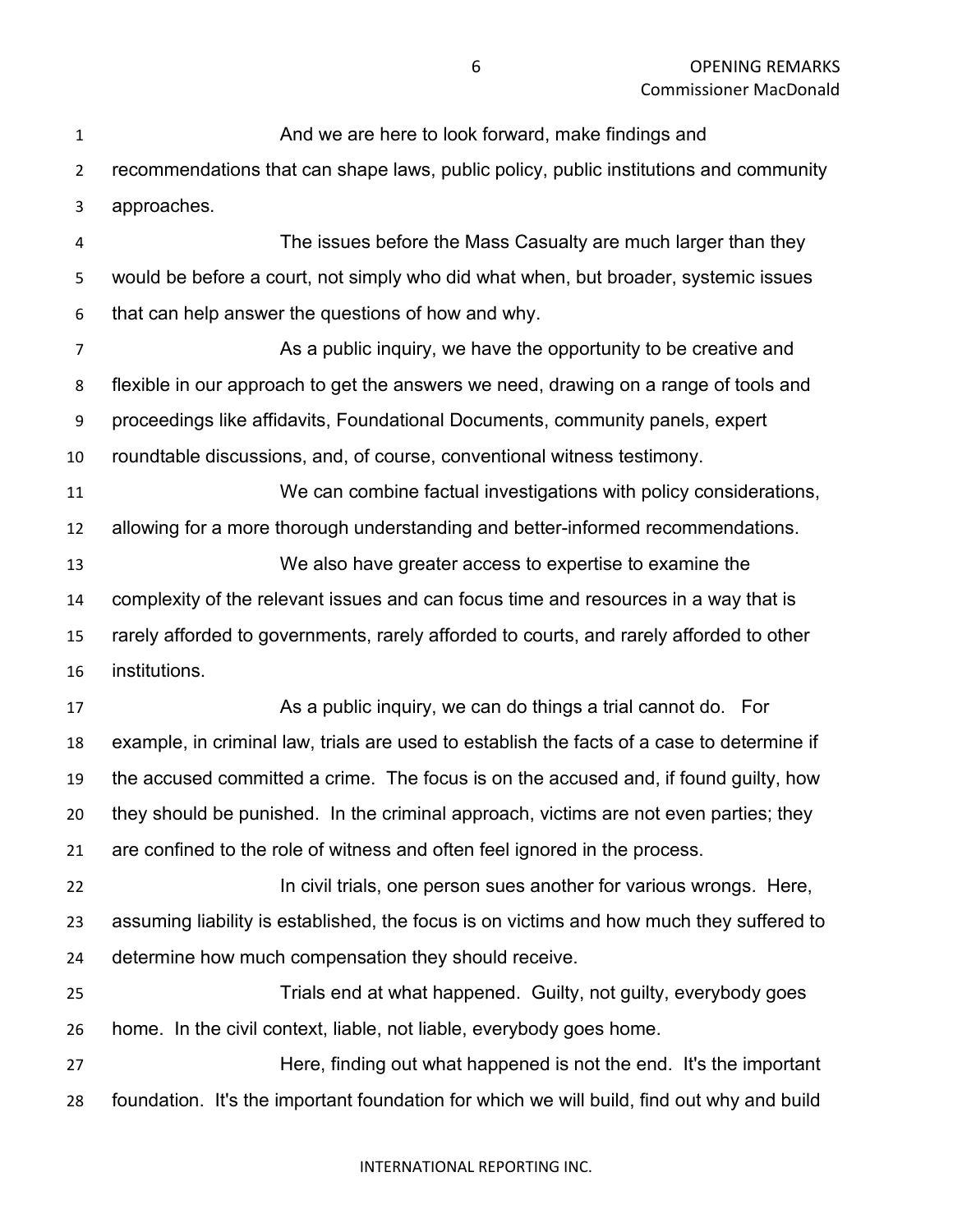And we are here to look forward, make findings and recommendations that can shape laws, public policy, public institutions and community approaches. The issues before the Mass Casualty are much larger than they would be before a court, not simply who did what when, but broader, systemic issues that can help answer the questions of how and why. As a public inquiry, we have the opportunity to be creative and flexible in our approach to get the answers we need, drawing on a range of tools and proceedings like affidavits, Foundational Documents, community panels, expert roundtable discussions, and, of course, conventional witness testimony. We can combine factual investigations with policy considerations, allowing for a more thorough understanding and better-informed recommendations. We also have greater access to expertise to examine the complexity of the relevant issues and can focus time and resources in a way that is rarely afforded to governments, rarely afforded to courts, and rarely afforded to other institutions. As a public inquiry, we can do things a trial cannot do. For example, in criminal law, trials are used to establish the facts of a case to determine if the accused committed a crime. The focus is on the accused and, if found guilty, how they should be punished. In the criminal approach, victims are not even parties; they are confined to the role of witness and often feel ignored in the process. **In civil trials, one person sues another for various wrongs. Here,**  assuming liability is established, the focus is on victims and how much they suffered to determine how much compensation they should receive. Trials end at what happened. Guilty, not guilty, everybody goes home. In the civil context, liable, not liable, everybody goes home. Here, finding out what happened is not the end. It's the important

foundation. It's the important foundation for which we will build, find out why and build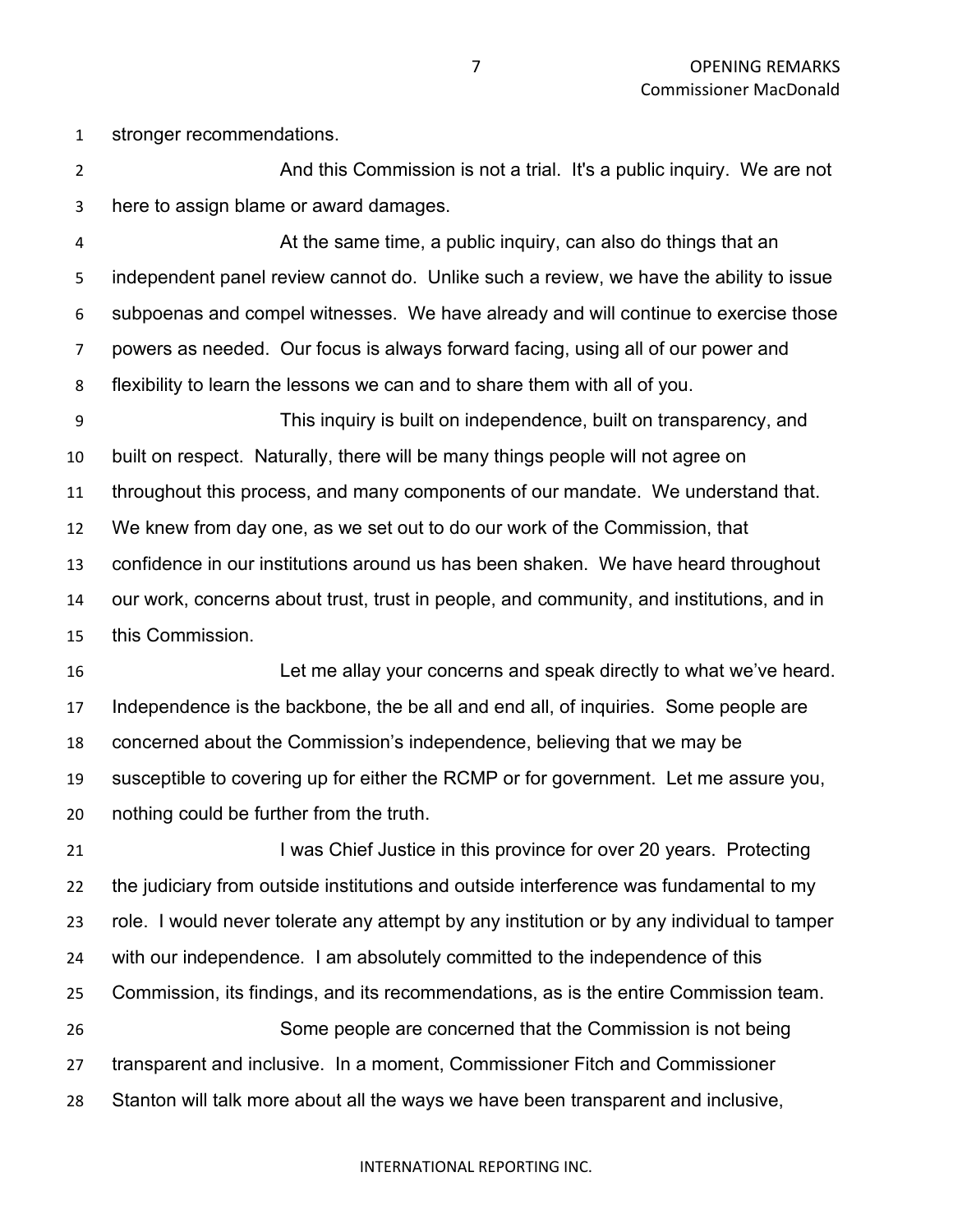stronger recommendations.

**And this Commission is not a trial.** It's a public inquiry. We are not here to assign blame or award damages.

 At the same time, a public inquiry, can also do things that an independent panel review cannot do. Unlike such a review, we have the ability to issue subpoenas and compel witnesses. We have already and will continue to exercise those powers as needed. Our focus is always forward facing, using all of our power and flexibility to learn the lessons we can and to share them with all of you.

 This inquiry is built on independence, built on transparency, and built on respect. Naturally, there will be many things people will not agree on throughout this process, and many components of our mandate. We understand that. We knew from day one, as we set out to do our work of the Commission, that confidence in our institutions around us has been shaken. We have heard throughout our work, concerns about trust, trust in people, and community, and institutions, and in this Commission.

 Let me allay your concerns and speak directly to what we've heard. Independence is the backbone, the be all and end all, of inquiries. Some people are concerned about the Commission's independence, believing that we may be susceptible to covering up for either the RCMP or for government. Let me assure you, nothing could be further from the truth.

**I was Chief Justice in this province for over 20 years.** Protecting the judiciary from outside institutions and outside interference was fundamental to my role. I would never tolerate any attempt by any institution or by any individual to tamper with our independence. I am absolutely committed to the independence of this Commission, its findings, and its recommendations, as is the entire Commission team. Some people are concerned that the Commission is not being transparent and inclusive. In a moment, Commissioner Fitch and Commissioner Stanton will talk more about all the ways we have been transparent and inclusive,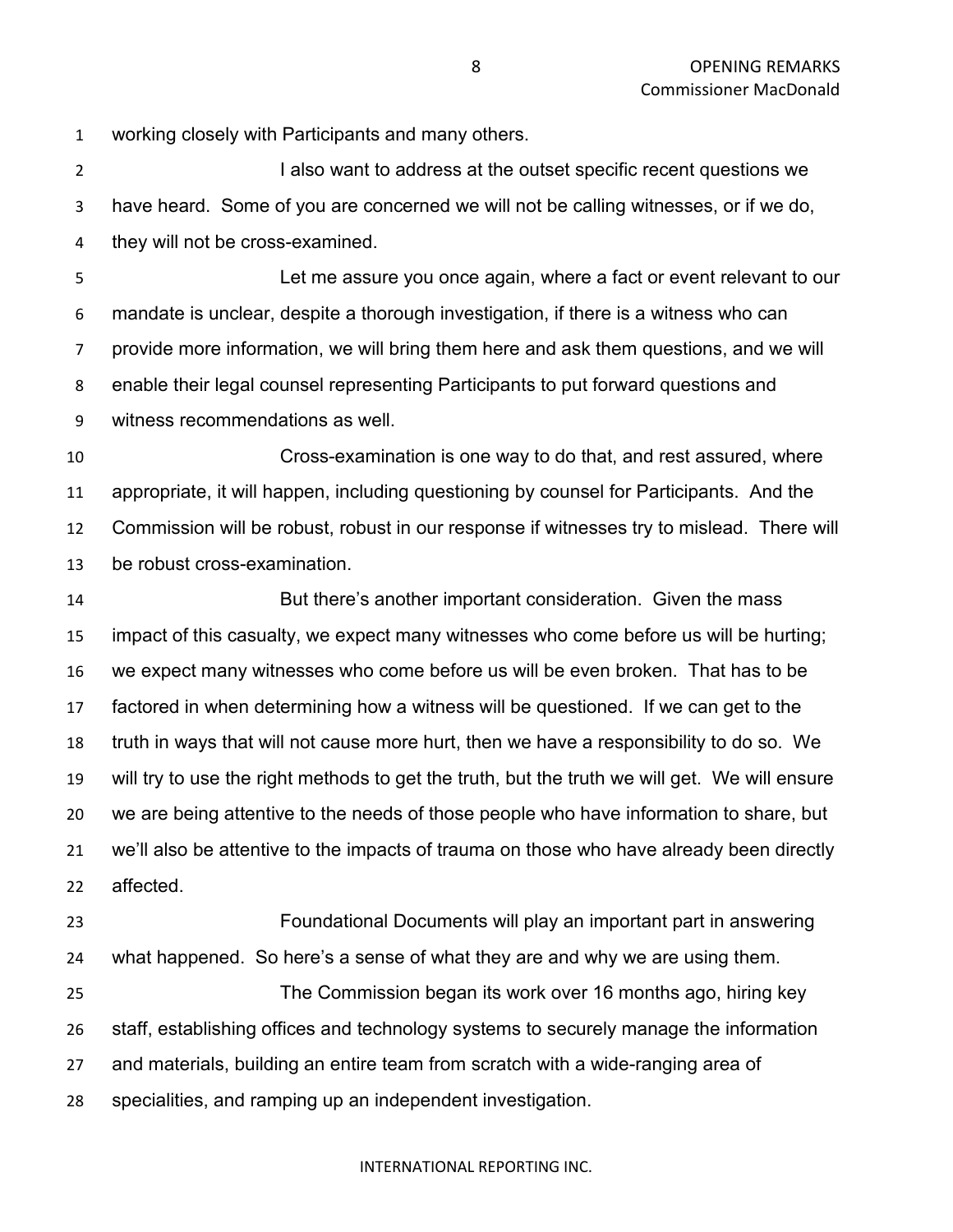working closely with Participants and many others.

2 I also want to address at the outset specific recent questions we have heard. Some of you are concerned we will not be calling witnesses, or if we do, they will not be cross-examined.

 Let me assure you once again, where a fact or event relevant to our mandate is unclear, despite a thorough investigation, if there is a witness who can provide more information, we will bring them here and ask them questions, and we will enable their legal counsel representing Participants to put forward questions and witness recommendations as well.

 Cross-examination is one way to do that, and rest assured, where appropriate, it will happen, including questioning by counsel for Participants. And the Commission will be robust, robust in our response if witnesses try to mislead. There will be robust cross-examination.

 But there's another important consideration. Given the mass impact of this casualty, we expect many witnesses who come before us will be hurting; we expect many witnesses who come before us will be even broken. That has to be factored in when determining how a witness will be questioned. If we can get to the truth in ways that will not cause more hurt, then we have a responsibility to do so. We will try to use the right methods to get the truth, but the truth we will get. We will ensure we are being attentive to the needs of those people who have information to share, but we'll also be attentive to the impacts of trauma on those who have already been directly affected.

 Foundational Documents will play an important part in answering what happened. So here's a sense of what they are and why we are using them. The Commission began its work over 16 months ago, hiring key staff, establishing offices and technology systems to securely manage the information and materials, building an entire team from scratch with a wide-ranging area of specialities, and ramping up an independent investigation.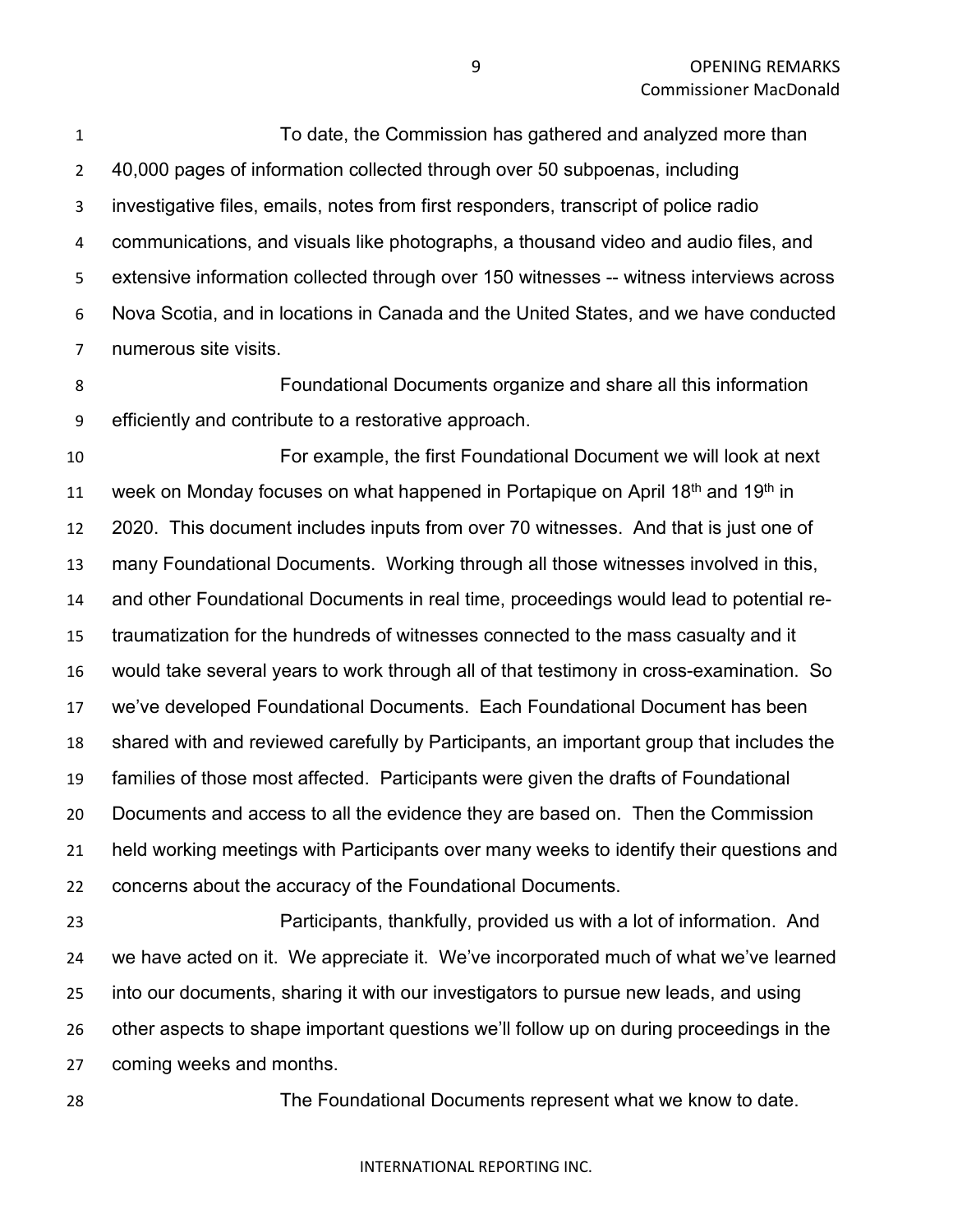To date, the Commission has gathered and analyzed more than 40,000 pages of information collected through over 50 subpoenas, including investigative files, emails, notes from first responders, transcript of police radio communications, and visuals like photographs, a thousand video and audio files, and extensive information collected through over 150 witnesses -- witness interviews across Nova Scotia, and in locations in Canada and the United States, and we have conducted numerous site visits.

 Foundational Documents organize and share all this information efficiently and contribute to a restorative approach.

 For example, the first Foundational Document we will look at next 11 week on Monday focuses on what happened in Portapique on April  $18<sup>th</sup>$  and  $19<sup>th</sup>$  in 2020. This document includes inputs from over 70 witnesses. And that is just one of many Foundational Documents. Working through all those witnesses involved in this, and other Foundational Documents in real time, proceedings would lead to potential re- traumatization for the hundreds of witnesses connected to the mass casualty and it would take several years to work through all of that testimony in cross-examination. So we've developed Foundational Documents. Each Foundational Document has been shared with and reviewed carefully by Participants, an important group that includes the families of those most affected. Participants were given the drafts of Foundational Documents and access to all the evidence they are based on. Then the Commission held working meetings with Participants over many weeks to identify their questions and concerns about the accuracy of the Foundational Documents.

 Participants, thankfully, provided us with a lot of information. And we have acted on it. We appreciate it. We've incorporated much of what we've learned into our documents, sharing it with our investigators to pursue new leads, and using other aspects to shape important questions we'll follow up on during proceedings in the coming weeks and months.

The Foundational Documents represent what we know to date.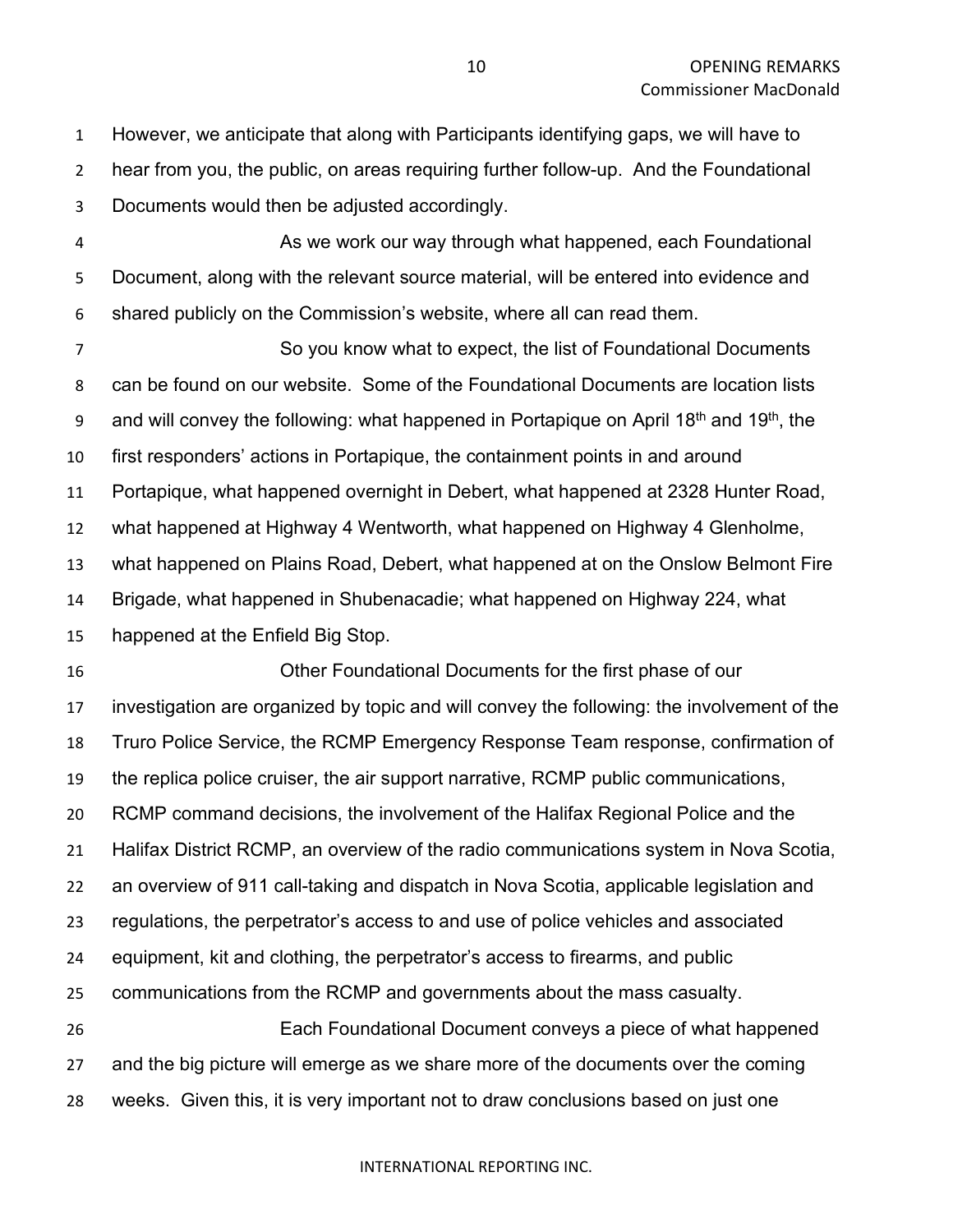However, we anticipate that along with Participants identifying gaps, we will have to hear from you, the public, on areas requiring further follow-up. And the Foundational Documents would then be adjusted accordingly.

 As we work our way through what happened, each Foundational Document, along with the relevant source material, will be entered into evidence and shared publicly on the Commission's website, where all can read them.

 So you know what to expect, the list of Foundational Documents can be found on our website. Some of the Foundational Documents are location lists 9 and will convey the following: what happened in Portapique on April 18<sup>th</sup> and 19<sup>th</sup>, the first responders' actions in Portapique, the containment points in and around Portapique, what happened overnight in Debert, what happened at 2328 Hunter Road, what happened at Highway 4 Wentworth, what happened on Highway 4 Glenholme, what happened on Plains Road, Debert, what happened at on the Onslow Belmont Fire Brigade, what happened in Shubenacadie; what happened on Highway 224, what happened at the Enfield Big Stop.

 Other Foundational Documents for the first phase of our investigation are organized by topic and will convey the following: the involvement of the Truro Police Service, the RCMP Emergency Response Team response, confirmation of the replica police cruiser, the air support narrative, RCMP public communications, RCMP command decisions, the involvement of the Halifax Regional Police and the Halifax District RCMP, an overview of the radio communications system in Nova Scotia, an overview of 911 call-taking and dispatch in Nova Scotia, applicable legislation and regulations, the perpetrator's access to and use of police vehicles and associated equipment, kit and clothing, the perpetrator's access to firearms, and public communications from the RCMP and governments about the mass casualty. Each Foundational Document conveys a piece of what happened and the big picture will emerge as we share more of the documents over the coming weeks. Given this, it is very important not to draw conclusions based on just one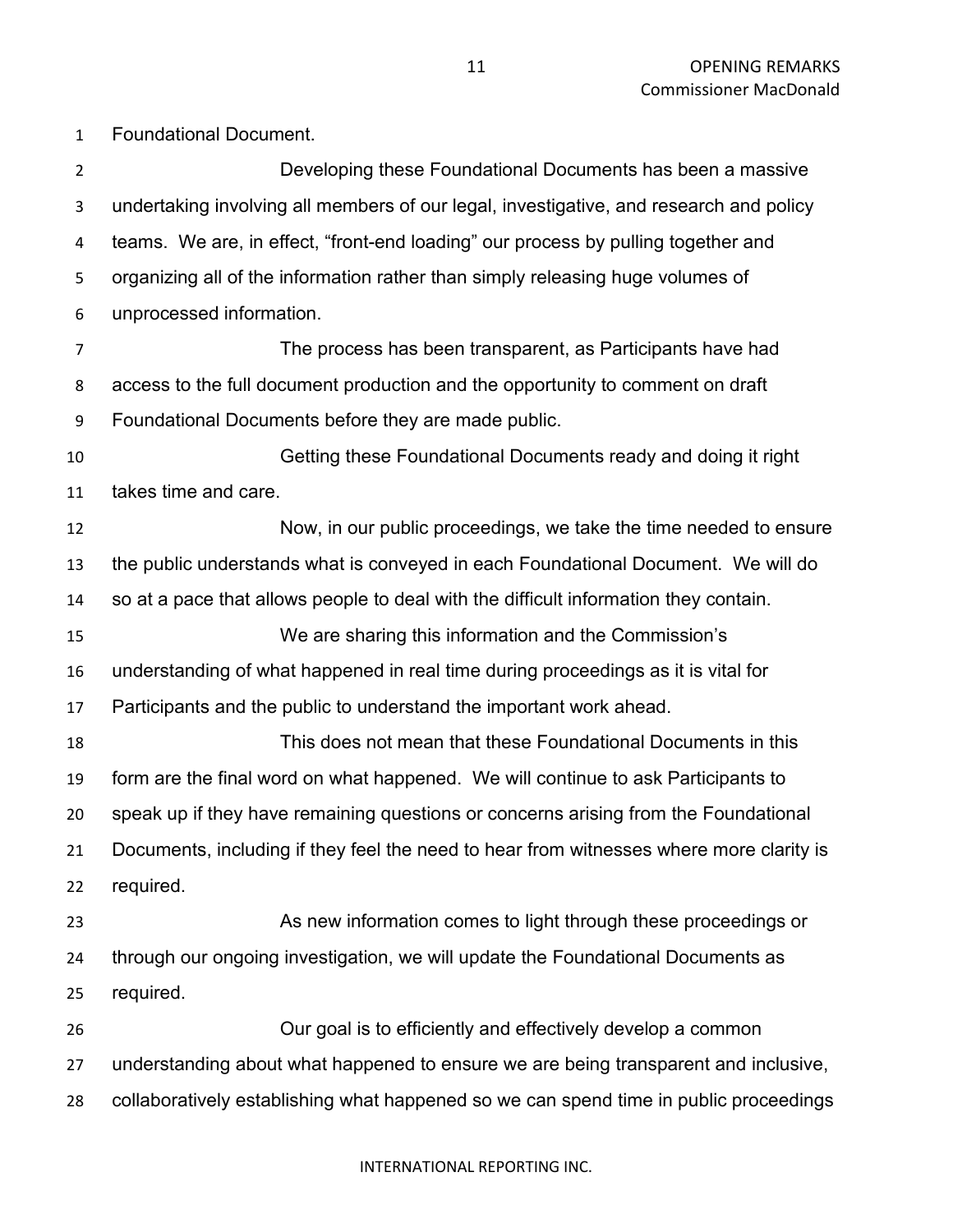Developing these Foundational Documents has been a massive undertaking involving all members of our legal, investigative, and research and policy teams. We are, in effect, "front-end loading" our process by pulling together and organizing all of the information rather than simply releasing huge volumes of unprocessed information. The process has been transparent, as Participants have had access to the full document production and the opportunity to comment on draft Foundational Documents before they are made public. Getting these Foundational Documents ready and doing it right takes time and care. Now, in our public proceedings, we take the time needed to ensure the public understands what is conveyed in each Foundational Document. We will do so at a pace that allows people to deal with the difficult information they contain. We are sharing this information and the Commission's understanding of what happened in real time during proceedings as it is vital for Participants and the public to understand the important work ahead. This does not mean that these Foundational Documents in this form are the final word on what happened. We will continue to ask Participants to speak up if they have remaining questions or concerns arising from the Foundational Documents, including if they feel the need to hear from witnesses where more clarity is required. As new information comes to light through these proceedings or through our ongoing investigation, we will update the Foundational Documents as required. Our goal is to efficiently and effectively develop a common understanding about what happened to ensure we are being transparent and inclusive, collaboratively establishing what happened so we can spend time in public proceedings

#### INTERNATIONAL REPORTING INC.

Foundational Document.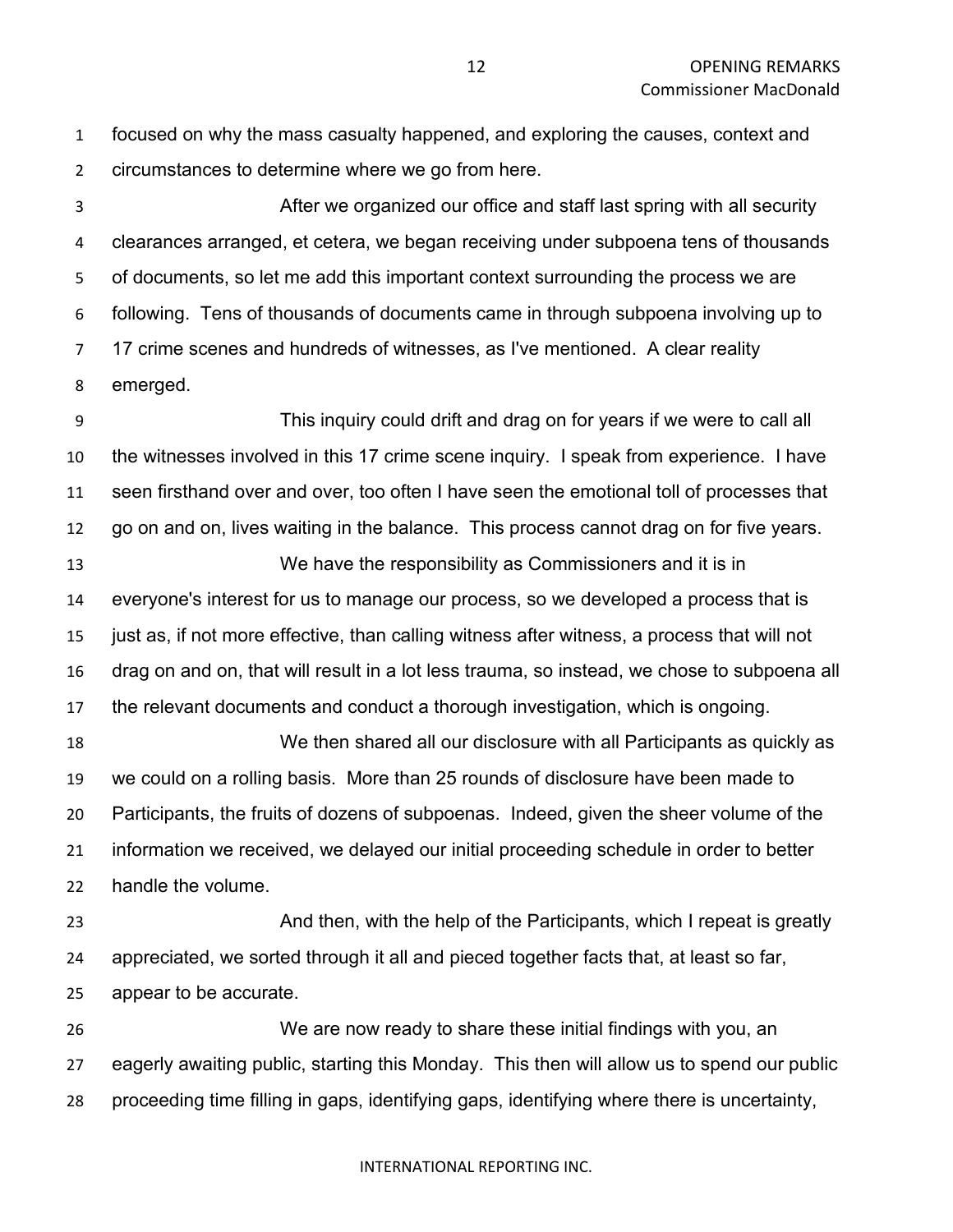focused on why the mass casualty happened, and exploring the causes, context and circumstances to determine where we go from here.

 After we organized our office and staff last spring with all security clearances arranged, et cetera, we began receiving under subpoena tens of thousands of documents, so let me add this important context surrounding the process we are following. Tens of thousands of documents came in through subpoena involving up to 17 crime scenes and hundreds of witnesses, as I've mentioned. A clear reality emerged.

 This inquiry could drift and drag on for years if we were to call all the witnesses involved in this 17 crime scene inquiry. I speak from experience. I have seen firsthand over and over, too often I have seen the emotional toll of processes that go on and on, lives waiting in the balance. This process cannot drag on for five years. We have the responsibility as Commissioners and it is in everyone's interest for us to manage our process, so we developed a process that is just as, if not more effective, than calling witness after witness, a process that will not drag on and on, that will result in a lot less trauma, so instead, we chose to subpoena all the relevant documents and conduct a thorough investigation, which is ongoing. We then shared all our disclosure with all Participants as quickly as we could on a rolling basis. More than 25 rounds of disclosure have been made to Participants, the fruits of dozens of subpoenas. Indeed, given the sheer volume of the information we received, we delayed our initial proceeding schedule in order to better handle the volume. **And then, with the help of the Participants, which I repeat is greatly**  appreciated, we sorted through it all and pieced together facts that, at least so far, appear to be accurate. We are now ready to share these initial findings with you, an eagerly awaiting public, starting this Monday. This then will allow us to spend our public

proceeding time filling in gaps, identifying gaps, identifying where there is uncertainty,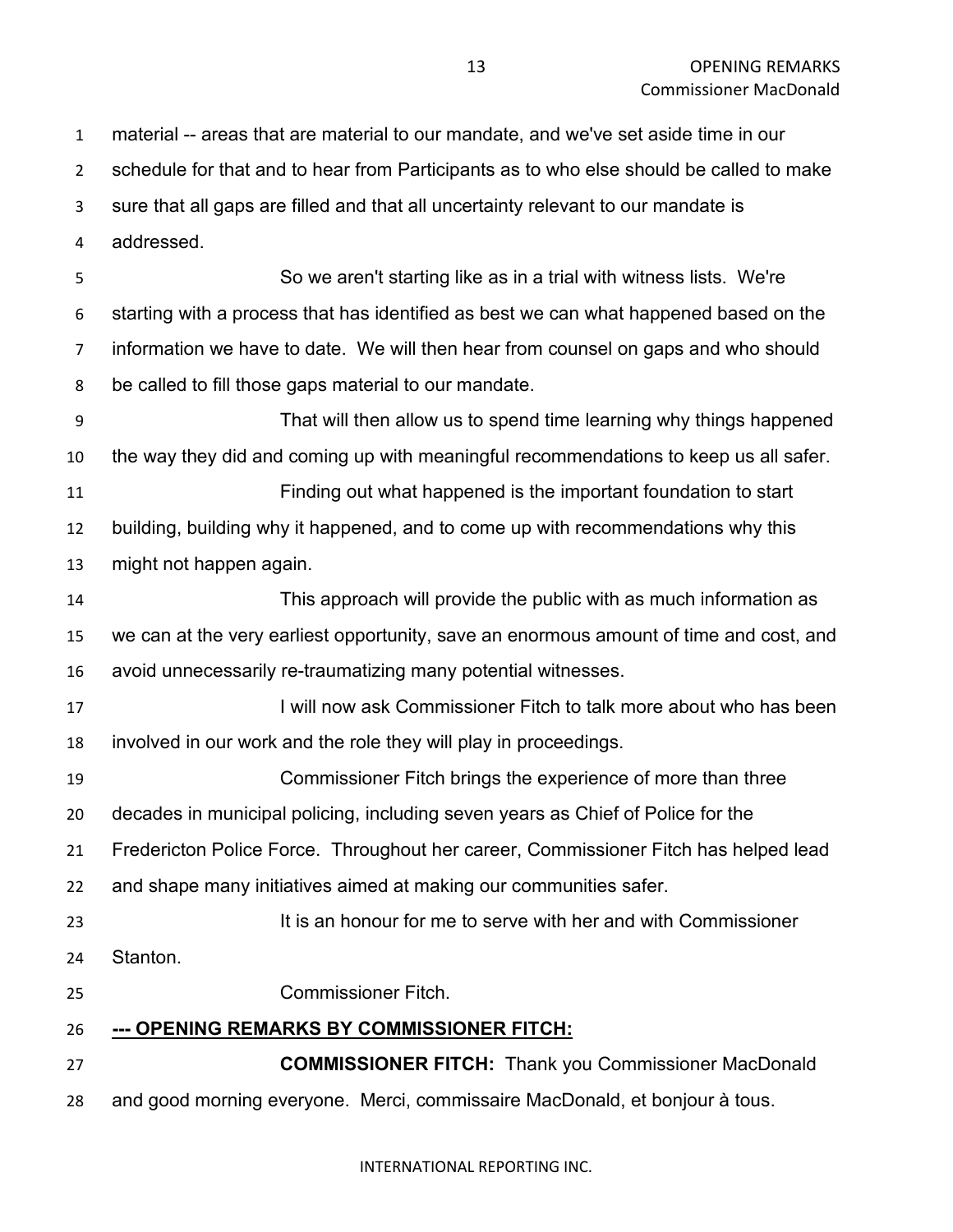material -- areas that are material to our mandate, and we've set aside time in our schedule for that and to hear from Participants as to who else should be called to make sure that all gaps are filled and that all uncertainty relevant to our mandate is addressed.

 So we aren't starting like as in a trial with witness lists. We're starting with a process that has identified as best we can what happened based on the information we have to date. We will then hear from counsel on gaps and who should be called to fill those gaps material to our mandate.

 That will then allow us to spend time learning why things happened the way they did and coming up with meaningful recommendations to keep us all safer. Finding out what happened is the important foundation to start

 building, building why it happened, and to come up with recommendations why this might not happen again.

 This approach will provide the public with as much information as we can at the very earliest opportunity, save an enormous amount of time and cost, and avoid unnecessarily re-traumatizing many potential witnesses.

**I will now ask Commissioner Fitch to talk more about who has been** involved in our work and the role they will play in proceedings.

 Commissioner Fitch brings the experience of more than three decades in municipal policing, including seven years as Chief of Police for the Fredericton Police Force. Throughout her career, Commissioner Fitch has helped lead and shape many initiatives aimed at making our communities safer.

It is an honour for me to serve with her and with Commissioner

Stanton.

Commissioner Fitch.

**--- OPENING REMARKS BY COMMISSIONER FITCH:**

 **COMMISSIONER FITCH:** Thank you Commissioner MacDonald and good morning everyone. Merci, commissaire MacDonald, et bonjour à tous.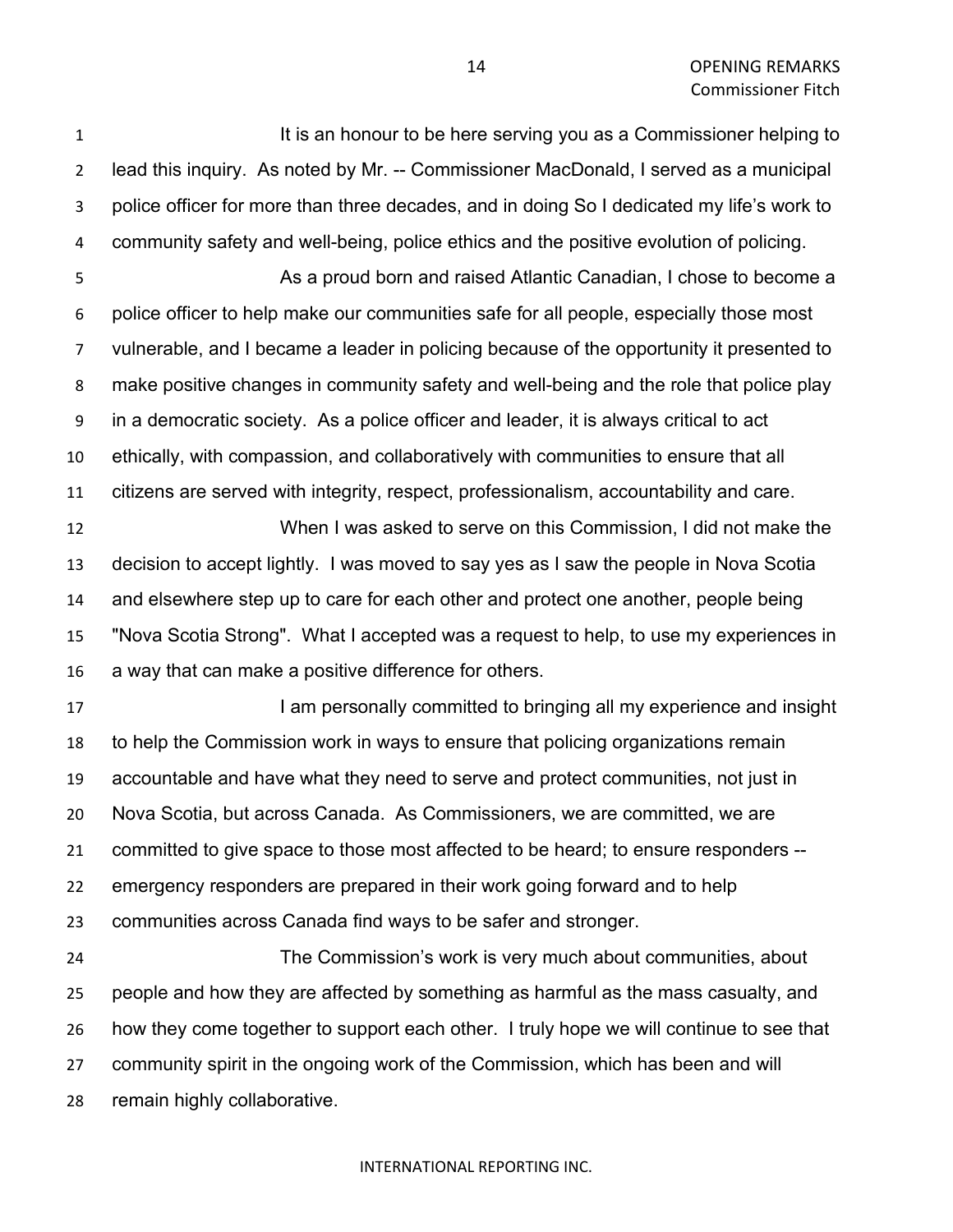**It is an honour to be here serving you as a Commissioner helping to**  lead this inquiry. As noted by Mr. -- Commissioner MacDonald, I served as a municipal police officer for more than three decades, and in doing So I dedicated my life's work to community safety and well-being, police ethics and the positive evolution of policing. As a proud born and raised Atlantic Canadian, I chose to become a police officer to help make our communities safe for all people, especially those most vulnerable, and I became a leader in policing because of the opportunity it presented to make positive changes in community safety and well-being and the role that police play in a democratic society. As a police officer and leader, it is always critical to act

 ethically, with compassion, and collaboratively with communities to ensure that all citizens are served with integrity, respect, professionalism, accountability and care.

 When I was asked to serve on this Commission, I did not make the decision to accept lightly. I was moved to say yes as I saw the people in Nova Scotia and elsewhere step up to care for each other and protect one another, people being "Nova Scotia Strong". What I accepted was a request to help, to use my experiences in a way that can make a positive difference for others.

**I am personally committed to bringing all my experience and insight**  to help the Commission work in ways to ensure that policing organizations remain accountable and have what they need to serve and protect communities, not just in Nova Scotia, but across Canada. As Commissioners, we are committed, we are committed to give space to those most affected to be heard; to ensure responders -- emergency responders are prepared in their work going forward and to help communities across Canada find ways to be safer and stronger.

 The Commission's work is very much about communities, about people and how they are affected by something as harmful as the mass casualty, and how they come together to support each other. I truly hope we will continue to see that community spirit in the ongoing work of the Commission, which has been and will remain highly collaborative.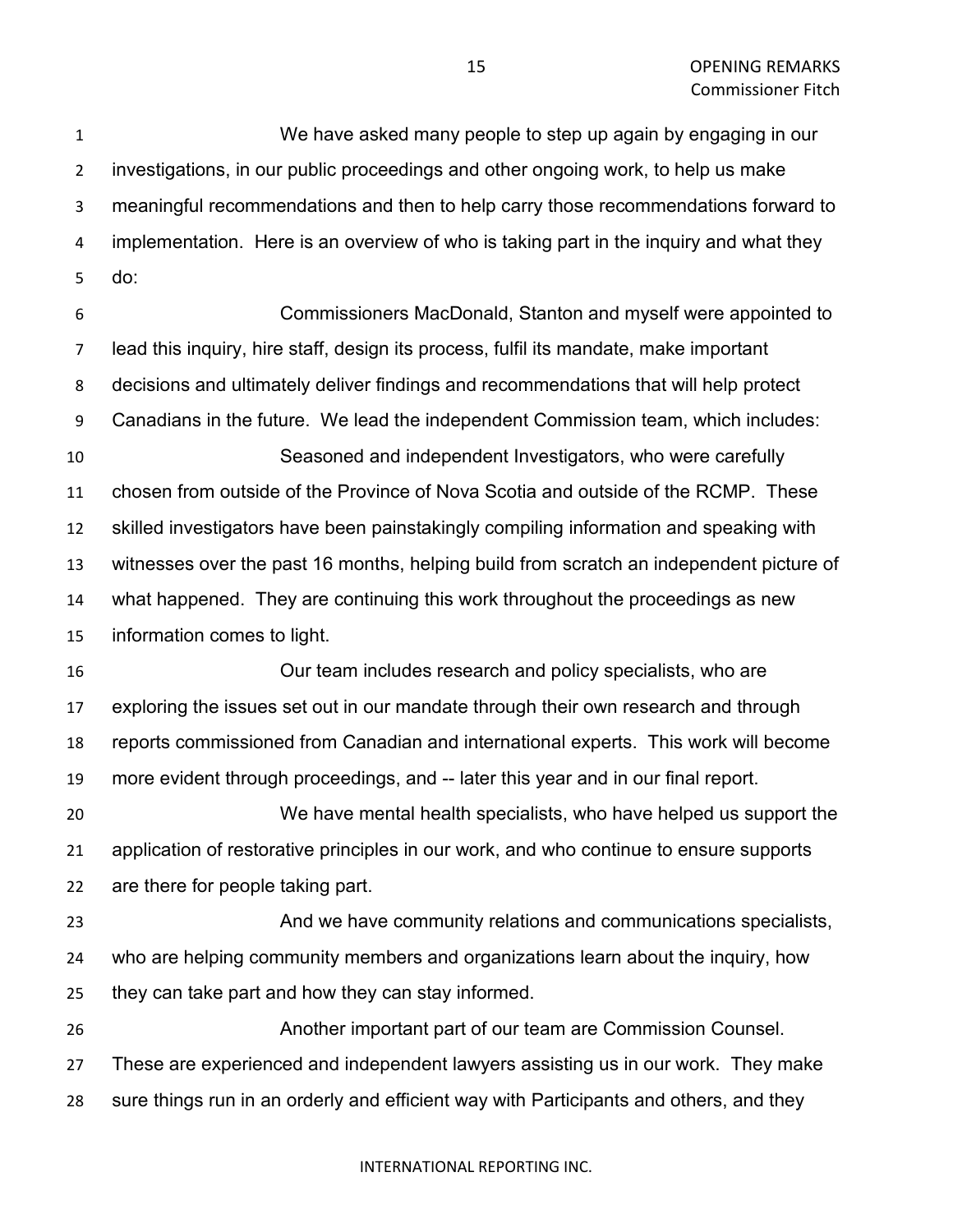We have asked many people to step up again by engaging in our investigations, in our public proceedings and other ongoing work, to help us make meaningful recommendations and then to help carry those recommendations forward to implementation. Here is an overview of who is taking part in the inquiry and what they do: Commissioners MacDonald, Stanton and myself were appointed to lead this inquiry, hire staff, design its process, fulfil its mandate, make important decisions and ultimately deliver findings and recommendations that will help protect Canadians in the future. We lead the independent Commission team, which includes: Seasoned and independent Investigators, who were carefully chosen from outside of the Province of Nova Scotia and outside of the RCMP. These skilled investigators have been painstakingly compiling information and speaking with witnesses over the past 16 months, helping build from scratch an independent picture of what happened. They are continuing this work throughout the proceedings as new information comes to light. Our team includes research and policy specialists, who are exploring the issues set out in our mandate through their own research and through reports commissioned from Canadian and international experts. This work will become more evident through proceedings, and -- later this year and in our final report. We have mental health specialists, who have helped us support the application of restorative principles in our work, and who continue to ensure supports are there for people taking part. And we have community relations and communications specialists, who are helping community members and organizations learn about the inquiry, how they can take part and how they can stay informed. Another important part of our team are Commission Counsel. These are experienced and independent lawyers assisting us in our work. They make sure things run in an orderly and efficient way with Participants and others, and they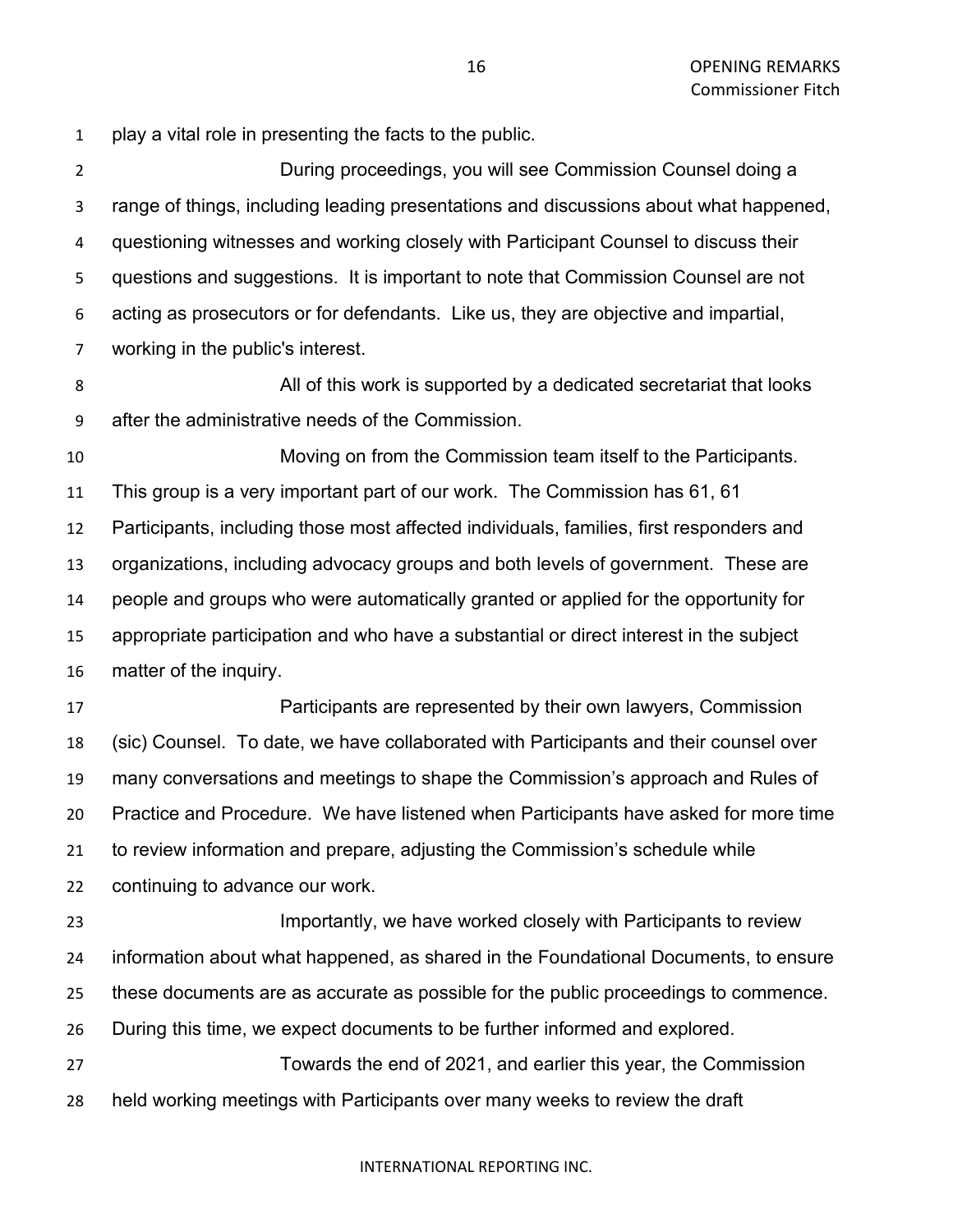play a vital role in presenting the facts to the public.

 During proceedings, you will see Commission Counsel doing a range of things, including leading presentations and discussions about what happened, questioning witnesses and working closely with Participant Counsel to discuss their questions and suggestions. It is important to note that Commission Counsel are not acting as prosecutors or for defendants. Like us, they are objective and impartial, working in the public's interest. All of this work is supported by a dedicated secretariat that looks after the administrative needs of the Commission. Moving on from the Commission team itself to the Participants. This group is a very important part of our work. The Commission has 61, 61 Participants, including those most affected individuals, families, first responders and organizations, including advocacy groups and both levels of government. These are people and groups who were automatically granted or applied for the opportunity for appropriate participation and who have a substantial or direct interest in the subject matter of the inquiry.

 Participants are represented by their own lawyers, Commission (sic) Counsel. To date, we have collaborated with Participants and their counsel over many conversations and meetings to shape the Commission's approach and Rules of Practice and Procedure. We have listened when Participants have asked for more time to review information and prepare, adjusting the Commission's schedule while continuing to advance our work.

 Importantly, we have worked closely with Participants to review information about what happened, as shared in the Foundational Documents, to ensure these documents are as accurate as possible for the public proceedings to commence. During this time, we expect documents to be further informed and explored. Towards the end of 2021, and earlier this year, the Commission

held working meetings with Participants over many weeks to review the draft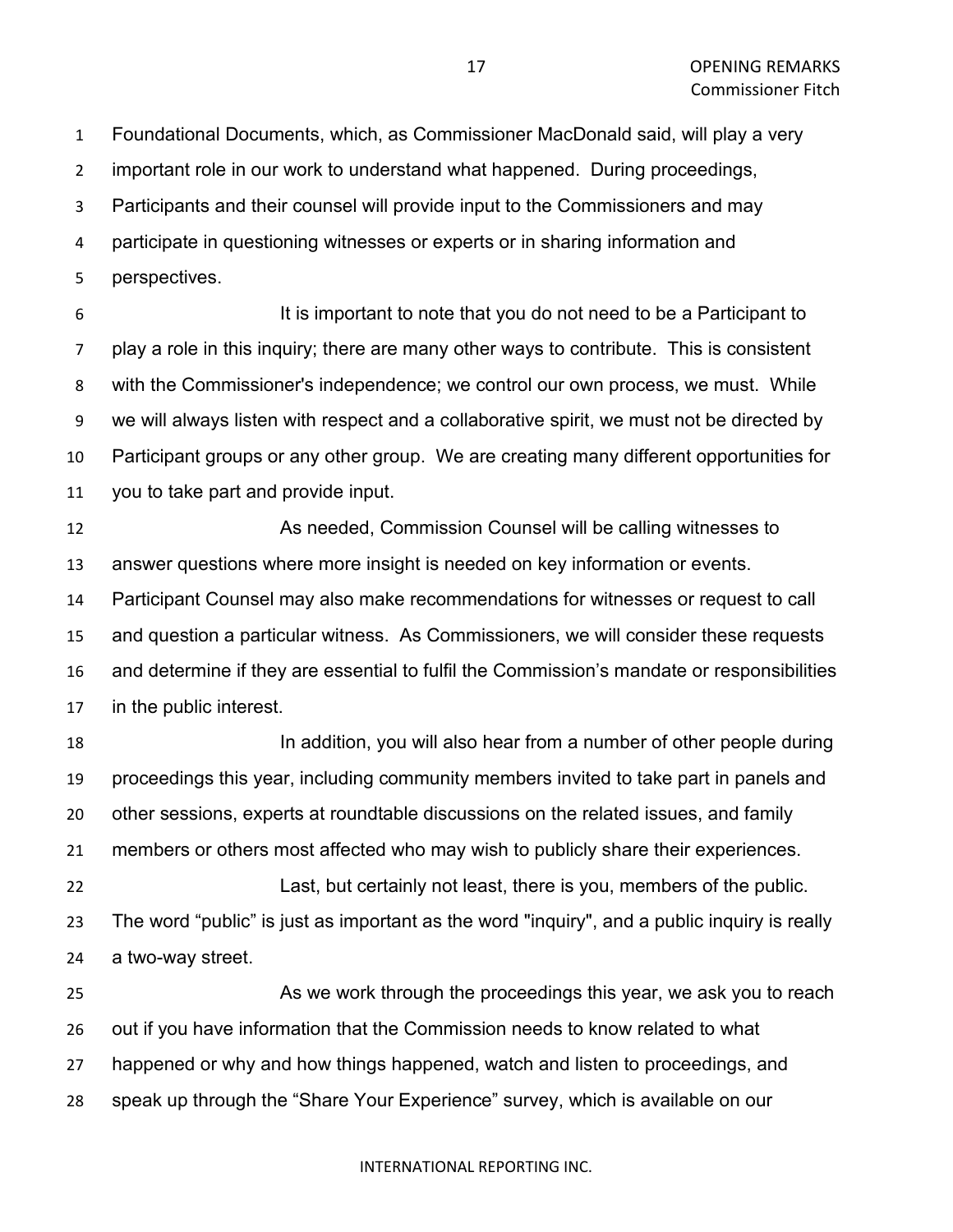Foundational Documents, which, as Commissioner MacDonald said, will play a very

important role in our work to understand what happened. During proceedings,

Participants and their counsel will provide input to the Commissioners and may

participate in questioning witnesses or experts or in sharing information and

perspectives.

 It is important to note that you do not need to be a Participant to play a role in this inquiry; there are many other ways to contribute. This is consistent with the Commissioner's independence; we control our own process, we must. While we will always listen with respect and a collaborative spirit, we must not be directed by Participant groups or any other group. We are creating many different opportunities for you to take part and provide input.

 As needed, Commission Counsel will be calling witnesses to answer questions where more insight is needed on key information or events. Participant Counsel may also make recommendations for witnesses or request to call and question a particular witness. As Commissioners, we will consider these requests and determine if they are essential to fulfil the Commission's mandate or responsibilities in the public interest.

 In addition, you will also hear from a number of other people during proceedings this year, including community members invited to take part in panels and other sessions, experts at roundtable discussions on the related issues, and family members or others most affected who may wish to publicly share their experiences. Last, but certainly not least, there is you, members of the public. The word "public" is just as important as the word "inquiry", and a public inquiry is really a two-way street.

 As we work through the proceedings this year, we ask you to reach out if you have information that the Commission needs to know related to what happened or why and how things happened, watch and listen to proceedings, and speak up through the "Share Your Experience" survey, which is available on our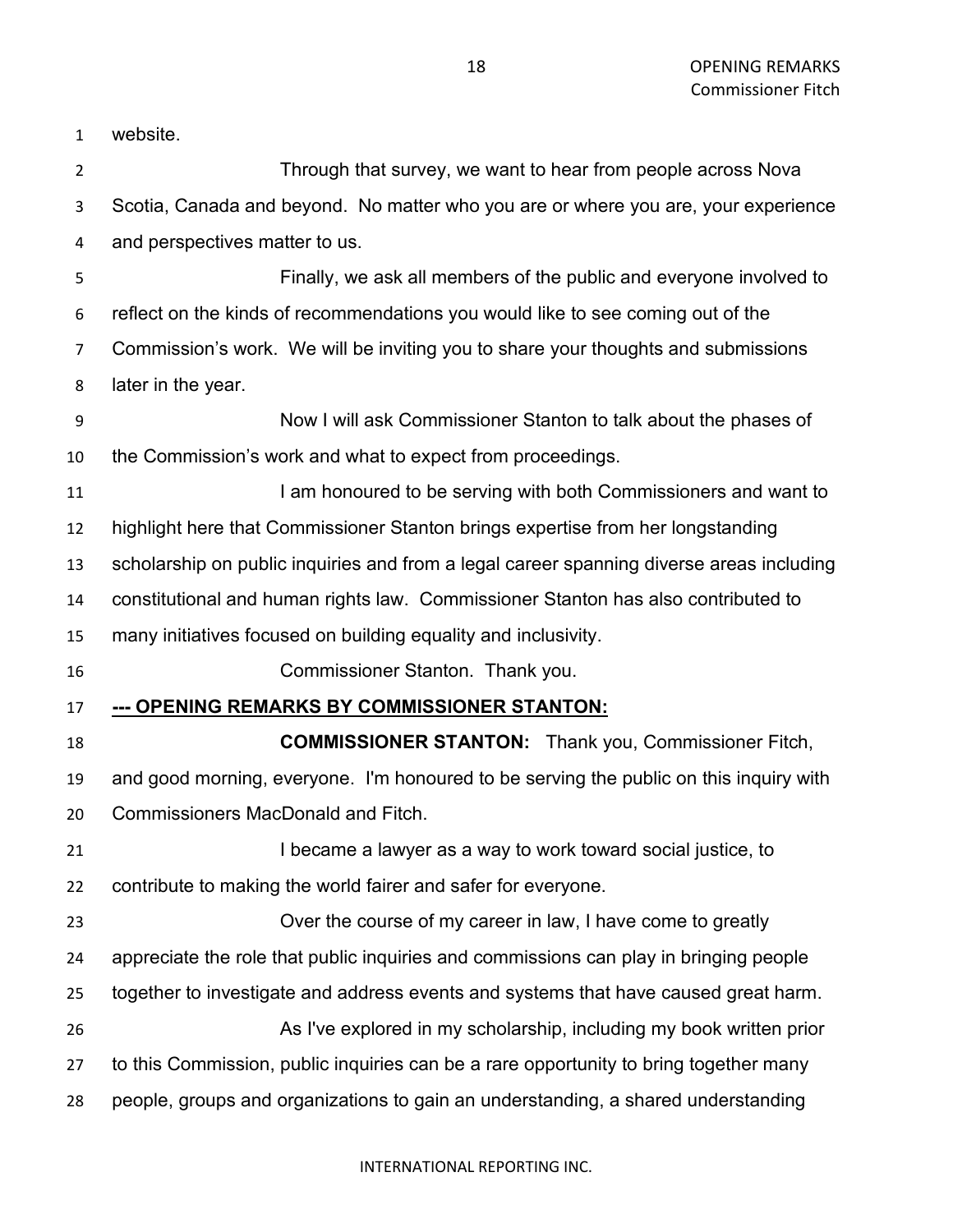| $\mathbf{1}$   | website.                                                                                 |
|----------------|------------------------------------------------------------------------------------------|
| $\overline{2}$ | Through that survey, we want to hear from people across Nova                             |
| 3              | Scotia, Canada and beyond. No matter who you are or where you are, your experience       |
| 4              | and perspectives matter to us.                                                           |
| 5              | Finally, we ask all members of the public and everyone involved to                       |
| 6              | reflect on the kinds of recommendations you would like to see coming out of the          |
| 7              | Commission's work. We will be inviting you to share your thoughts and submissions        |
| 8              | later in the year.                                                                       |
| 9              | Now I will ask Commissioner Stanton to talk about the phases of                          |
| 10             | the Commission's work and what to expect from proceedings.                               |
| 11             | I am honoured to be serving with both Commissioners and want to                          |
| 12             | highlight here that Commissioner Stanton brings expertise from her longstanding          |
| 13             | scholarship on public inquiries and from a legal career spanning diverse areas including |
| 14             | constitutional and human rights law. Commissioner Stanton has also contributed to        |
| 15             | many initiatives focused on building equality and inclusivity.                           |
| 16             | Commissioner Stanton. Thank you.                                                         |
| 17             | --- OPENING REMARKS BY COMMISSIONER STANTON:                                             |
| 18             | <b>COMMISSIONER STANTON:</b> Thank you, Commissioner Fitch,                              |
| 19             | and good morning, everyone. I'm honoured to be serving the public on this inquiry with   |
| 20             | <b>Commissioners MacDonald and Fitch.</b>                                                |
| 21             | I became a lawyer as a way to work toward social justice, to                             |
| 22             | contribute to making the world fairer and safer for everyone.                            |
| 23             | Over the course of my career in law, I have come to greatly                              |
| 24             | appreciate the role that public inquiries and commissions can play in bringing people    |
| 25             | together to investigate and address events and systems that have caused great harm.      |
| 26             | As I've explored in my scholarship, including my book written prior                      |
| 27             | to this Commission, public inquiries can be a rare opportunity to bring together many    |
| 28             | people, groups and organizations to gain an understanding, a shared understanding        |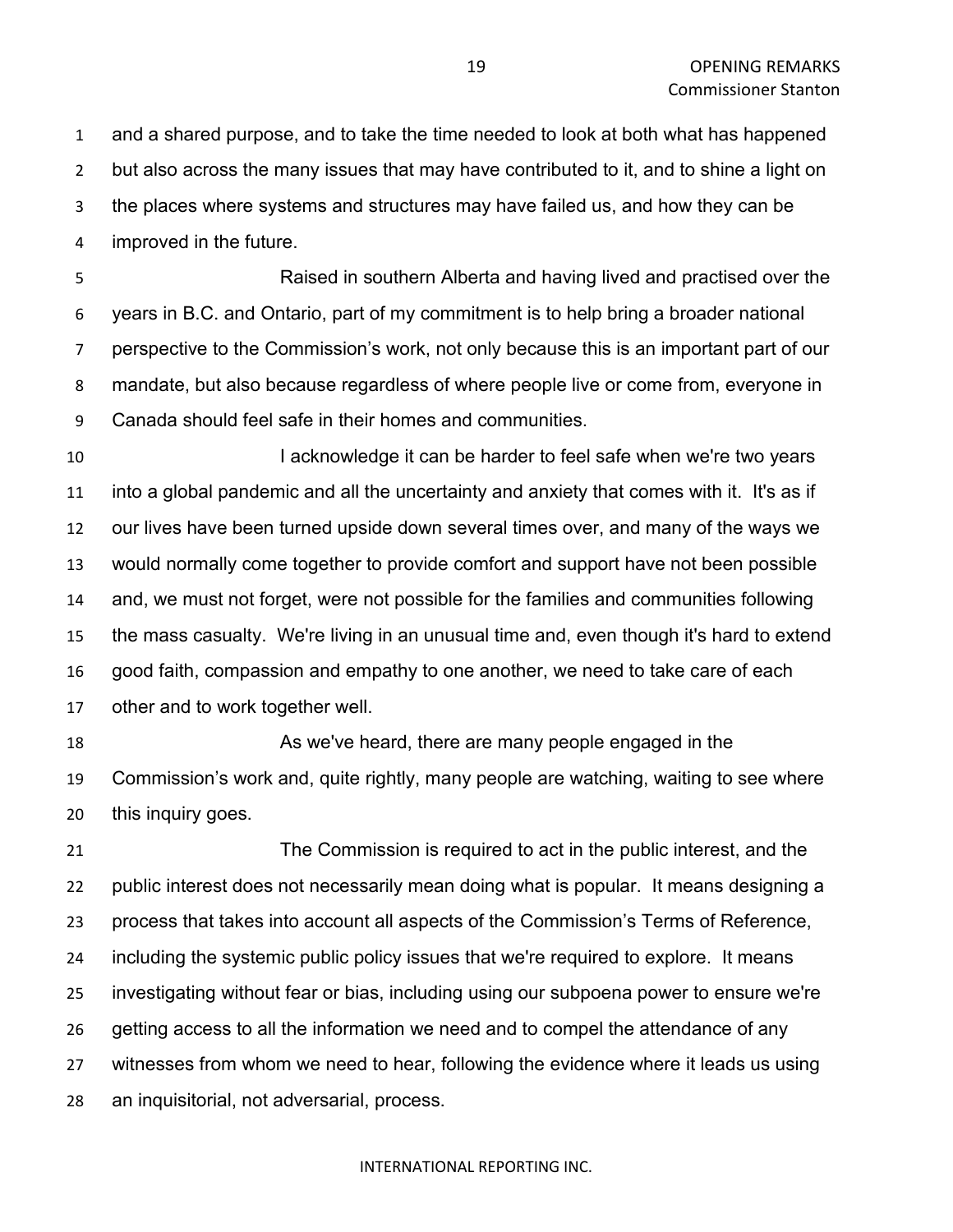and a shared purpose, and to take the time needed to look at both what has happened but also across the many issues that may have contributed to it, and to shine a light on the places where systems and structures may have failed us, and how they can be improved in the future.

 Raised in southern Alberta and having lived and practised over the years in B.C. and Ontario, part of my commitment is to help bring a broader national perspective to the Commission's work, not only because this is an important part of our mandate, but also because regardless of where people live or come from, everyone in Canada should feel safe in their homes and communities.

**I acknowledge it can be harder to feel safe when we're two years**  into a global pandemic and all the uncertainty and anxiety that comes with it. It's as if our lives have been turned upside down several times over, and many of the ways we would normally come together to provide comfort and support have not been possible and, we must not forget, were not possible for the families and communities following the mass casualty. We're living in an unusual time and, even though it's hard to extend good faith, compassion and empathy to one another, we need to take care of each other and to work together well.

 As we've heard, there are many people engaged in the Commission's work and, quite rightly, many people are watching, waiting to see where this inquiry goes.

 The Commission is required to act in the public interest, and the public interest does not necessarily mean doing what is popular. It means designing a process that takes into account all aspects of the Commission's Terms of Reference, including the systemic public policy issues that we're required to explore. It means investigating without fear or bias, including using our subpoena power to ensure we're getting access to all the information we need and to compel the attendance of any witnesses from whom we need to hear, following the evidence where it leads us using an inquisitorial, not adversarial, process.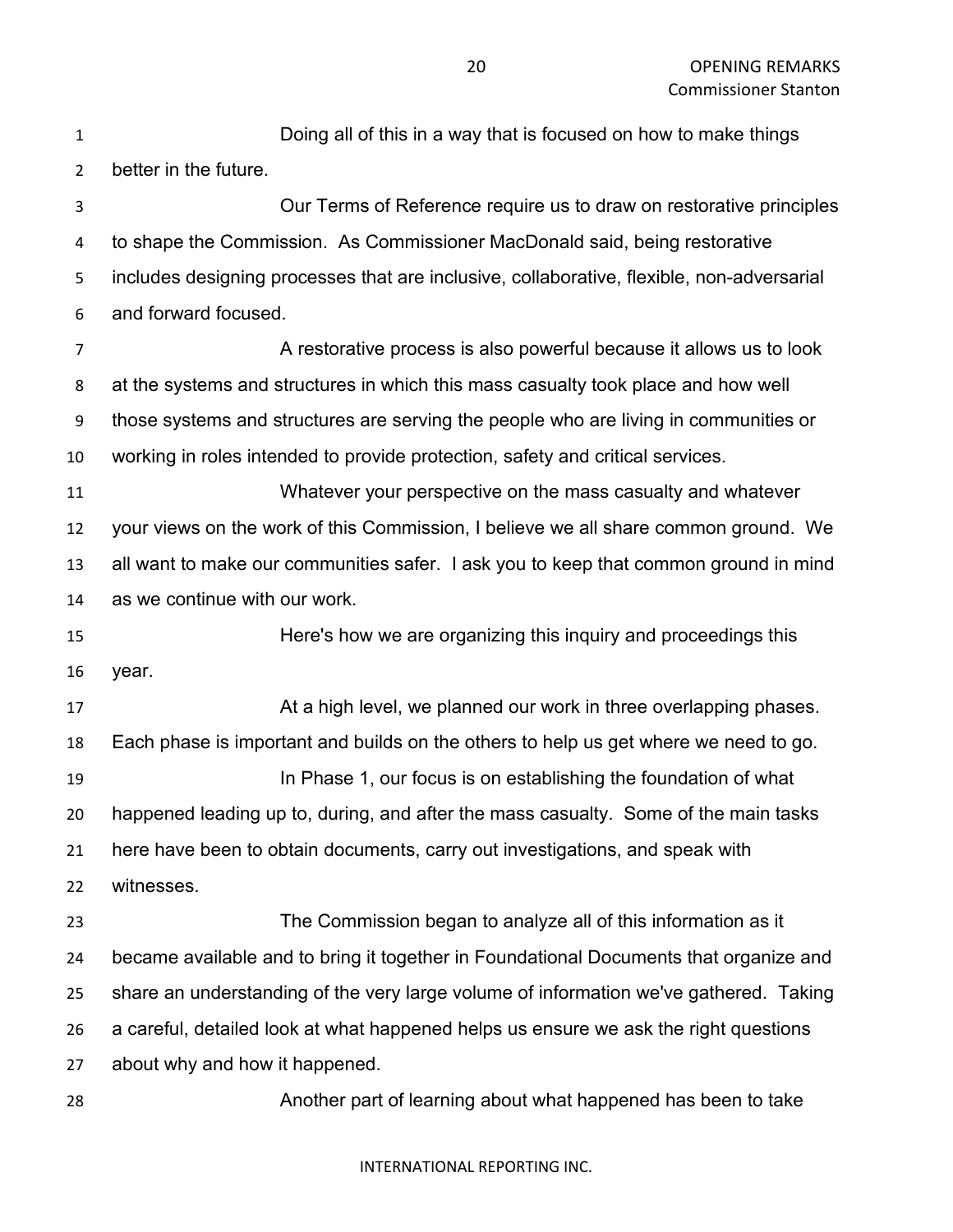Doing all of this in a way that is focused on how to make things better in the future. Our Terms of Reference require us to draw on restorative principles to shape the Commission. As Commissioner MacDonald said, being restorative includes designing processes that are inclusive, collaborative, flexible, non-adversarial and forward focused. A restorative process is also powerful because it allows us to look at the systems and structures in which this mass casualty took place and how well those systems and structures are serving the people who are living in communities or working in roles intended to provide protection, safety and critical services. Whatever your perspective on the mass casualty and whatever your views on the work of this Commission, I believe we all share common ground. We all want to make our communities safer. I ask you to keep that common ground in mind as we continue with our work. Here's how we are organizing this inquiry and proceedings this year. 17 At a high level, we planned our work in three overlapping phases. Each phase is important and builds on the others to help us get where we need to go. In Phase 1, our focus is on establishing the foundation of what happened leading up to, during, and after the mass casualty. Some of the main tasks here have been to obtain documents, carry out investigations, and speak with witnesses. The Commission began to analyze all of this information as it became available and to bring it together in Foundational Documents that organize and share an understanding of the very large volume of information we've gathered. Taking a careful, detailed look at what happened helps us ensure we ask the right questions about why and how it happened. Another part of learning about what happened has been to take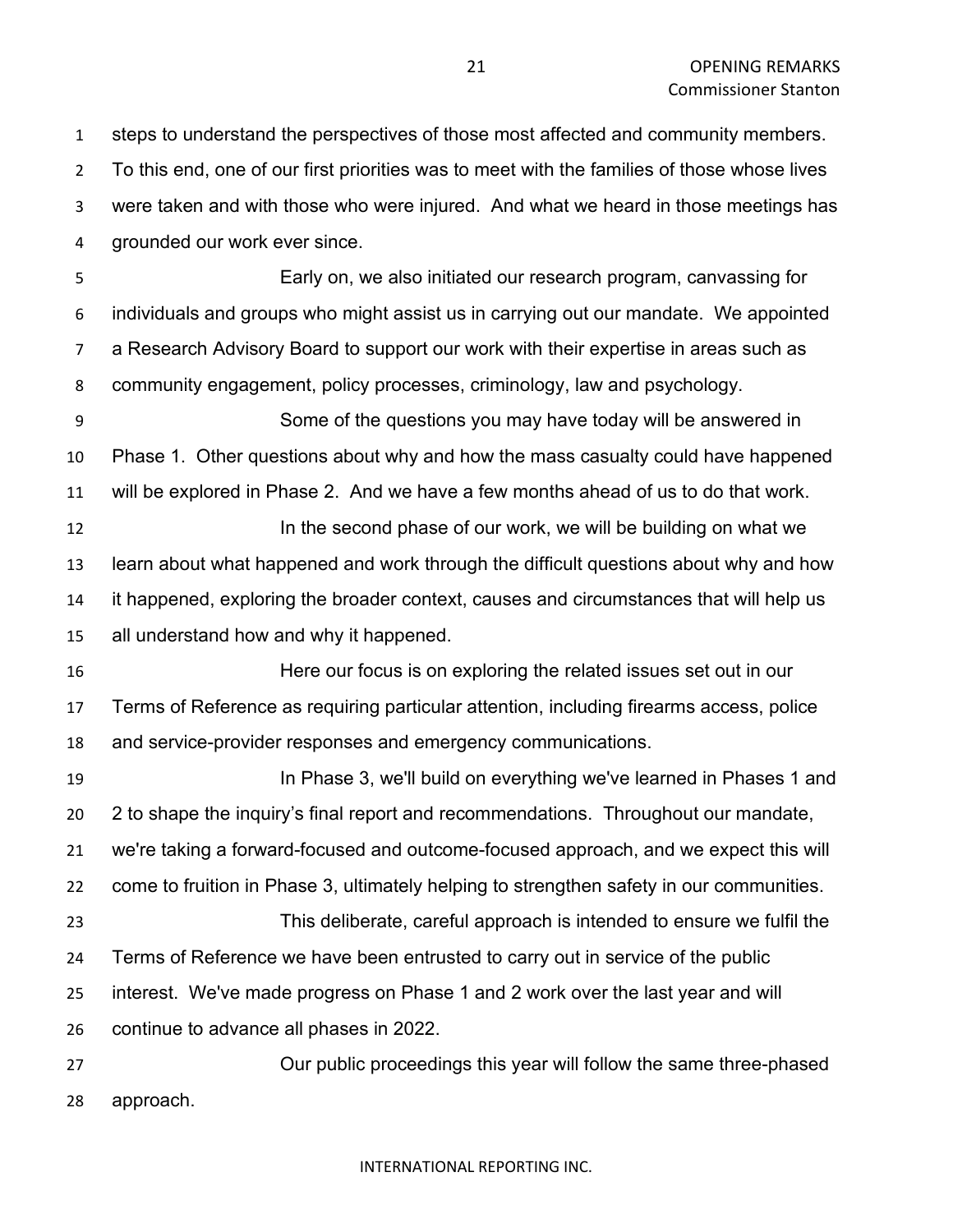steps to understand the perspectives of those most affected and community members. To this end, one of our first priorities was to meet with the families of those whose lives were taken and with those who were injured. And what we heard in those meetings has grounded our work ever since.

 Early on, we also initiated our research program, canvassing for individuals and groups who might assist us in carrying out our mandate. We appointed a Research Advisory Board to support our work with their expertise in areas such as community engagement, policy processes, criminology, law and psychology.

 Some of the questions you may have today will be answered in Phase 1. Other questions about why and how the mass casualty could have happened will be explored in Phase 2. And we have a few months ahead of us to do that work.

**In the second phase of our work, we will be building on what we**  learn about what happened and work through the difficult questions about why and how it happened, exploring the broader context, causes and circumstances that will help us all understand how and why it happened.

 Here our focus is on exploring the related issues set out in our Terms of Reference as requiring particular attention, including firearms access, police and service-provider responses and emergency communications.

 In Phase 3, we'll build on everything we've learned in Phases 1 and 2 to shape the inquiry's final report and recommendations. Throughout our mandate, we're taking a forward-focused and outcome-focused approach, and we expect this will come to fruition in Phase 3, ultimately helping to strengthen safety in our communities. This deliberate, careful approach is intended to ensure we fulfil the Terms of Reference we have been entrusted to carry out in service of the public interest. We've made progress on Phase 1 and 2 work over the last year and will continue to advance all phases in 2022.

 Our public proceedings this year will follow the same three-phased approach.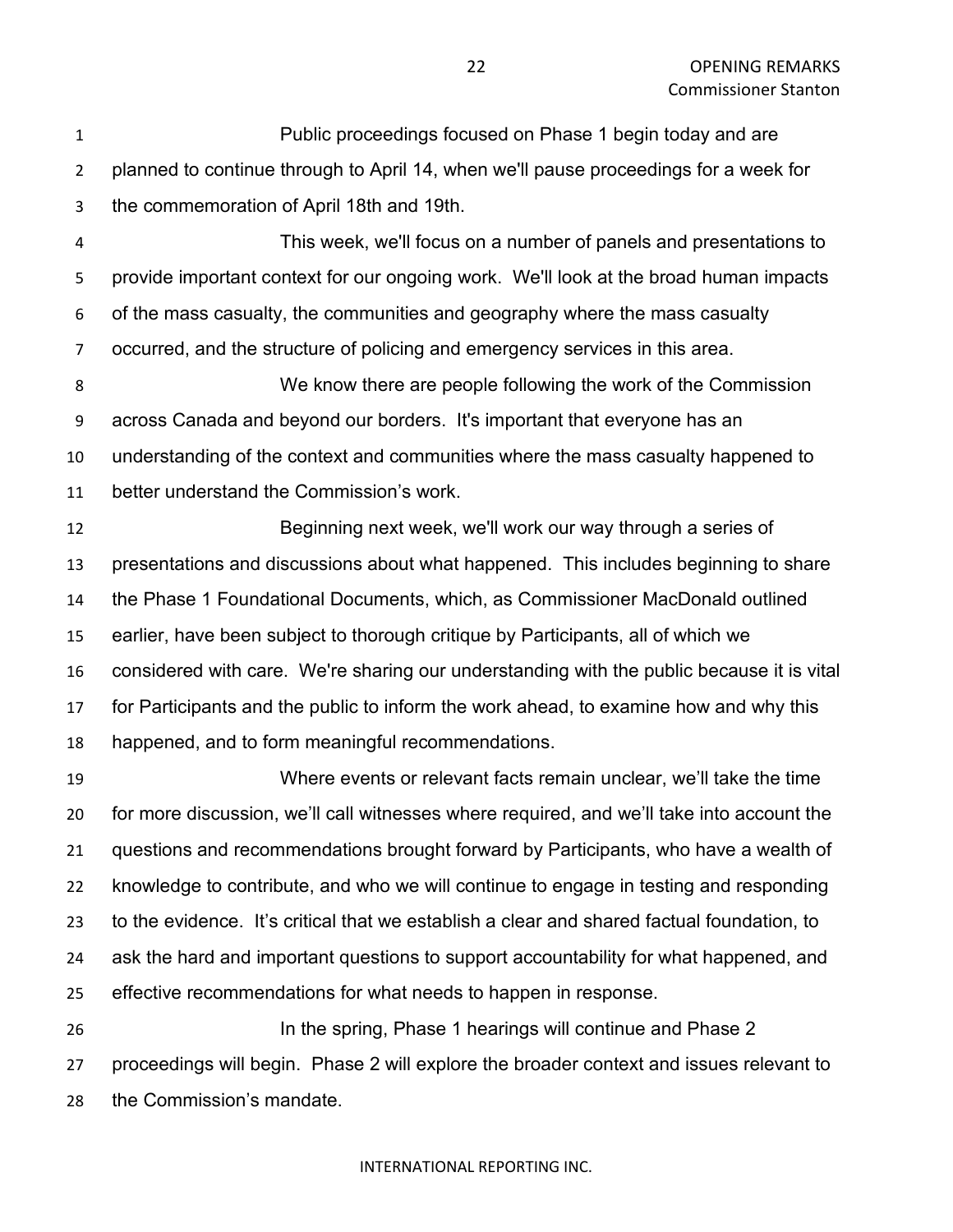Public proceedings focused on Phase 1 begin today and are planned to continue through to April 14, when we'll pause proceedings for a week for the commemoration of April 18th and 19th.

 This week, we'll focus on a number of panels and presentations to provide important context for our ongoing work. We'll look at the broad human impacts of the mass casualty, the communities and geography where the mass casualty occurred, and the structure of policing and emergency services in this area.

 We know there are people following the work of the Commission across Canada and beyond our borders. It's important that everyone has an understanding of the context and communities where the mass casualty happened to better understand the Commission's work.

 Beginning next week, we'll work our way through a series of presentations and discussions about what happened. This includes beginning to share the Phase 1 Foundational Documents, which, as Commissioner MacDonald outlined earlier, have been subject to thorough critique by Participants, all of which we considered with care. We're sharing our understanding with the public because it is vital for Participants and the public to inform the work ahead, to examine how and why this happened, and to form meaningful recommendations.

 Where events or relevant facts remain unclear, we'll take the time for more discussion, we'll call witnesses where required, and we'll take into account the questions and recommendations brought forward by Participants, who have a wealth of knowledge to contribute, and who we will continue to engage in testing and responding to the evidence. It's critical that we establish a clear and shared factual foundation, to ask the hard and important questions to support accountability for what happened, and effective recommendations for what needs to happen in response. In the spring, Phase 1 hearings will continue and Phase 2 proceedings will begin. Phase 2 will explore the broader context and issues relevant to

the Commission's mandate.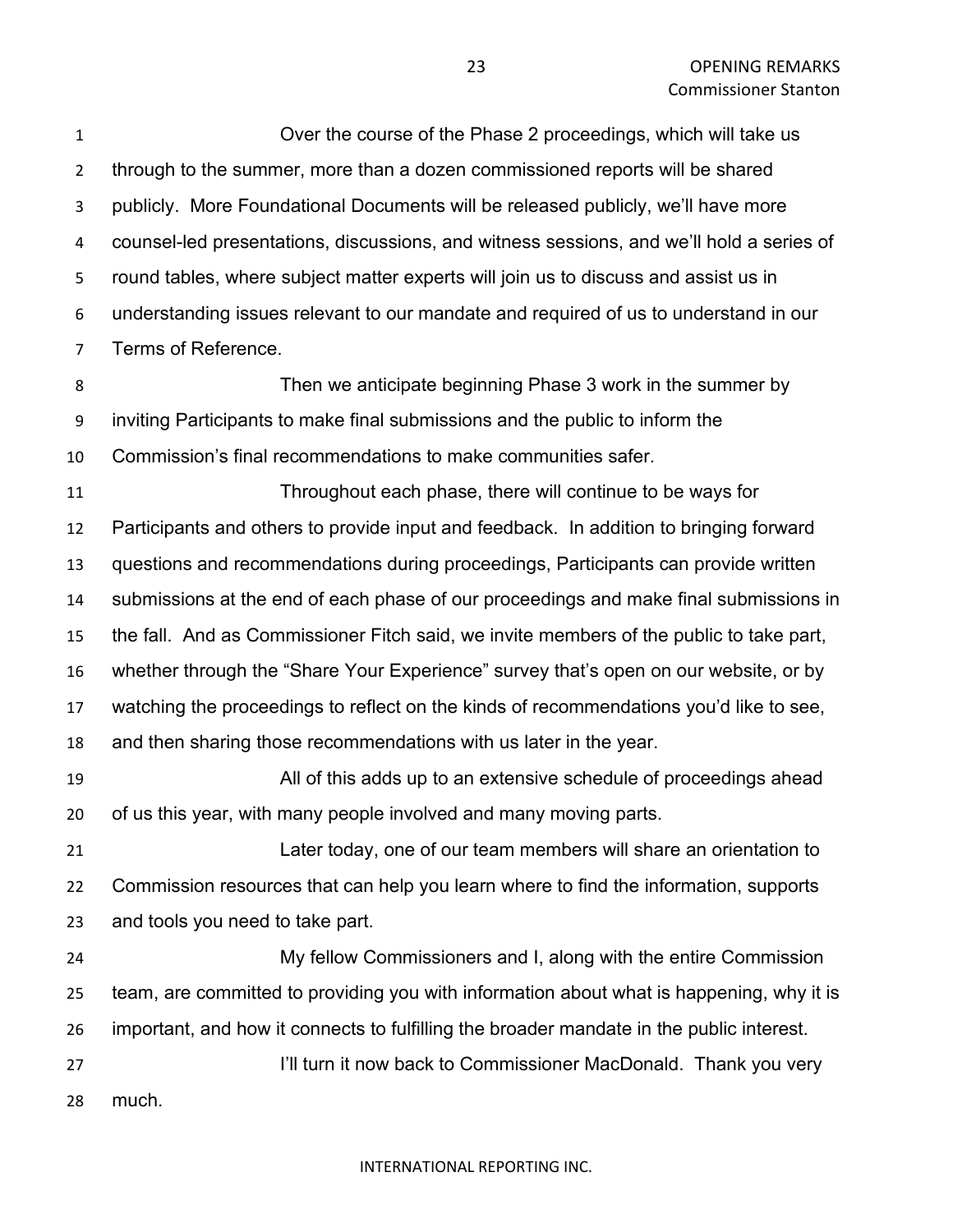Over the course of the Phase 2 proceedings, which will take us through to the summer, more than a dozen commissioned reports will be shared publicly. More Foundational Documents will be released publicly, we'll have more counsel-led presentations, discussions, and witness sessions, and we'll hold a series of round tables, where subject matter experts will join us to discuss and assist us in understanding issues relevant to our mandate and required of us to understand in our Terms of Reference.

 Then we anticipate beginning Phase 3 work in the summer by inviting Participants to make final submissions and the public to inform the Commission's final recommendations to make communities safer.

 Throughout each phase, there will continue to be ways for Participants and others to provide input and feedback. In addition to bringing forward questions and recommendations during proceedings, Participants can provide written submissions at the end of each phase of our proceedings and make final submissions in the fall. And as Commissioner Fitch said, we invite members of the public to take part, whether through the "Share Your Experience" survey that's open on our website, or by watching the proceedings to reflect on the kinds of recommendations you'd like to see, and then sharing those recommendations with us later in the year.

 All of this adds up to an extensive schedule of proceedings ahead of us this year, with many people involved and many moving parts.

 Later today, one of our team members will share an orientation to Commission resources that can help you learn where to find the information, supports and tools you need to take part.

 My fellow Commissioners and I, along with the entire Commission team, are committed to providing you with information about what is happening, why it is important, and how it connects to fulfilling the broader mandate in the public interest. **I'll turn it now back to Commissioner MacDonald. Thank you very** much.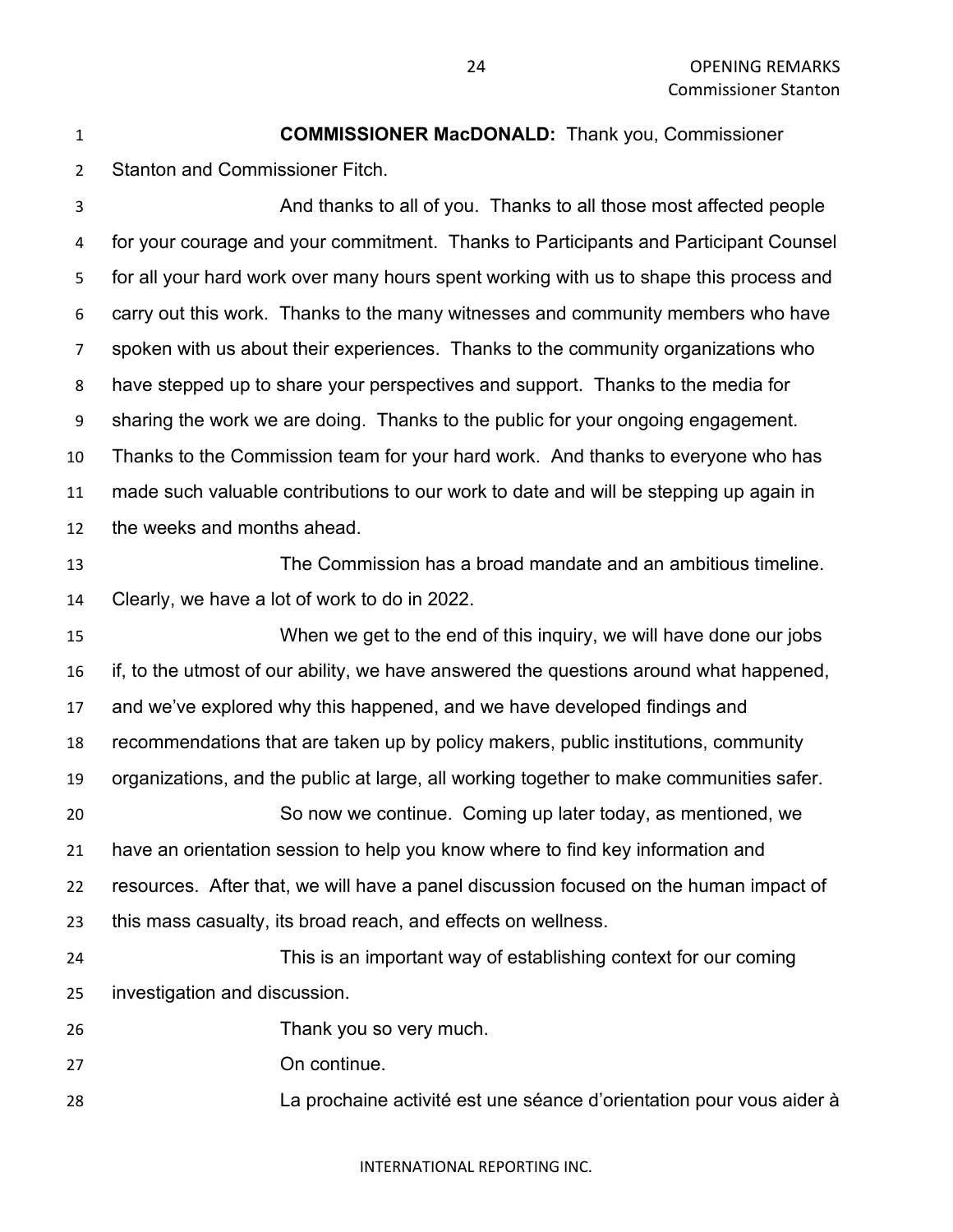**COMMISSIONER MacDONALD:** Thank you, Commissioner Stanton and Commissioner Fitch. And thanks to all of you. Thanks to all those most affected people for your courage and your commitment. Thanks to Participants and Participant Counsel for all your hard work over many hours spent working with us to shape this process and carry out this work. Thanks to the many witnesses and community members who have spoken with us about their experiences. Thanks to the community organizations who have stepped up to share your perspectives and support. Thanks to the media for sharing the work we are doing. Thanks to the public for your ongoing engagement.

 Thanks to the Commission team for your hard work. And thanks to everyone who has made such valuable contributions to our work to date and will be stepping up again in

the weeks and months ahead.

 The Commission has a broad mandate and an ambitious timeline. Clearly, we have a lot of work to do in 2022.

 When we get to the end of this inquiry, we will have done our jobs if, to the utmost of our ability, we have answered the questions around what happened, and we've explored why this happened, and we have developed findings and recommendations that are taken up by policy makers, public institutions, community organizations, and the public at large, all working together to make communities safer. So now we continue. Coming up later today, as mentioned, we have an orientation session to help you know where to find key information and resources. After that, we will have a panel discussion focused on the human impact of this mass casualty, its broad reach, and effects on wellness. This is an important way of establishing context for our coming

investigation and discussion.

Thank you so very much.

On continue.

La prochaine activité est une séance d'orientation pour vous aider à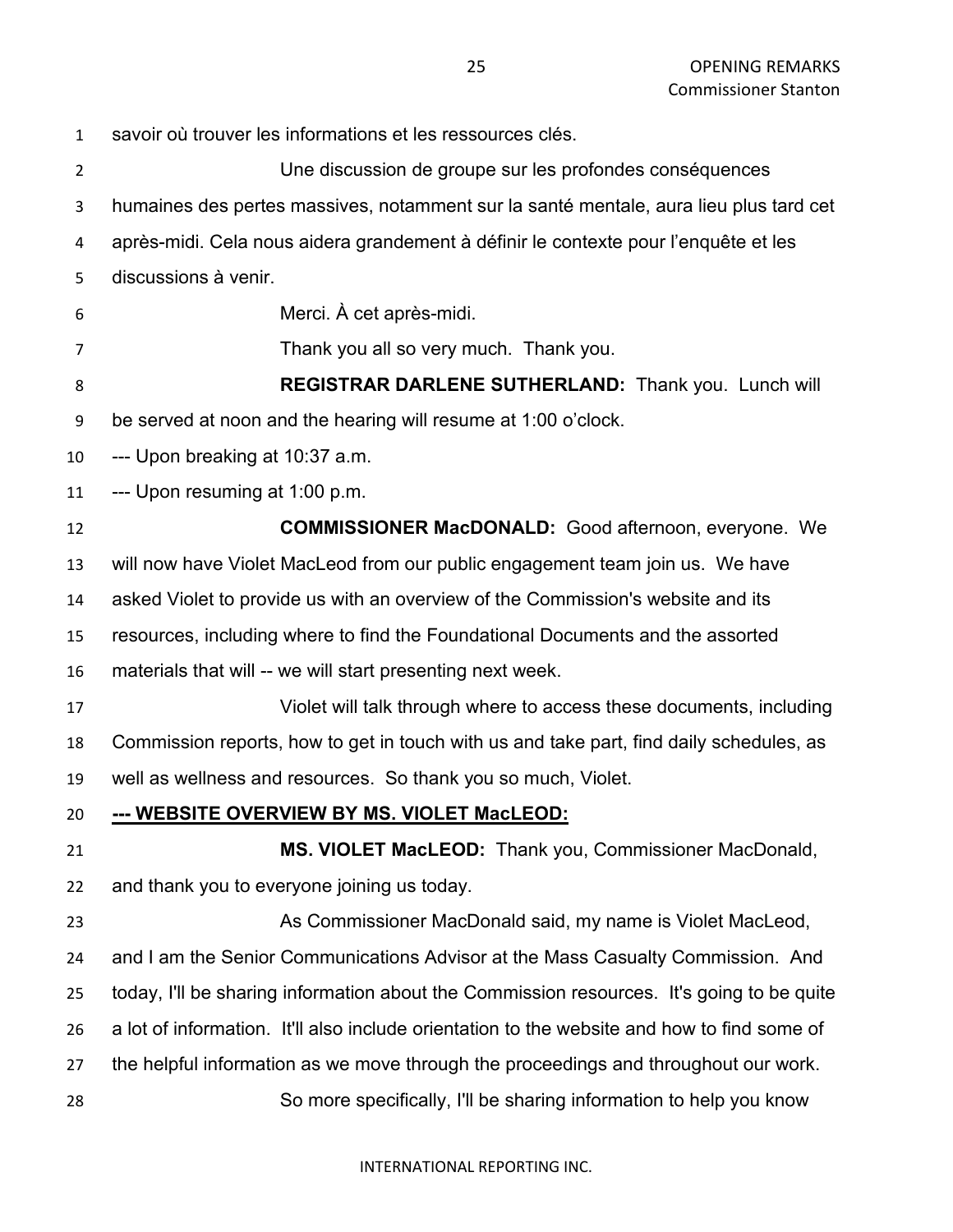savoir où trouver les informations et les ressources clés. Une discussion de groupe sur les profondes conséquences humaines des pertes massives, notamment sur la santé mentale, aura lieu plus tard cet après-midi. Cela nous aidera grandement à définir le contexte pour l'enquête et les discussions à venir. Merci. À cet après-midi. Thank you all so very much. Thank you. **REGISTRAR DARLENE SUTHERLAND:** Thank you. Lunch will be served at noon and the hearing will resume at 1:00 o'clock. --- Upon breaking at 10:37 a.m. --- Upon resuming at 1:00 p.m. **COMMISSIONER MacDONALD:** Good afternoon, everyone. We will now have Violet MacLeod from our public engagement team join us. We have asked Violet to provide us with an overview of the Commission's website and its resources, including where to find the Foundational Documents and the assorted materials that will -- we will start presenting next week. Violet will talk through where to access these documents, including Commission reports, how to get in touch with us and take part, find daily schedules, as well as wellness and resources. So thank you so much, Violet. **--- WEBSITE OVERVIEW BY MS. VIOLET MacLEOD: MS. VIOLET MacLEOD:** Thank you, Commissioner MacDonald, and thank you to everyone joining us today. As Commissioner MacDonald said, my name is Violet MacLeod, and I am the Senior Communications Advisor at the Mass Casualty Commission. And today, I'll be sharing information about the Commission resources. It's going to be quite a lot of information. It'll also include orientation to the website and how to find some of the helpful information as we move through the proceedings and throughout our work. So more specifically, I'll be sharing information to help you know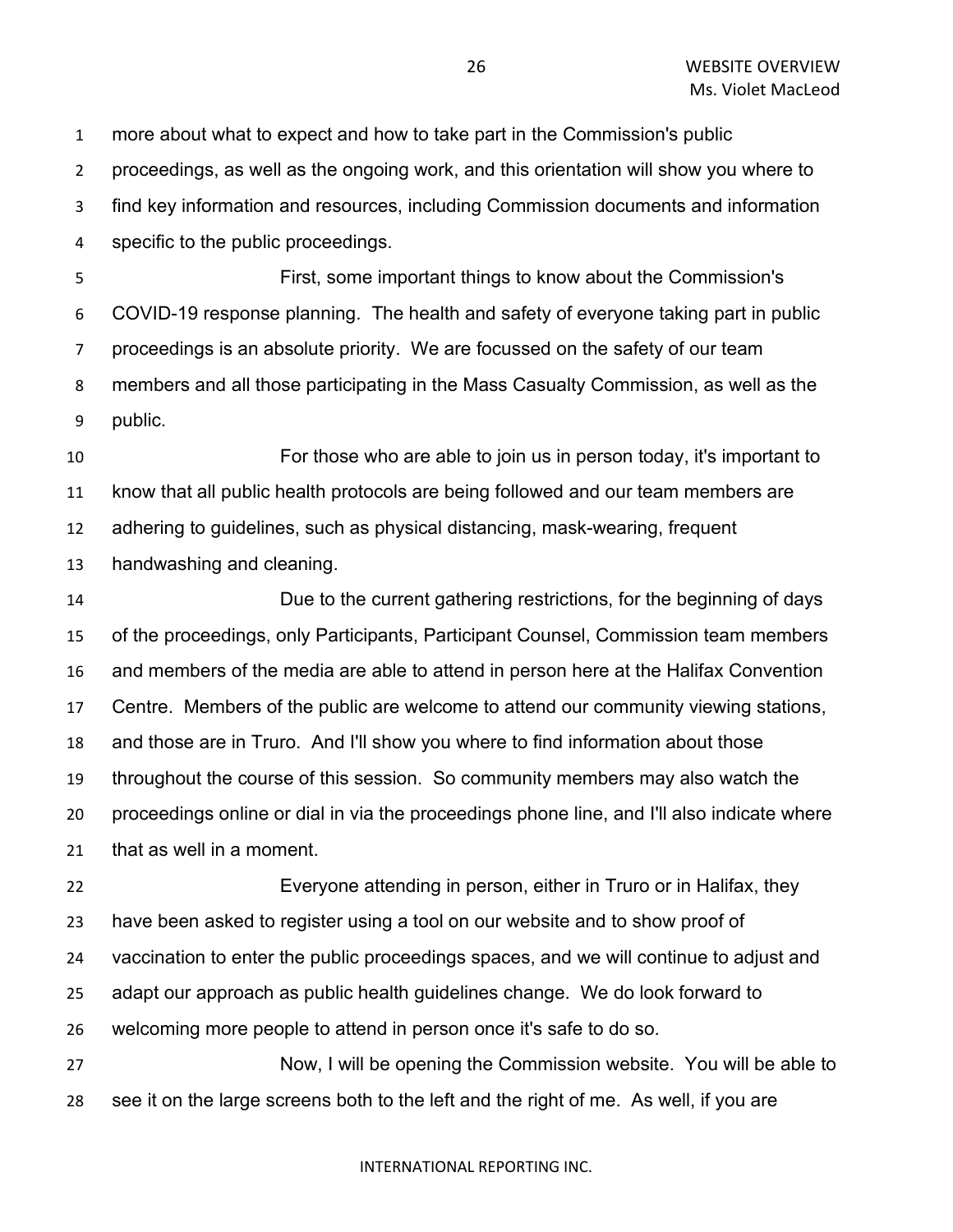more about what to expect and how to take part in the Commission's public

proceedings, as well as the ongoing work, and this orientation will show you where to

find key information and resources, including Commission documents and information

specific to the public proceedings.

 First, some important things to know about the Commission's COVID-19 response planning. The health and safety of everyone taking part in public proceedings is an absolute priority. We are focussed on the safety of our team members and all those participating in the Mass Casualty Commission, as well as the public.

 For those who are able to join us in person today, it's important to know that all public health protocols are being followed and our team members are adhering to guidelines, such as physical distancing, mask-wearing, frequent

handwashing and cleaning.

 Due to the current gathering restrictions, for the beginning of days of the proceedings, only Participants, Participant Counsel, Commission team members and members of the media are able to attend in person here at the Halifax Convention Centre. Members of the public are welcome to attend our community viewing stations, and those are in Truro. And I'll show you where to find information about those throughout the course of this session. So community members may also watch the proceedings online or dial in via the proceedings phone line, and I'll also indicate where that as well in a moment.

 Everyone attending in person, either in Truro or in Halifax, they have been asked to register using a tool on our website and to show proof of vaccination to enter the public proceedings spaces, and we will continue to adjust and adapt our approach as public health guidelines change. We do look forward to welcoming more people to attend in person once it's safe to do so.

 Now, I will be opening the Commission website. You will be able to see it on the large screens both to the left and the right of me. As well, if you are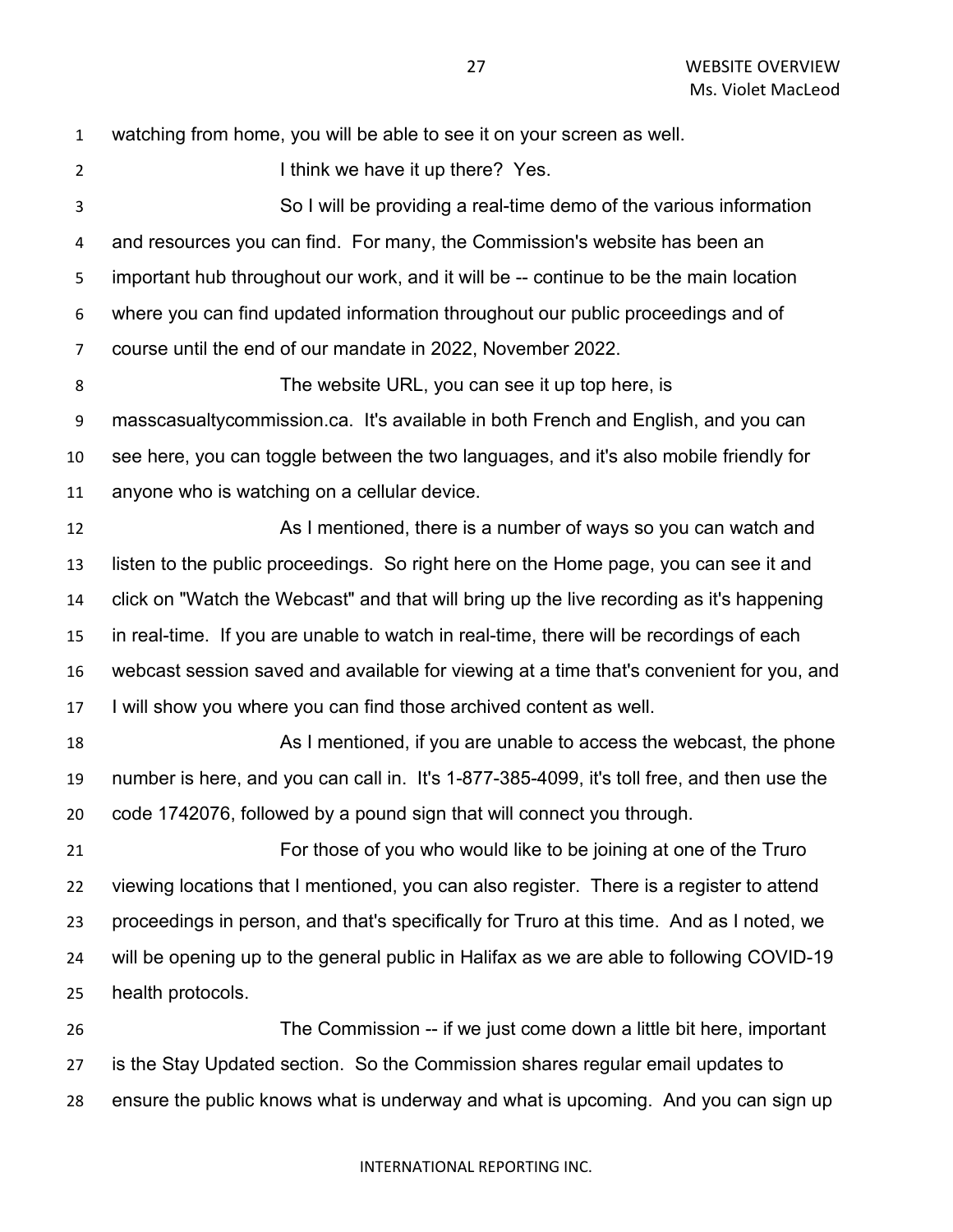watching from home, you will be able to see it on your screen as well. 2 I think we have it up there? Yes. So I will be providing a real-time demo of the various information and resources you can find. For many, the Commission's website has been an important hub throughout our work, and it will be -- continue to be the main location where you can find updated information throughout our public proceedings and of course until the end of our mandate in 2022, November 2022. The website URL, you can see it up top here, is masscasualtycommission.ca. It's available in both French and English, and you can see here, you can toggle between the two languages, and it's also mobile friendly for anyone who is watching on a cellular device. As I mentioned, there is a number of ways so you can watch and listen to the public proceedings. So right here on the Home page, you can see it and click on "Watch the Webcast" and that will bring up the live recording as it's happening in real-time. If you are unable to watch in real-time, there will be recordings of each webcast session saved and available for viewing at a time that's convenient for you, and I will show you where you can find those archived content as well. As I mentioned, if you are unable to access the webcast, the phone number is here, and you can call in. It's 1-877-385-4099, it's toll free, and then use the code 1742076, followed by a pound sign that will connect you through. For those of you who would like to be joining at one of the Truro viewing locations that I mentioned, you can also register. There is a register to attend proceedings in person, and that's specifically for Truro at this time. And as I noted, we will be opening up to the general public in Halifax as we are able to following COVID-19 health protocols. The Commission -- if we just come down a little bit here, important is the Stay Updated section. So the Commission shares regular email updates to ensure the public knows what is underway and what is upcoming. And you can sign up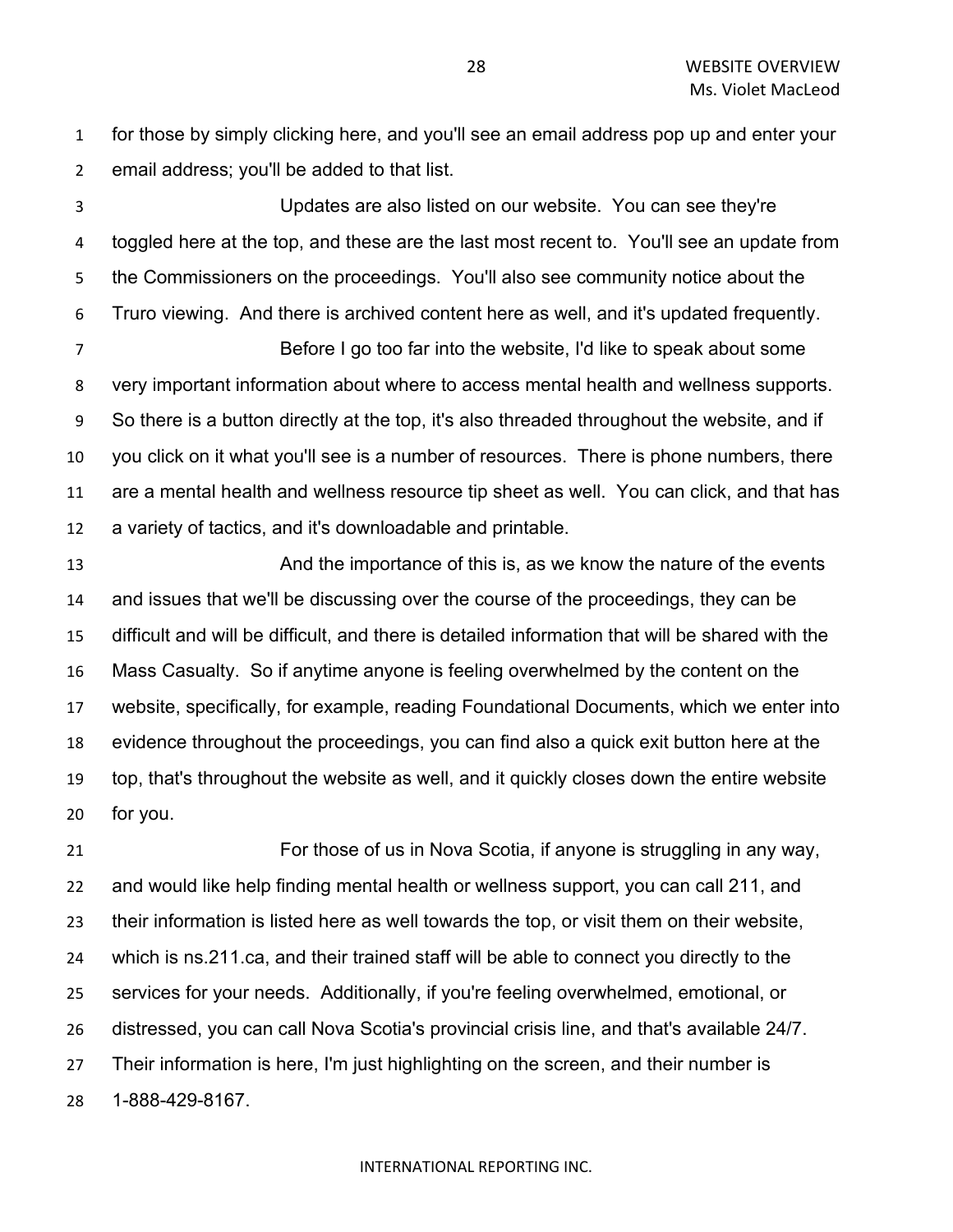for those by simply clicking here, and you'll see an email address pop up and enter your email address; you'll be added to that list.

 Updates are also listed on our website. You can see they're toggled here at the top, and these are the last most recent to. You'll see an update from the Commissioners on the proceedings. You'll also see community notice about the Truro viewing. And there is archived content here as well, and it's updated frequently.

 Before I go too far into the website, I'd like to speak about some very important information about where to access mental health and wellness supports. So there is a button directly at the top, it's also threaded throughout the website, and if you click on it what you'll see is a number of resources. There is phone numbers, there are a mental health and wellness resource tip sheet as well. You can click, and that has a variety of tactics, and it's downloadable and printable.

 And the importance of this is, as we know the nature of the events and issues that we'll be discussing over the course of the proceedings, they can be difficult and will be difficult, and there is detailed information that will be shared with the Mass Casualty. So if anytime anyone is feeling overwhelmed by the content on the website, specifically, for example, reading Foundational Documents, which we enter into evidence throughout the proceedings, you can find also a quick exit button here at the top, that's throughout the website as well, and it quickly closes down the entire website for you.

 For those of us in Nova Scotia, if anyone is struggling in any way, and would like help finding mental health or wellness support, you can call 211, and their information is listed here as well towards the top, or visit them on their website, which is ns.211.ca, and their trained staff will be able to connect you directly to the services for your needs. Additionally, if you're feeling overwhelmed, emotional, or distressed, you can call Nova Scotia's provincial crisis line, and that's available 24/7. Their information is here, I'm just highlighting on the screen, and their number is 1-888-429-8167.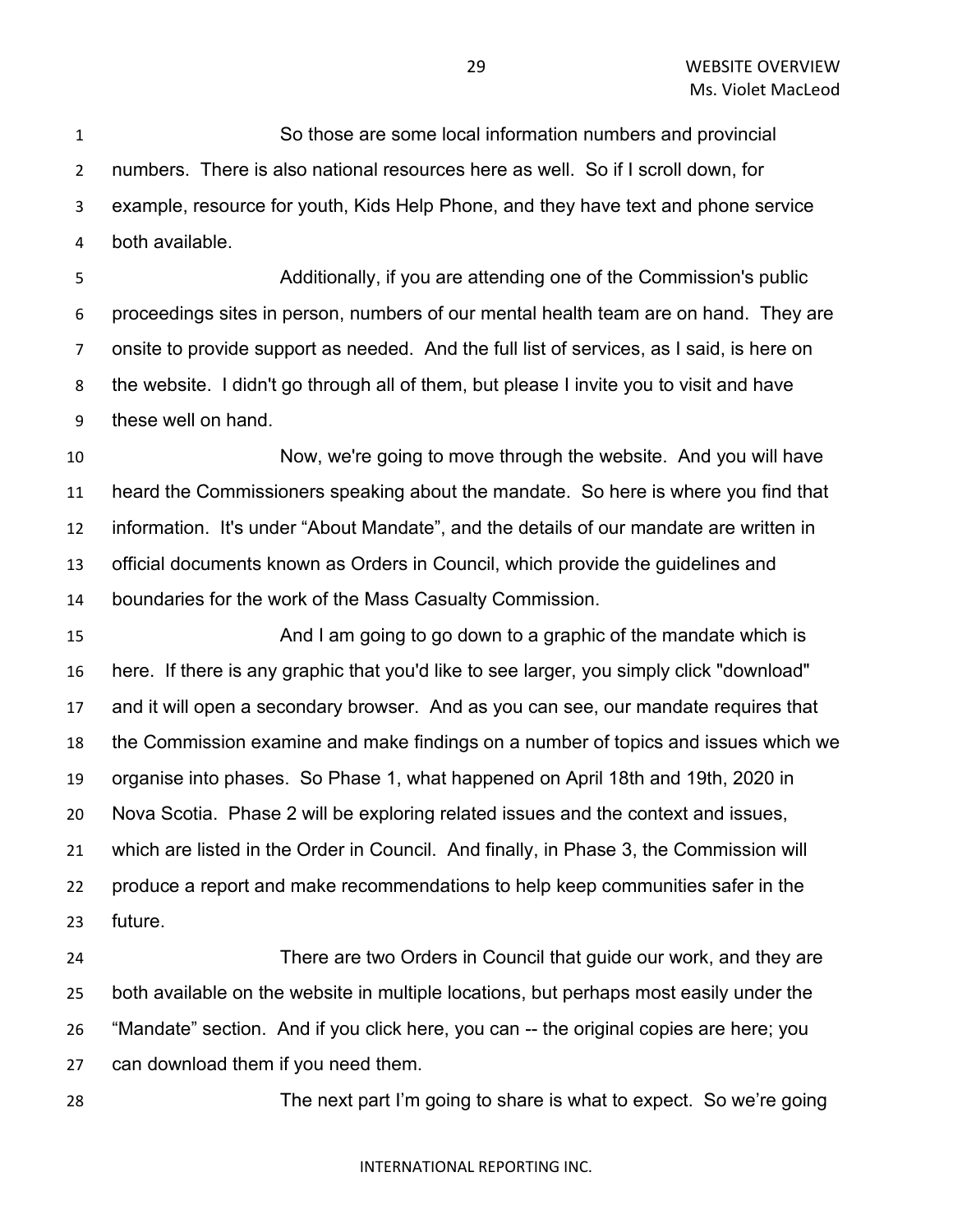So those are some local information numbers and provincial numbers. There is also national resources here as well. So if I scroll down, for example, resource for youth, Kids Help Phone, and they have text and phone service both available.

 Additionally, if you are attending one of the Commission's public proceedings sites in person, numbers of our mental health team are on hand. They are onsite to provide support as needed. And the full list of services, as I said, is here on the website. I didn't go through all of them, but please I invite you to visit and have these well on hand.

 Now, we're going to move through the website. And you will have heard the Commissioners speaking about the mandate. So here is where you find that information. It's under "About Mandate", and the details of our mandate are written in official documents known as Orders in Council, which provide the guidelines and boundaries for the work of the Mass Casualty Commission.

 And I am going to go down to a graphic of the mandate which is here. If there is any graphic that you'd like to see larger, you simply click "download" and it will open a secondary browser. And as you can see, our mandate requires that the Commission examine and make findings on a number of topics and issues which we organise into phases. So Phase 1, what happened on April 18th and 19th, 2020 in Nova Scotia. Phase 2 will be exploring related issues and the context and issues, which are listed in the Order in Council. And finally, in Phase 3, the Commission will produce a report and make recommendations to help keep communities safer in the future.

 There are two Orders in Council that guide our work, and they are both available on the website in multiple locations, but perhaps most easily under the "Mandate" section. And if you click here, you can -- the original copies are here; you can download them if you need them.

The next part I'm going to share is what to expect. So we're going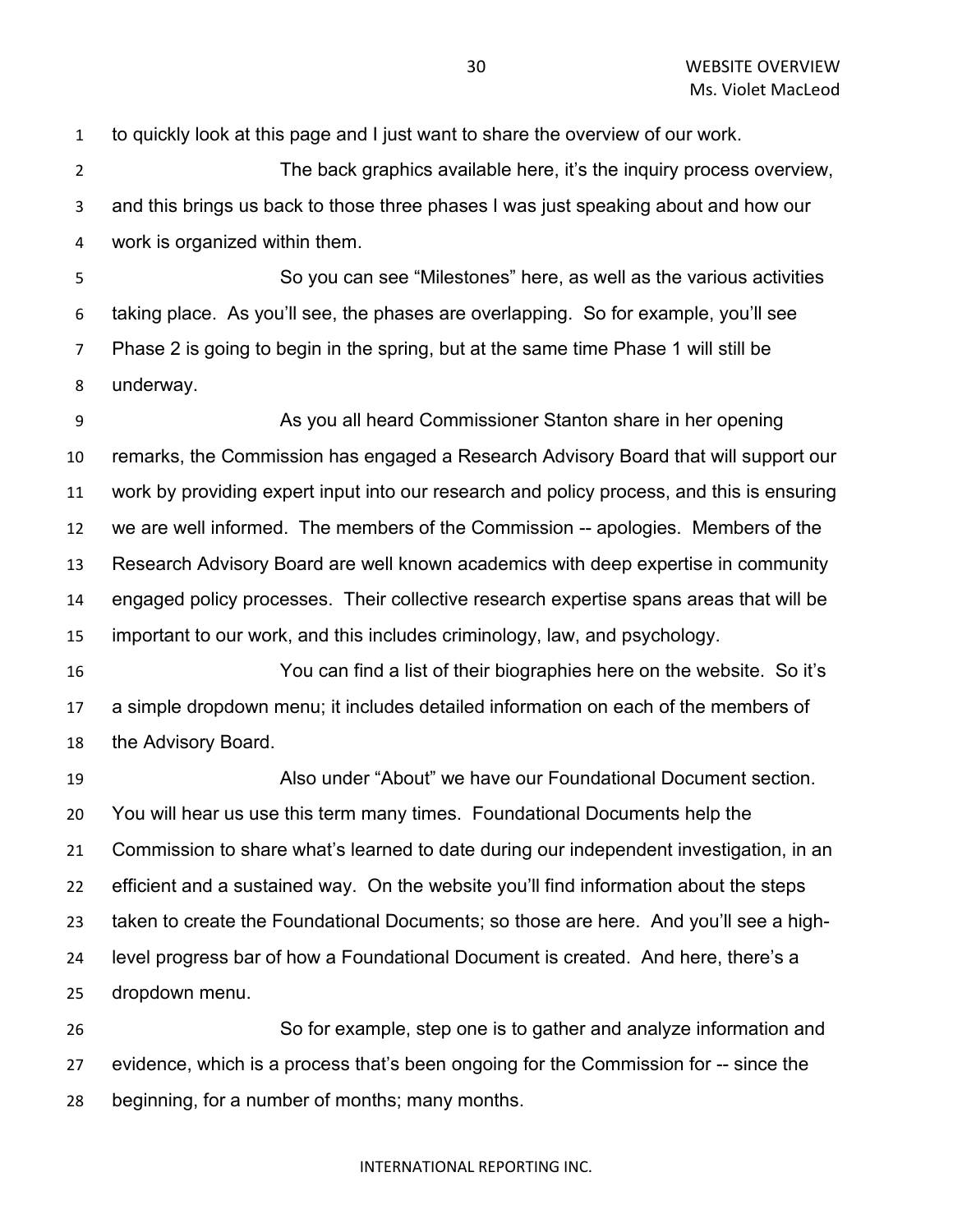to quickly look at this page and I just want to share the overview of our work.

 The back graphics available here, it's the inquiry process overview, and this brings us back to those three phases I was just speaking about and how our work is organized within them.

 So you can see "Milestones" here, as well as the various activities taking place. As you'll see, the phases are overlapping. So for example, you'll see Phase 2 is going to begin in the spring, but at the same time Phase 1 will still be underway.

 As you all heard Commissioner Stanton share in her opening remarks, the Commission has engaged a Research Advisory Board that will support our work by providing expert input into our research and policy process, and this is ensuring we are well informed. The members of the Commission -- apologies. Members of the Research Advisory Board are well known academics with deep expertise in community engaged policy processes. Their collective research expertise spans areas that will be important to our work, and this includes criminology, law, and psychology.

 You can find a list of their biographies here on the website. So it's a simple dropdown menu; it includes detailed information on each of the members of the Advisory Board.

 Also under "About" we have our Foundational Document section. You will hear us use this term many times. Foundational Documents help the Commission to share what's learned to date during our independent investigation, in an efficient and a sustained way. On the website you'll find information about the steps taken to create the Foundational Documents; so those are here. And you'll see a high- level progress bar of how a Foundational Document is created. And here, there's a dropdown menu.

 So for example, step one is to gather and analyze information and evidence, which is a process that's been ongoing for the Commission for -- since the beginning, for a number of months; many months.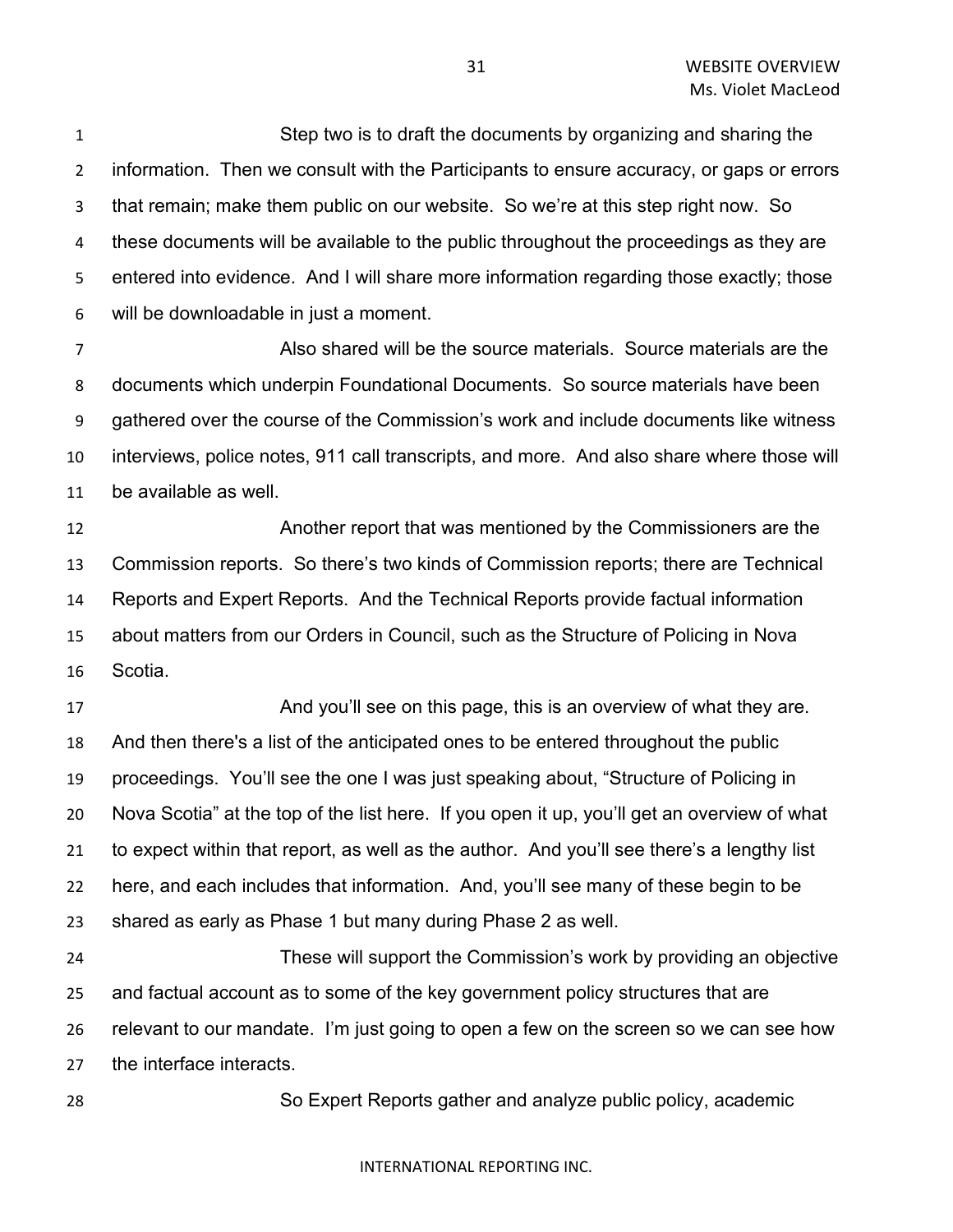Step two is to draft the documents by organizing and sharing the information. Then we consult with the Participants to ensure accuracy, or gaps or errors that remain; make them public on our website. So we're at this step right now. So these documents will be available to the public throughout the proceedings as they are entered into evidence. And I will share more information regarding those exactly; those will be downloadable in just a moment.

 Also shared will be the source materials. Source materials are the documents which underpin Foundational Documents. So source materials have been gathered over the course of the Commission's work and include documents like witness interviews, police notes, 911 call transcripts, and more. And also share where those will be available as well.

 Another report that was mentioned by the Commissioners are the Commission reports. So there's two kinds of Commission reports; there are Technical Reports and Expert Reports. And the Technical Reports provide factual information about matters from our Orders in Council, such as the Structure of Policing in Nova Scotia.

17 And you'll see on this page, this is an overview of what they are. And then there's a list of the anticipated ones to be entered throughout the public proceedings. You'll see the one I was just speaking about, "Structure of Policing in Nova Scotia" at the top of the list here. If you open it up, you'll get an overview of what to expect within that report, as well as the author. And you'll see there's a lengthy list here, and each includes that information. And, you'll see many of these begin to be shared as early as Phase 1 but many during Phase 2 as well.

 These will support the Commission's work by providing an objective and factual account as to some of the key government policy structures that are relevant to our mandate. I'm just going to open a few on the screen so we can see how the interface interacts.

So Expert Reports gather and analyze public policy, academic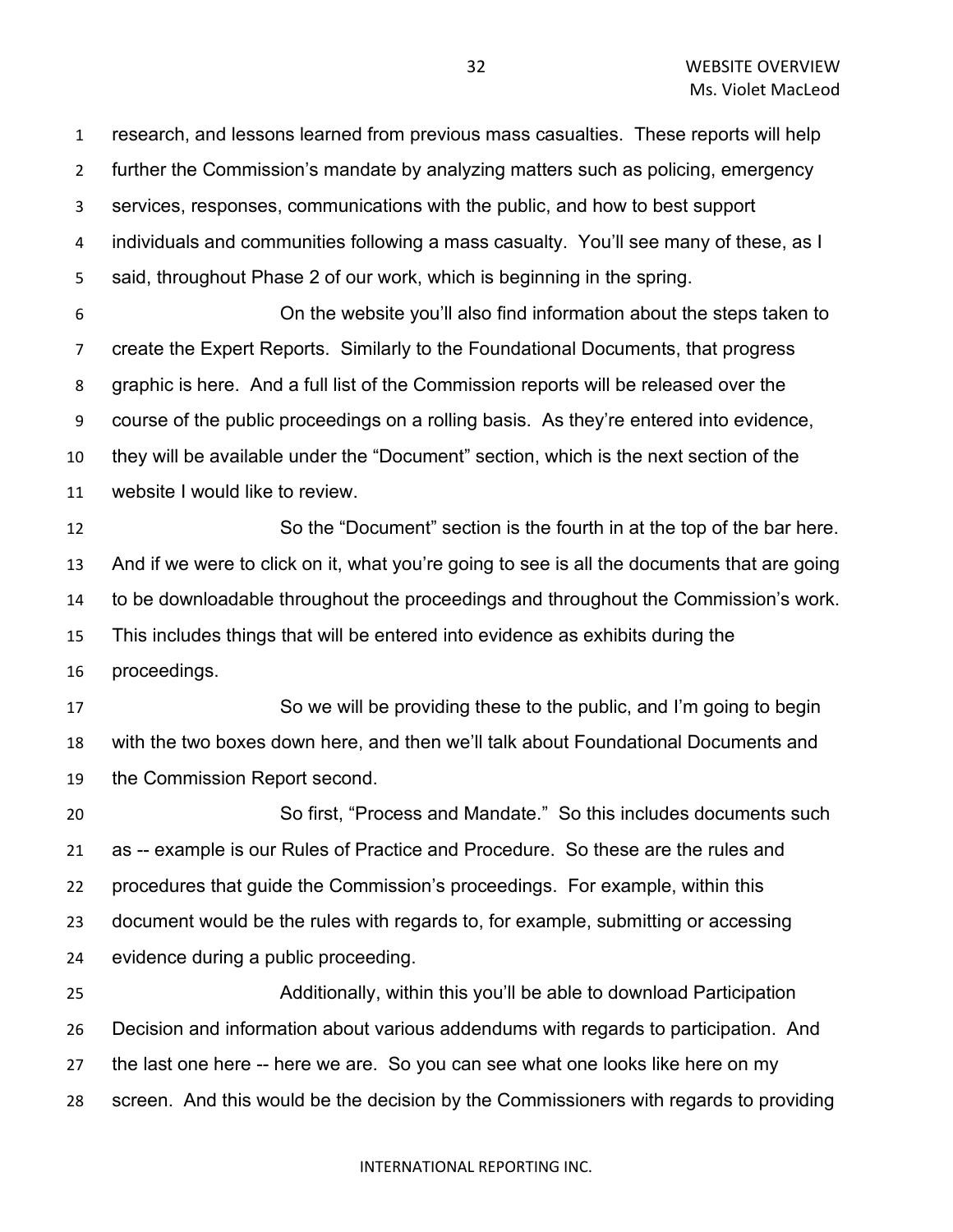research, and lessons learned from previous mass casualties. These reports will help further the Commission's mandate by analyzing matters such as policing, emergency services, responses, communications with the public, and how to best support individuals and communities following a mass casualty. You'll see many of these, as I said, throughout Phase 2 of our work, which is beginning in the spring. On the website you'll also find information about the steps taken to create the Expert Reports. Similarly to the Foundational Documents, that progress graphic is here. And a full list of the Commission reports will be released over the course of the public proceedings on a rolling basis. As they're entered into evidence, they will be available under the "Document" section, which is the next section of the website I would like to review. So the "Document" section is the fourth in at the top of the bar here. And if we were to click on it, what you're going to see is all the documents that are going to be downloadable throughout the proceedings and throughout the Commission's work. This includes things that will be entered into evidence as exhibits during the proceedings. So we will be providing these to the public, and I'm going to begin with the two boxes down here, and then we'll talk about Foundational Documents and the Commission Report second. So first, "Process and Mandate." So this includes documents such as -- example is our Rules of Practice and Procedure. So these are the rules and procedures that guide the Commission's proceedings. For example, within this document would be the rules with regards to, for example, submitting or accessing evidence during a public proceeding. Additionally, within this you'll be able to download Participation Decision and information about various addendums with regards to participation. And the last one here -- here we are. So you can see what one looks like here on my screen. And this would be the decision by the Commissioners with regards to providing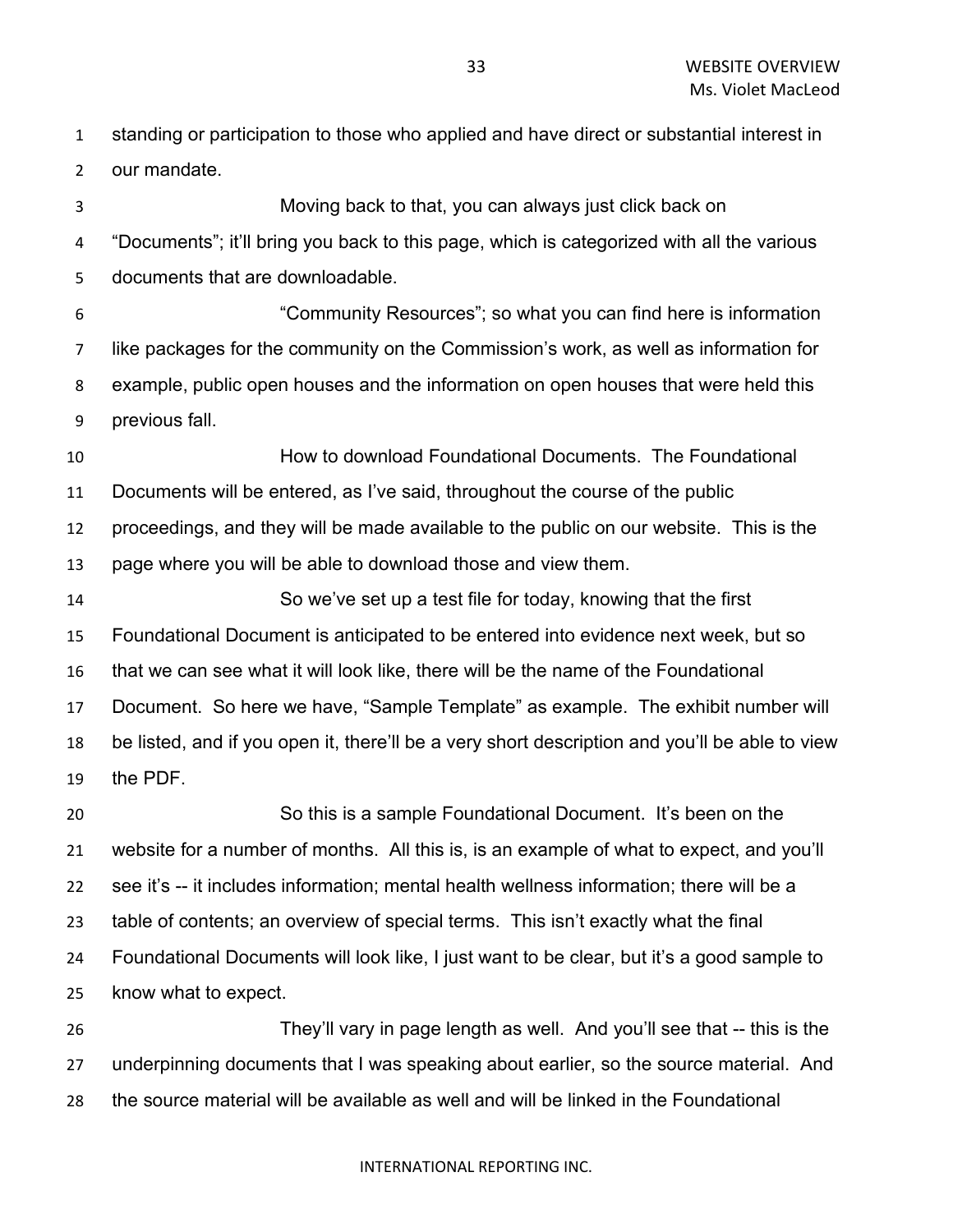standing or participation to those who applied and have direct or substantial interest in our mandate.

 Moving back to that, you can always just click back on "Documents"; it'll bring you back to this page, which is categorized with all the various documents that are downloadable. "Community Resources"; so what you can find here is information like packages for the community on the Commission's work, as well as information for example, public open houses and the information on open houses that were held this

previous fall.

 How to download Foundational Documents. The Foundational Documents will be entered, as I've said, throughout the course of the public proceedings, and they will be made available to the public on our website. This is the page where you will be able to download those and view them.

 So we've set up a test file for today, knowing that the first Foundational Document is anticipated to be entered into evidence next week, but so that we can see what it will look like, there will be the name of the Foundational Document. So here we have, "Sample Template" as example. The exhibit number will be listed, and if you open it, there'll be a very short description and you'll be able to view the PDF.

 So this is a sample Foundational Document. It's been on the website for a number of months. All this is, is an example of what to expect, and you'll see it's -- it includes information; mental health wellness information; there will be a table of contents; an overview of special terms. This isn't exactly what the final Foundational Documents will look like, I just want to be clear, but it's a good sample to know what to expect. They'll vary in page length as well. And you'll see that -- this is the

 underpinning documents that I was speaking about earlier, so the source material. And the source material will be available as well and will be linked in the Foundational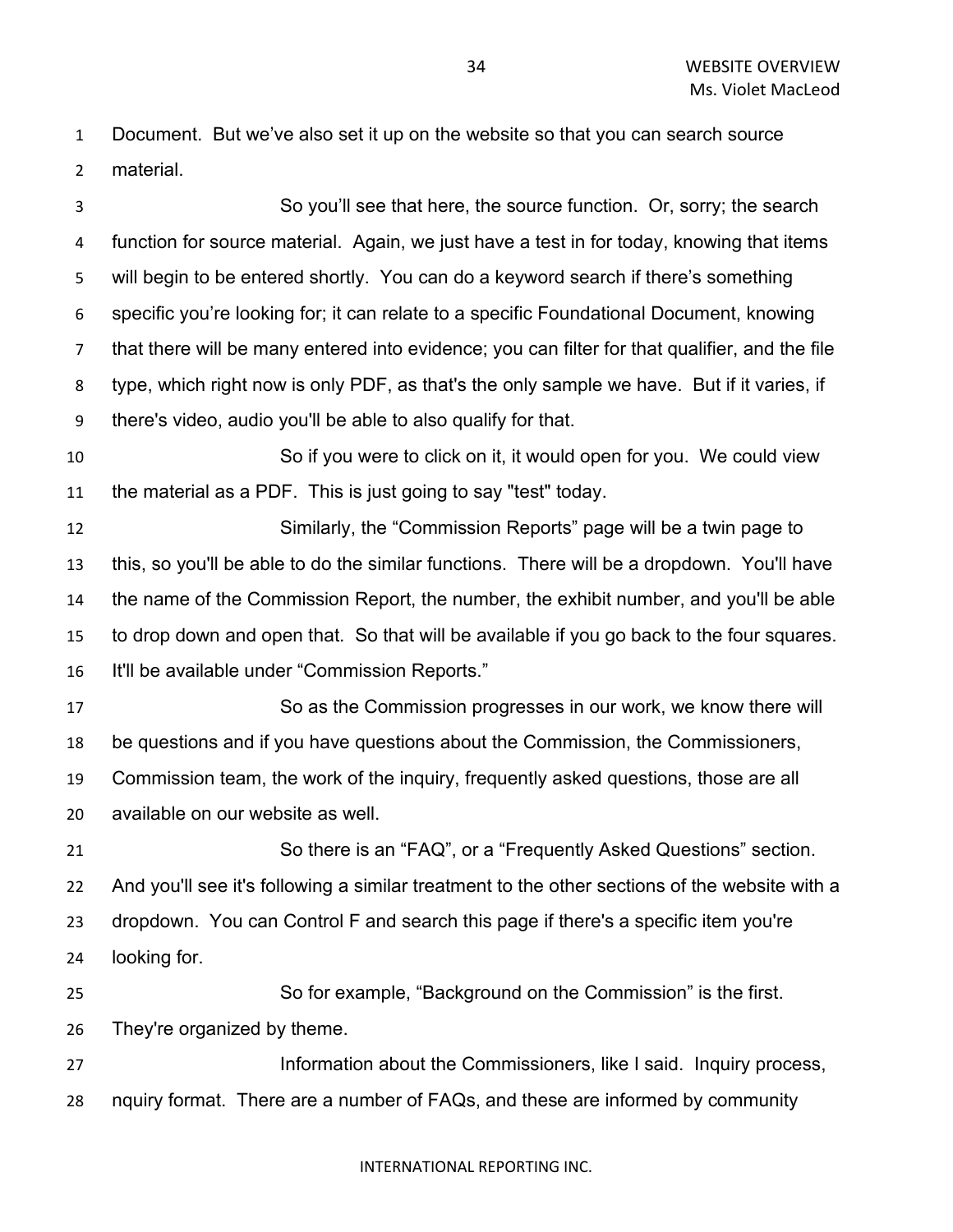Document. But we've also set it up on the website so that you can search source material.

 So you'll see that here, the source function. Or, sorry; the search function for source material. Again, we just have a test in for today, knowing that items will begin to be entered shortly. You can do a keyword search if there's something specific you're looking for; it can relate to a specific Foundational Document, knowing that there will be many entered into evidence; you can filter for that qualifier, and the file type, which right now is only PDF, as that's the only sample we have. But if it varies, if there's video, audio you'll be able to also qualify for that. So if you were to click on it, it would open for you. We could view the material as a PDF. This is just going to say "test" today. Similarly, the "Commission Reports" page will be a twin page to this, so you'll be able to do the similar functions. There will be a dropdown. You'll have the name of the Commission Report, the number, the exhibit number, and you'll be able to drop down and open that. So that will be available if you go back to the four squares. It'll be available under "Commission Reports." So as the Commission progresses in our work, we know there will be questions and if you have questions about the Commission, the Commissioners, Commission team, the work of the inquiry, frequently asked questions, those are all available on our website as well. So there is an "FAQ", or a "Frequently Asked Questions" section. And you'll see it's following a similar treatment to the other sections of the website with a dropdown. You can Control F and search this page if there's a specific item you're looking for. So for example, "Background on the Commission" is the first. They're organized by theme. 27 Information about the Commissioners, like I said. Inquiry process, nquiry format. There are a number of FAQs, and these are informed by community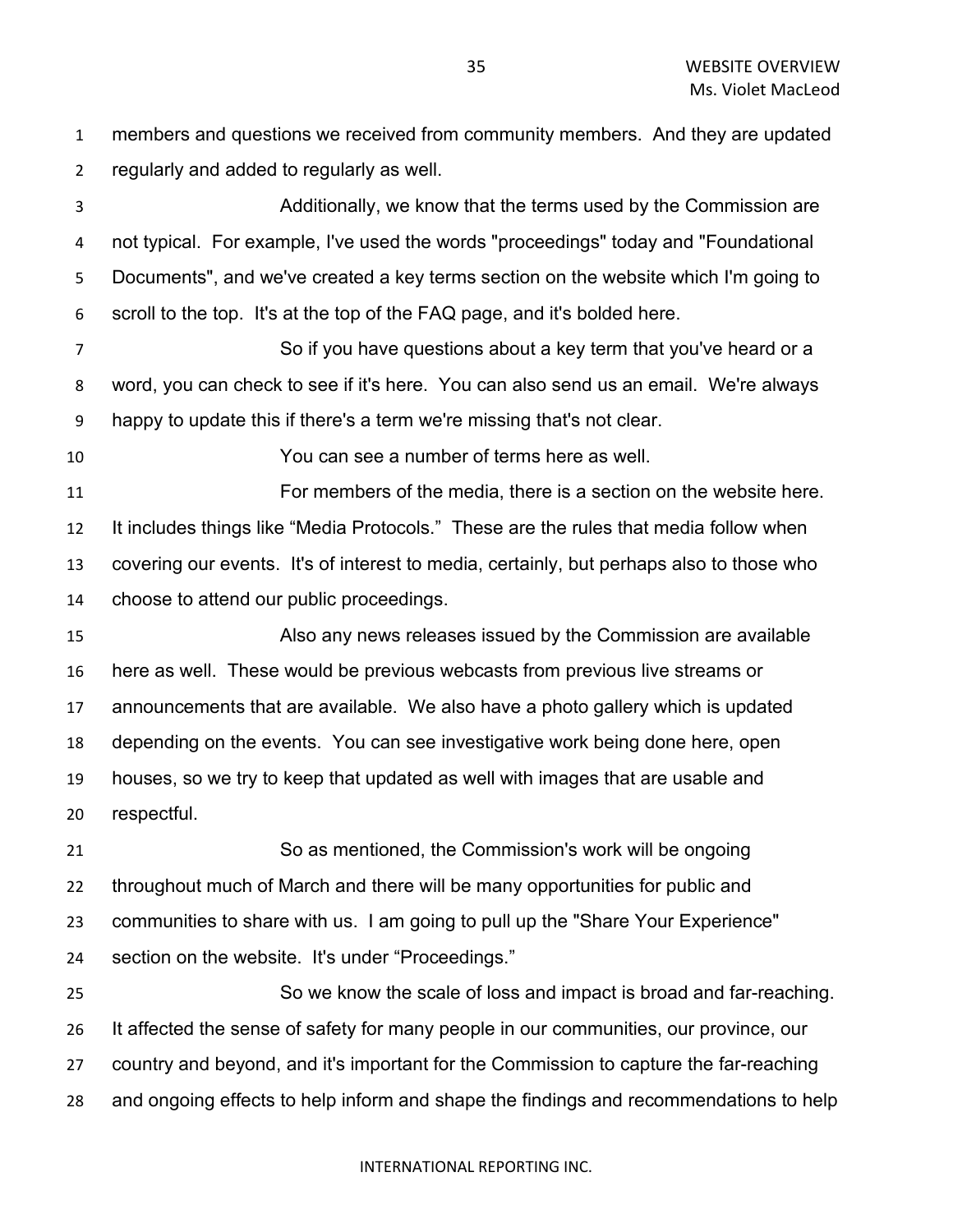members and questions we received from community members. And they are updated regularly and added to regularly as well.

 Additionally, we know that the terms used by the Commission are not typical. For example, I've used the words "proceedings" today and "Foundational Documents", and we've created a key terms section on the website which I'm going to scroll to the top. It's at the top of the FAQ page, and it's bolded here.

 So if you have questions about a key term that you've heard or a word, you can check to see if it's here. You can also send us an email. We're always happy to update this if there's a term we're missing that's not clear.

You can see a number of terms here as well.

 For members of the media, there is a section on the website here. It includes things like "Media Protocols." These are the rules that media follow when covering our events. It's of interest to media, certainly, but perhaps also to those who choose to attend our public proceedings.

 Also any news releases issued by the Commission are available here as well. These would be previous webcasts from previous live streams or announcements that are available. We also have a photo gallery which is updated depending on the events. You can see investigative work being done here, open houses, so we try to keep that updated as well with images that are usable and respectful.

 So as mentioned, the Commission's work will be ongoing throughout much of March and there will be many opportunities for public and communities to share with us. I am going to pull up the "Share Your Experience" section on the website. It's under "Proceedings."

 So we know the scale of loss and impact is broad and far-reaching. It affected the sense of safety for many people in our communities, our province, our country and beyond, and it's important for the Commission to capture the far-reaching and ongoing effects to help inform and shape the findings and recommendations to help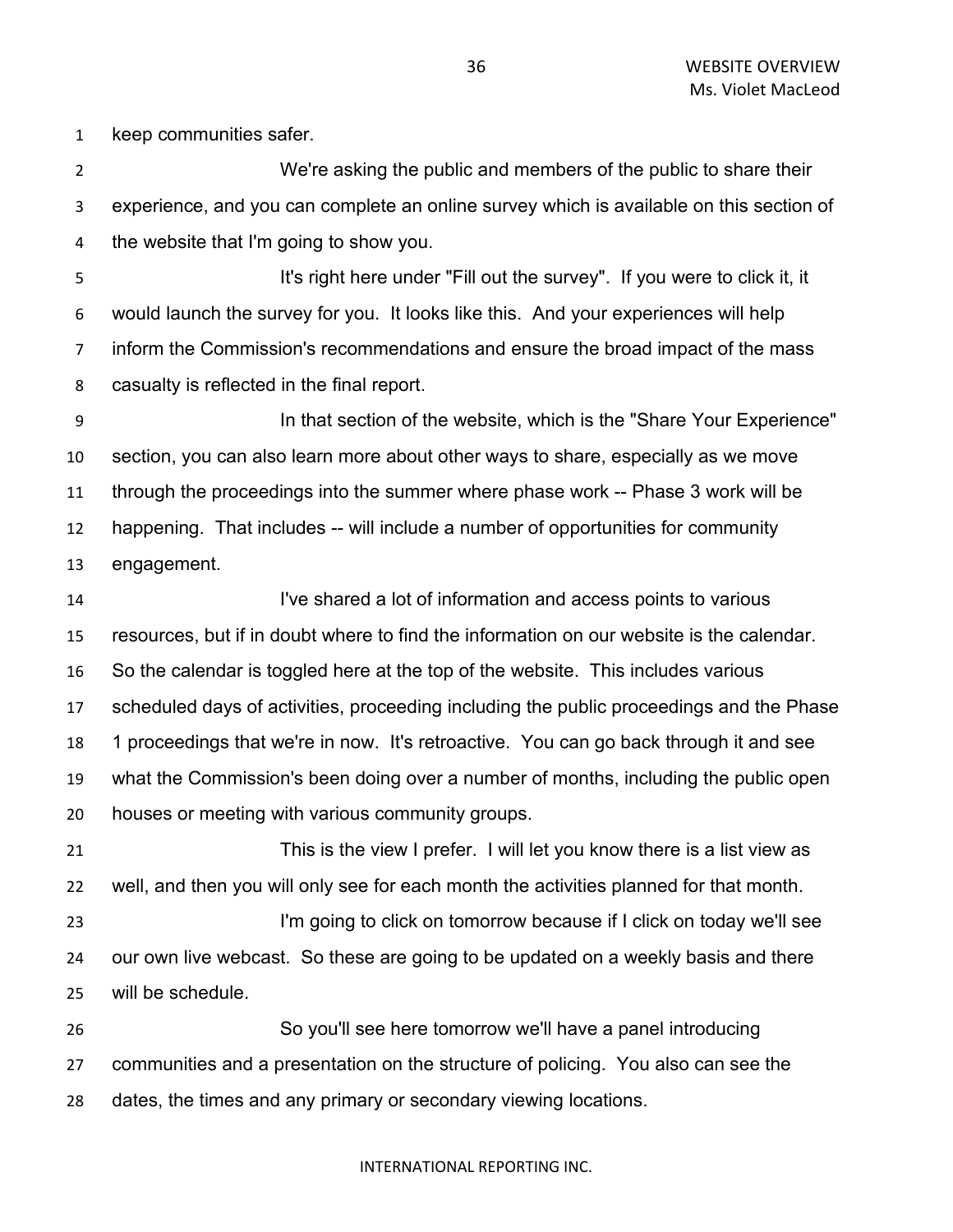keep communities safer.

 We're asking the public and members of the public to share their experience, and you can complete an online survey which is available on this section of the website that I'm going to show you.

5 It's right here under "Fill out the survey". If you were to click it, it would launch the survey for you. It looks like this. And your experiences will help inform the Commission's recommendations and ensure the broad impact of the mass casualty is reflected in the final report.

 In that section of the website, which is the "Share Your Experience" section, you can also learn more about other ways to share, especially as we move through the proceedings into the summer where phase work -- Phase 3 work will be happening. That includes -- will include a number of opportunities for community engagement.

 I've shared a lot of information and access points to various resources, but if in doubt where to find the information on our website is the calendar. So the calendar is toggled here at the top of the website. This includes various scheduled days of activities, proceeding including the public proceedings and the Phase 1 proceedings that we're in now. It's retroactive. You can go back through it and see what the Commission's been doing over a number of months, including the public open houses or meeting with various community groups.

 This is the view I prefer. I will let you know there is a list view as well, and then you will only see for each month the activities planned for that month. I'm going to click on tomorrow because if I click on today we'll see our own live webcast. So these are going to be updated on a weekly basis and there will be schedule.

 So you'll see here tomorrow we'll have a panel introducing communities and a presentation on the structure of policing. You also can see the dates, the times and any primary or secondary viewing locations.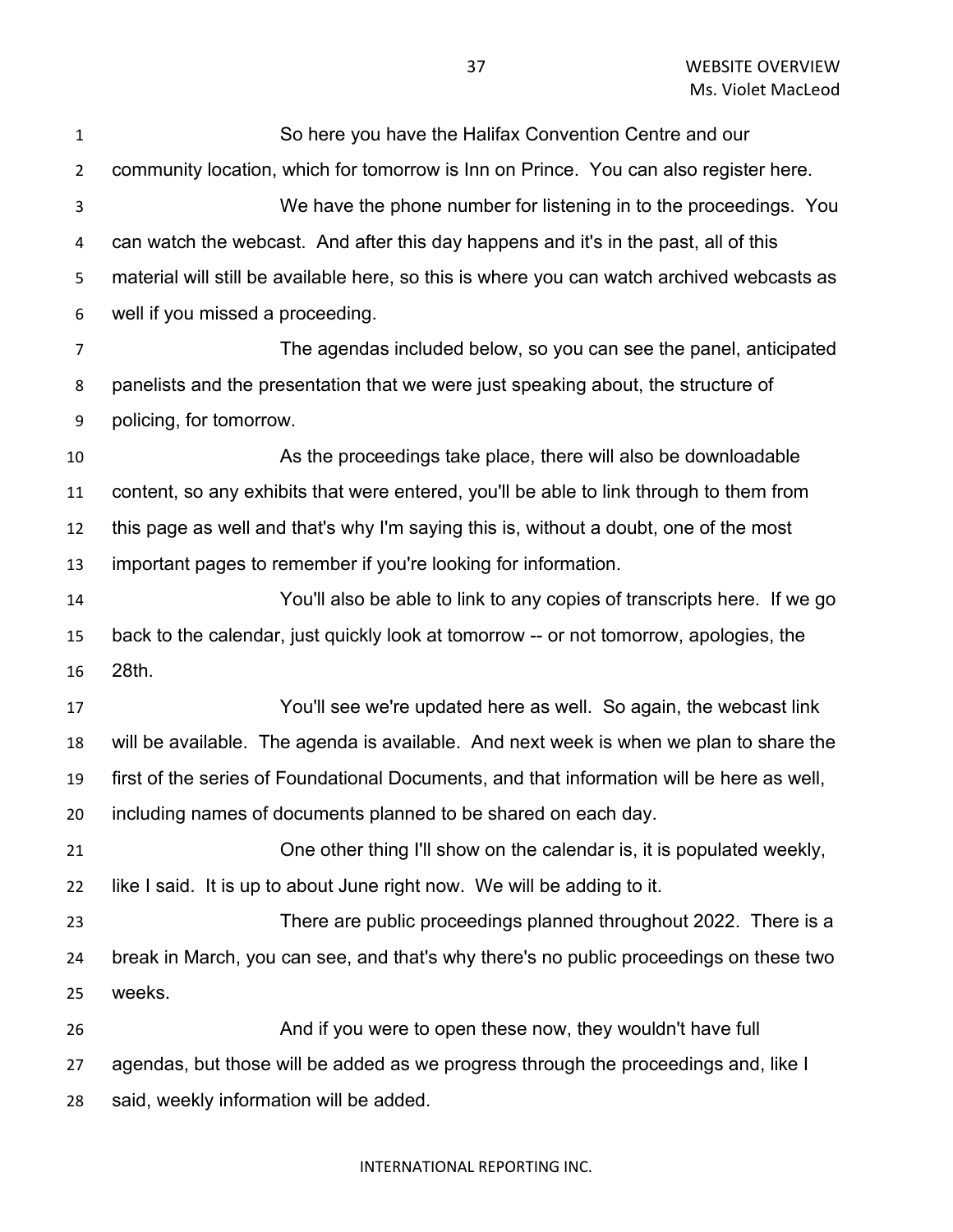| $\mathbf{1}$   | So here you have the Halifax Convention Centre and our                                     |
|----------------|--------------------------------------------------------------------------------------------|
| $\overline{2}$ | community location, which for tomorrow is Inn on Prince. You can also register here.       |
| 3              | We have the phone number for listening in to the proceedings. You                          |
| 4              | can watch the webcast. And after this day happens and it's in the past, all of this        |
| 5              | material will still be available here, so this is where you can watch archived webcasts as |
| 6              | well if you missed a proceeding.                                                           |
| 7              | The agendas included below, so you can see the panel, anticipated                          |
| 8              | panelists and the presentation that we were just speaking about, the structure of          |
| 9              | policing, for tomorrow.                                                                    |
| 10             | As the proceedings take place, there will also be downloadable                             |
| 11             | content, so any exhibits that were entered, you'll be able to link through to them from    |
| 12             | this page as well and that's why I'm saying this is, without a doubt, one of the most      |
| 13             | important pages to remember if you're looking for information.                             |
| 14             | You'll also be able to link to any copies of transcripts here. If we go                    |
| 15             | back to the calendar, just quickly look at tomorrow -- or not tomorrow, apologies, the     |
| 16             | 28th.                                                                                      |
| 17             | You'll see we're updated here as well. So again, the webcast link                          |
| 18             | will be available. The agenda is available. And next week is when we plan to share the     |
| 19             | first of the series of Foundational Documents, and that information will be here as well,  |
| 20             | including names of documents planned to be shared on each day.                             |
| 21             | One other thing I'll show on the calendar is, it is populated weekly,                      |
| 22             | like I said. It is up to about June right now. We will be adding to it.                    |
| 23             | There are public proceedings planned throughout 2022. There is a                           |
| 24             | break in March, you can see, and that's why there's no public proceedings on these two     |
| 25             | weeks.                                                                                     |
| 26             | And if you were to open these now, they wouldn't have full                                 |
| 27             | agendas, but those will be added as we progress through the proceedings and, like I        |
| 28             | said, weekly information will be added.                                                    |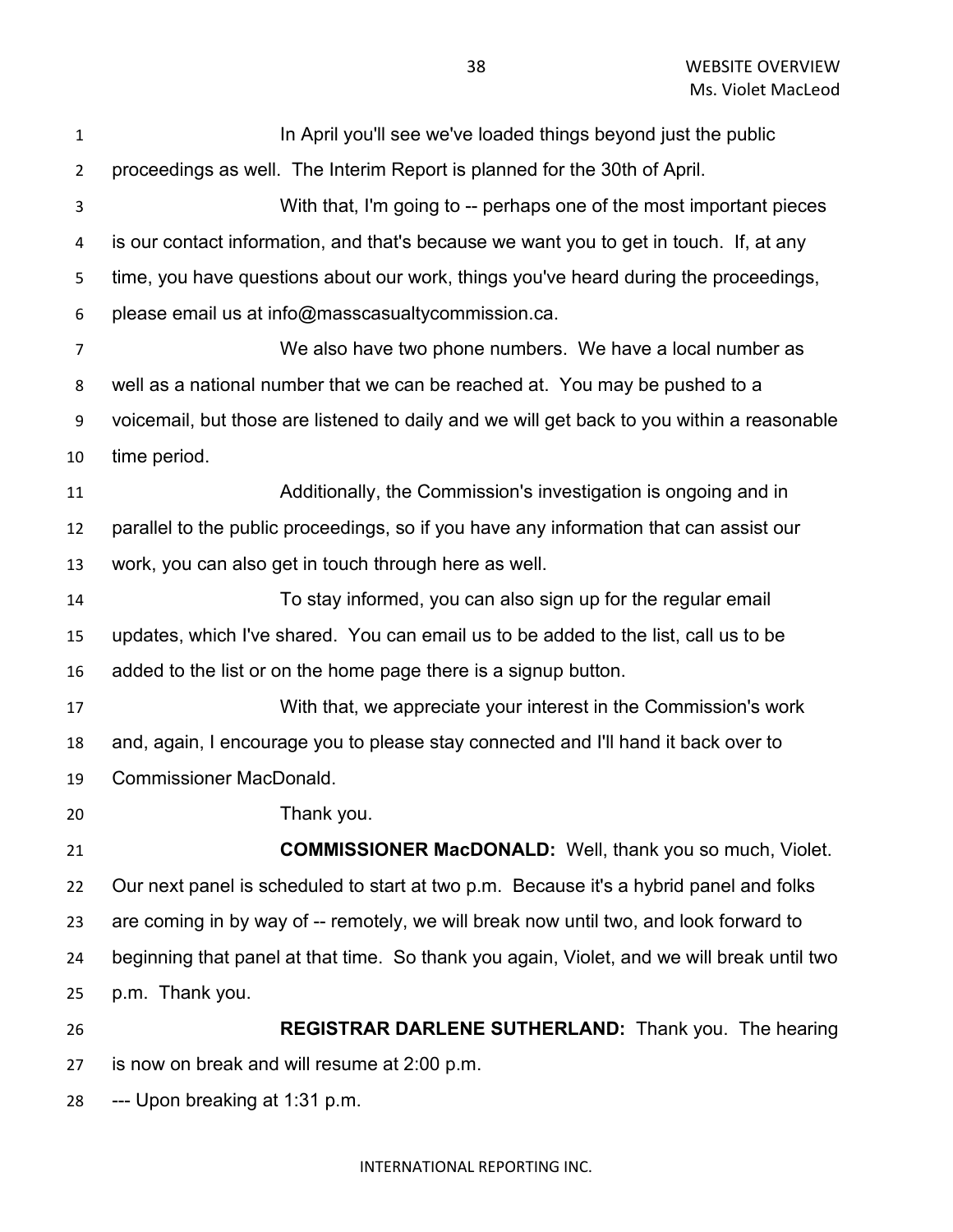| $\mathbf{1}$   | In April you'll see we've loaded things beyond just the public                             |
|----------------|--------------------------------------------------------------------------------------------|
| $\overline{2}$ | proceedings as well. The Interim Report is planned for the 30th of April.                  |
| 3              | With that, I'm going to -- perhaps one of the most important pieces                        |
| 4              | is our contact information, and that's because we want you to get in touch. If, at any     |
| 5              | time, you have questions about our work, things you've heard during the proceedings,       |
| 6              | please email us at info@masscasualtycommission.ca.                                         |
| 7              | We also have two phone numbers. We have a local number as                                  |
| 8              | well as a national number that we can be reached at. You may be pushed to a                |
| 9              | voicemail, but those are listened to daily and we will get back to you within a reasonable |
| 10             | time period.                                                                               |
| 11             | Additionally, the Commission's investigation is ongoing and in                             |
| 12             | parallel to the public proceedings, so if you have any information that can assist our     |
| 13             | work, you can also get in touch through here as well.                                      |
| 14             | To stay informed, you can also sign up for the regular email                               |
| 15             | updates, which I've shared. You can email us to be added to the list, call us to be        |
| 16             | added to the list or on the home page there is a signup button.                            |
| 17             | With that, we appreciate your interest in the Commission's work                            |
| 18             | and, again, I encourage you to please stay connected and I'll hand it back over to         |
| 19             | <b>Commissioner MacDonald.</b>                                                             |
| 20             | Thank you.                                                                                 |
| 21             | <b>COMMISSIONER MacDONALD:</b> Well, thank you so much, Violet.                            |
| 22             | Our next panel is scheduled to start at two p.m. Because it's a hybrid panel and folks     |
| 23             | are coming in by way of -- remotely, we will break now until two, and look forward to      |
| 24             | beginning that panel at that time. So thank you again, Violet, and we will break until two |
| 25             | p.m. Thank you.                                                                            |
| 26             | REGISTRAR DARLENE SUTHERLAND: Thank you. The hearing                                       |
| 27             | is now on break and will resume at 2:00 p.m.                                               |
| 28             | --- Upon breaking at 1:31 p.m.                                                             |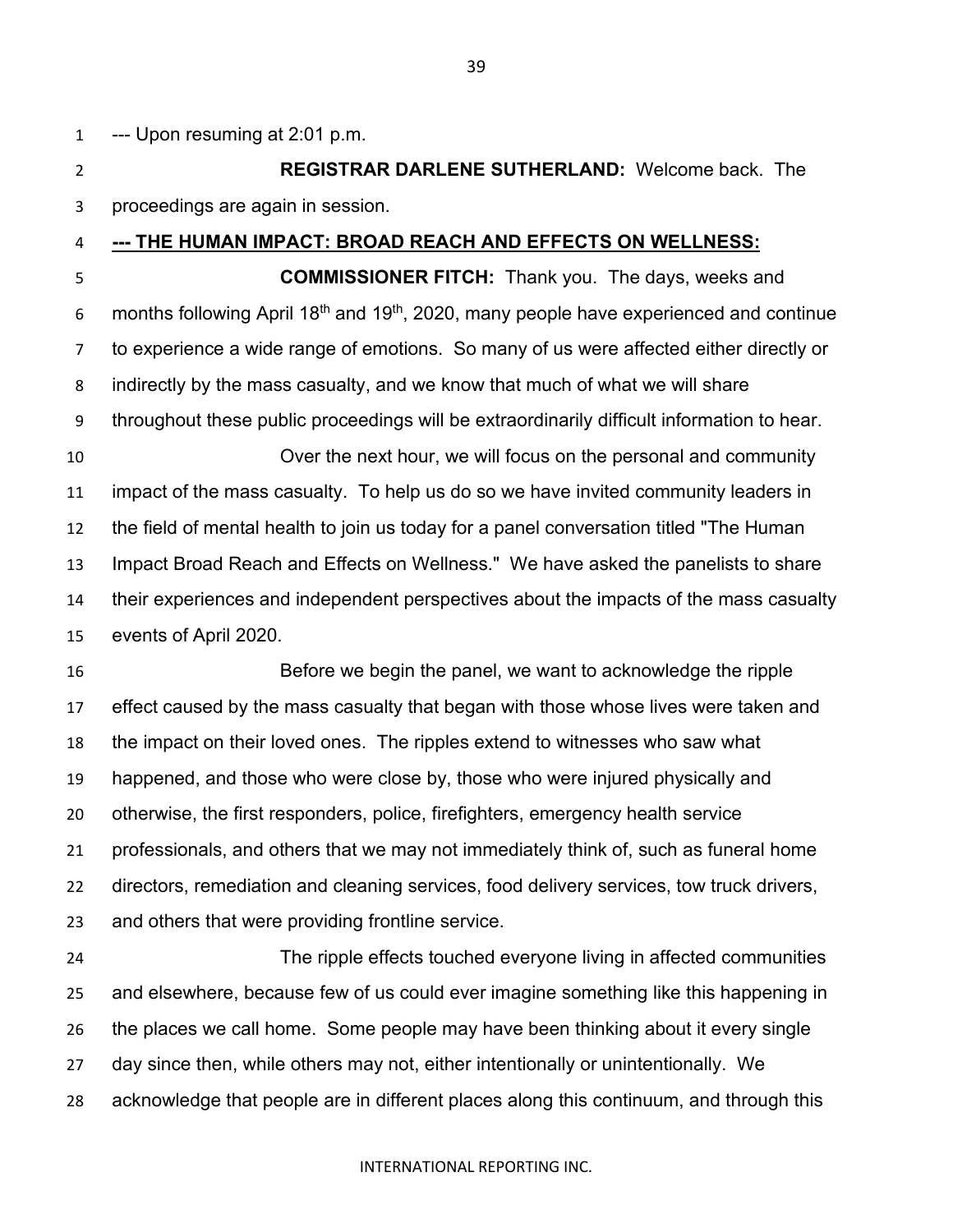--- Upon resuming at 2:01 p.m.

 **REGISTRAR DARLENE SUTHERLAND:** Welcome back. The proceedings are again in session.

**--- THE HUMAN IMPACT: BROAD REACH AND EFFECTS ON WELLNESS:**

 **COMMISSIONER FITCH:** Thank you. The days, weeks and 6 months following April 18<sup>th</sup> and 19<sup>th</sup>, 2020, many people have experienced and continue to experience a wide range of emotions. So many of us were affected either directly or indirectly by the mass casualty, and we know that much of what we will share throughout these public proceedings will be extraordinarily difficult information to hear. Over the next hour, we will focus on the personal and community impact of the mass casualty. To help us do so we have invited community leaders in the field of mental health to join us today for a panel conversation titled "The Human Impact Broad Reach and Effects on Wellness." We have asked the panelists to share their experiences and independent perspectives about the impacts of the mass casualty events of April 2020.

 Before we begin the panel, we want to acknowledge the ripple effect caused by the mass casualty that began with those whose lives were taken and the impact on their loved ones. The ripples extend to witnesses who saw what happened, and those who were close by, those who were injured physically and otherwise, the first responders, police, firefighters, emergency health service professionals, and others that we may not immediately think of, such as funeral home directors, remediation and cleaning services, food delivery services, tow truck drivers, and others that were providing frontline service.

 The ripple effects touched everyone living in affected communities and elsewhere, because few of us could ever imagine something like this happening in the places we call home. Some people may have been thinking about it every single day since then, while others may not, either intentionally or unintentionally. We acknowledge that people are in different places along this continuum, and through this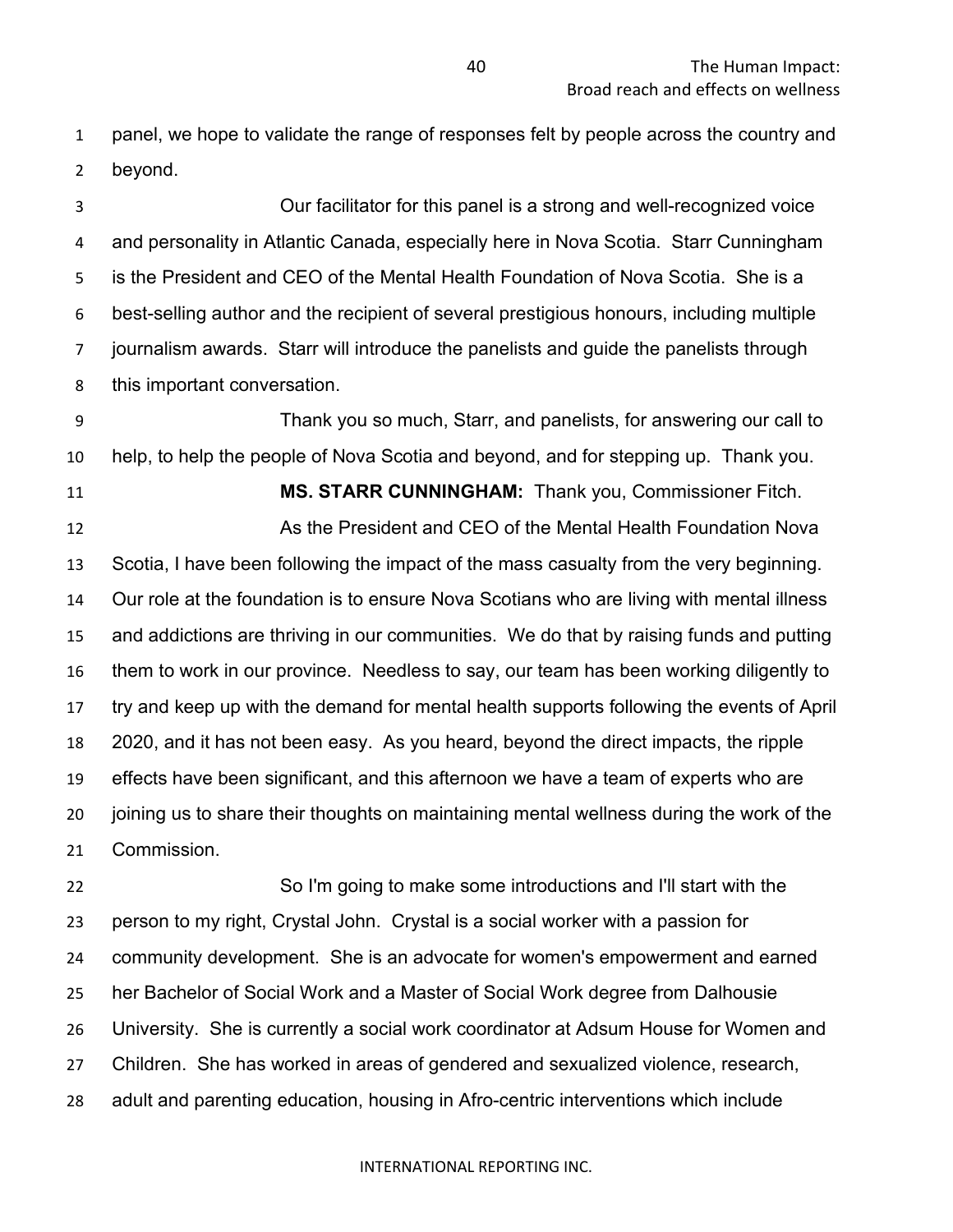panel, we hope to validate the range of responses felt by people across the country and beyond.

 Our facilitator for this panel is a strong and well-recognized voice and personality in Atlantic Canada, especially here in Nova Scotia. Starr Cunningham is the President and CEO of the Mental Health Foundation of Nova Scotia. She is a best-selling author and the recipient of several prestigious honours, including multiple journalism awards. Starr will introduce the panelists and guide the panelists through this important conversation.

 Thank you so much, Starr, and panelists, for answering our call to help, to help the people of Nova Scotia and beyond, and for stepping up. Thank you. **MS. STARR CUNNINGHAM:** Thank you, Commissioner Fitch. As the President and CEO of the Mental Health Foundation Nova Scotia, I have been following the impact of the mass casualty from the very beginning. Our role at the foundation is to ensure Nova Scotians who are living with mental illness and addictions are thriving in our communities. We do that by raising funds and putting them to work in our province. Needless to say, our team has been working diligently to try and keep up with the demand for mental health supports following the events of April 2020, and it has not been easy. As you heard, beyond the direct impacts, the ripple effects have been significant, and this afternoon we have a team of experts who are joining us to share their thoughts on maintaining mental wellness during the work of the Commission.

 So I'm going to make some introductions and I'll start with the person to my right, Crystal John. Crystal is a social worker with a passion for community development. She is an advocate for women's empowerment and earned her Bachelor of Social Work and a Master of Social Work degree from Dalhousie University. She is currently a social work coordinator at Adsum House for Women and Children. She has worked in areas of gendered and sexualized violence, research, adult and parenting education, housing in Afro-centric interventions which include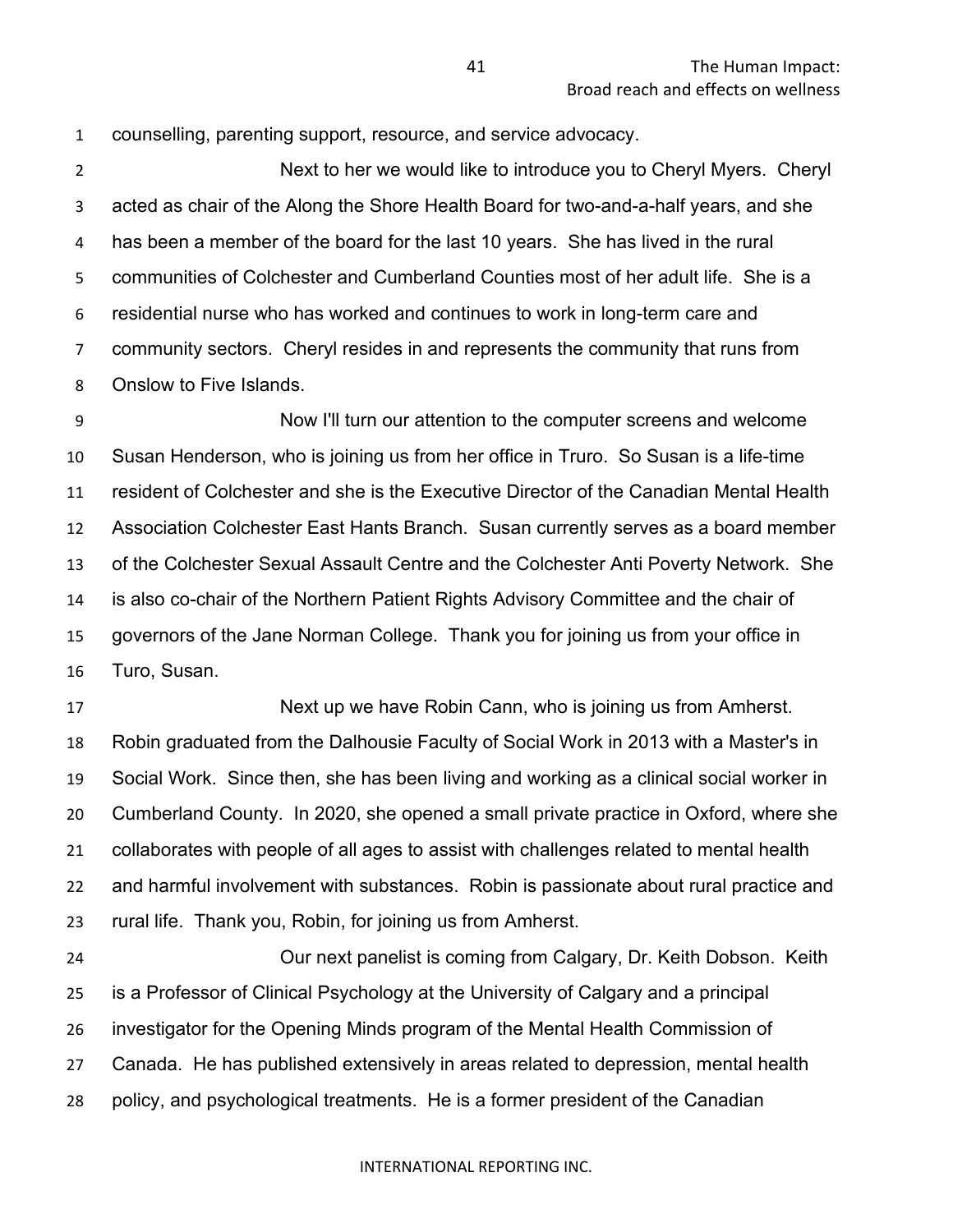counselling, parenting support, resource, and service advocacy.

 Next to her we would like to introduce you to Cheryl Myers. Cheryl acted as chair of the Along the Shore Health Board for two-and-a-half years, and she has been a member of the board for the last 10 years. She has lived in the rural communities of Colchester and Cumberland Counties most of her adult life. She is a residential nurse who has worked and continues to work in long-term care and community sectors. Cheryl resides in and represents the community that runs from Onslow to Five Islands.

 Now I'll turn our attention to the computer screens and welcome Susan Henderson, who is joining us from her office in Truro. So Susan is a life-time resident of Colchester and she is the Executive Director of the Canadian Mental Health Association Colchester East Hants Branch. Susan currently serves as a board member of the Colchester Sexual Assault Centre and the Colchester Anti Poverty Network. She is also co-chair of the Northern Patient Rights Advisory Committee and the chair of governors of the Jane Norman College. Thank you for joining us from your office in Turo, Susan.

 Next up we have Robin Cann, who is joining us from Amherst. Robin graduated from the Dalhousie Faculty of Social Work in 2013 with a Master's in Social Work. Since then, she has been living and working as a clinical social worker in Cumberland County. In 2020, she opened a small private practice in Oxford, where she collaborates with people of all ages to assist with challenges related to mental health and harmful involvement with substances. Robin is passionate about rural practice and rural life. Thank you, Robin, for joining us from Amherst.

 Our next panelist is coming from Calgary, Dr. Keith Dobson. Keith is a Professor of Clinical Psychology at the University of Calgary and a principal investigator for the Opening Minds program of the Mental Health Commission of Canada. He has published extensively in areas related to depression, mental health policy, and psychological treatments. He is a former president of the Canadian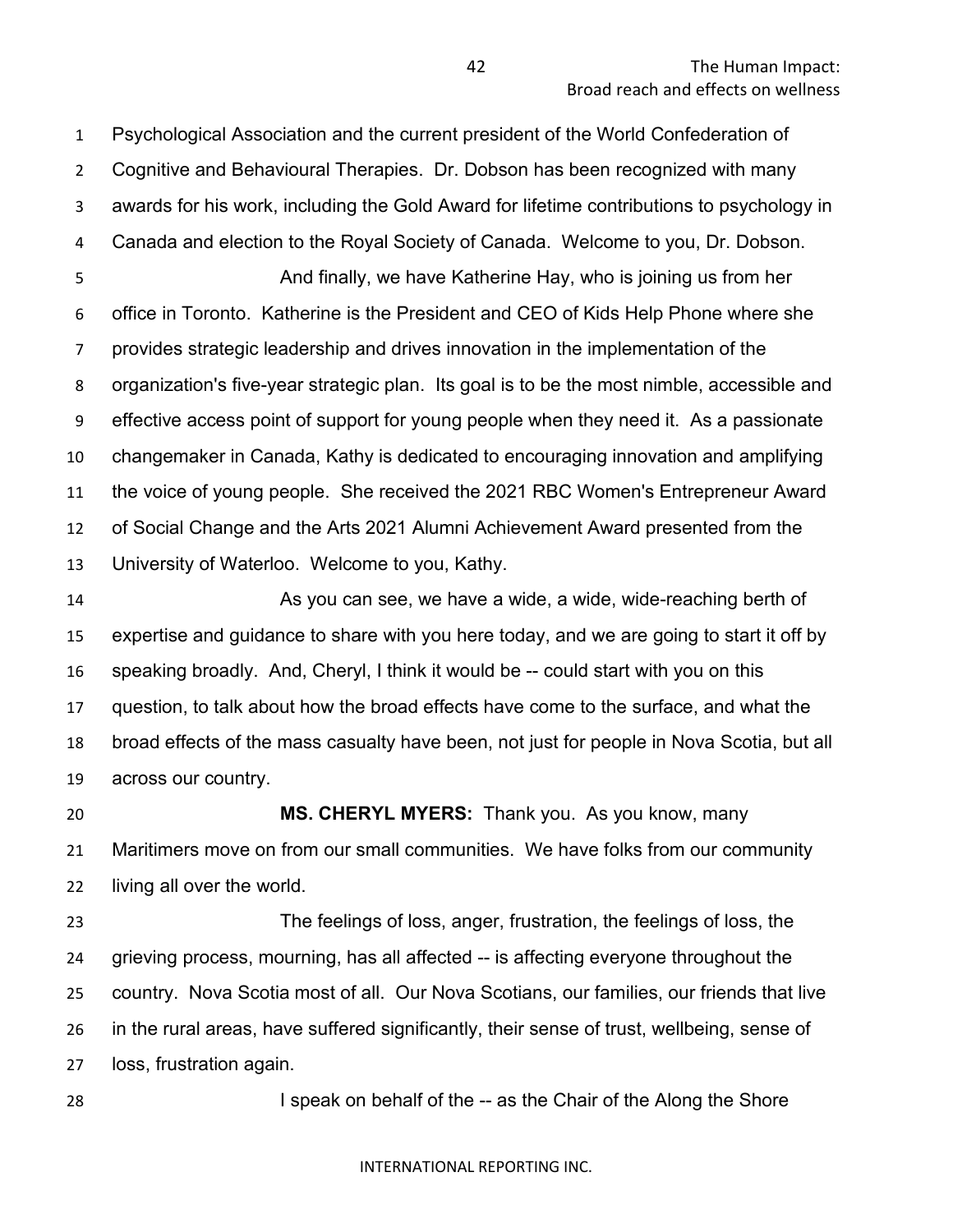Psychological Association and the current president of the World Confederation of Cognitive and Behavioural Therapies. Dr. Dobson has been recognized with many awards for his work, including the Gold Award for lifetime contributions to psychology in Canada and election to the Royal Society of Canada. Welcome to you, Dr. Dobson. **And finally, we have Katherine Hay, who is joining us from her**  office in Toronto. Katherine is the President and CEO of Kids Help Phone where she provides strategic leadership and drives innovation in the implementation of the organization's five-year strategic plan. Its goal is to be the most nimble, accessible and effective access point of support for young people when they need it. As a passionate changemaker in Canada, Kathy is dedicated to encouraging innovation and amplifying the voice of young people. She received the 2021 RBC Women's Entrepreneur Award of Social Change and the Arts 2021 Alumni Achievement Award presented from the University of Waterloo. Welcome to you, Kathy.

 As you can see, we have a wide, a wide, wide-reaching berth of expertise and guidance to share with you here today, and we are going to start it off by speaking broadly. And, Cheryl, I think it would be -- could start with you on this question, to talk about how the broad effects have come to the surface, and what the broad effects of the mass casualty have been, not just for people in Nova Scotia, but all across our country.

 **MS. CHERYL MYERS:** Thank you. As you know, many Maritimers move on from our small communities. We have folks from our community living all over the world.

 The feelings of loss, anger, frustration, the feelings of loss, the grieving process, mourning, has all affected -- is affecting everyone throughout the country. Nova Scotia most of all. Our Nova Scotians, our families, our friends that live in the rural areas, have suffered significantly, their sense of trust, wellbeing, sense of loss, frustration again.

I speak on behalf of the -- as the Chair of the Along the Shore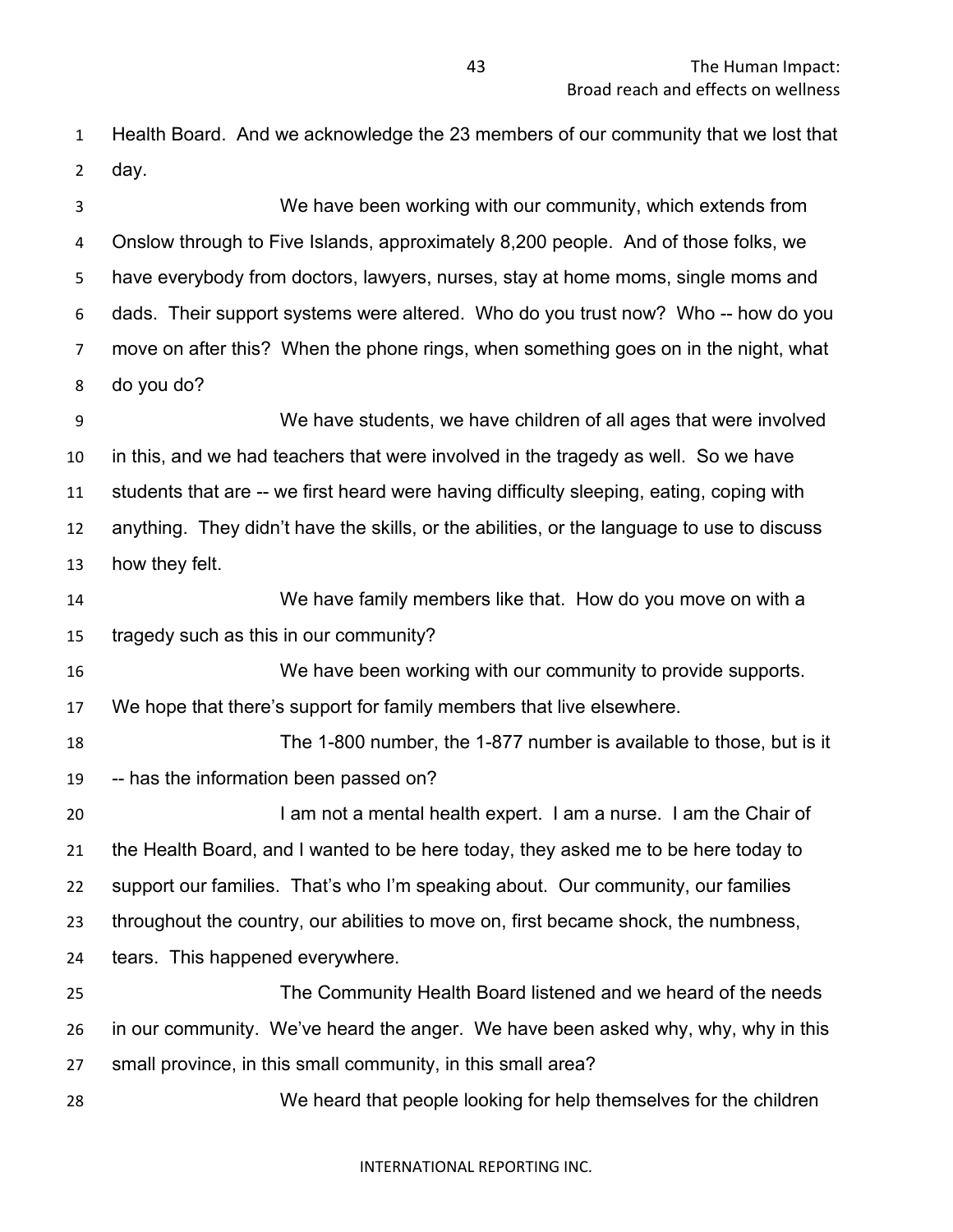Health Board. And we acknowledge the 23 members of our community that we lost that day.

 We have been working with our community, which extends from Onslow through to Five Islands, approximately 8,200 people. And of those folks, we have everybody from doctors, lawyers, nurses, stay at home moms, single moms and dads. Their support systems were altered. Who do you trust now? Who -- how do you move on after this? When the phone rings, when something goes on in the night, what do you do?

 We have students, we have children of all ages that were involved in this, and we had teachers that were involved in the tragedy as well. So we have students that are -- we first heard were having difficulty sleeping, eating, coping with anything. They didn't have the skills, or the abilities, or the language to use to discuss how they felt.

 We have family members like that. How do you move on with a tragedy such as this in our community?

 We have been working with our community to provide supports. We hope that there's support for family members that live elsewhere.

 The 1-800 number, the 1-877 number is available to those, but is it -- has the information been passed on?

20 I am not a mental health expert. I am a nurse. I am the Chair of the Health Board, and I wanted to be here today, they asked me to be here today to support our families. That's who I'm speaking about. Our community, our families throughout the country, our abilities to move on, first became shock, the numbness, tears. This happened everywhere.

 The Community Health Board listened and we heard of the needs in our community. We've heard the anger. We have been asked why, why, why in this small province, in this small community, in this small area?

We heard that people looking for help themselves for the children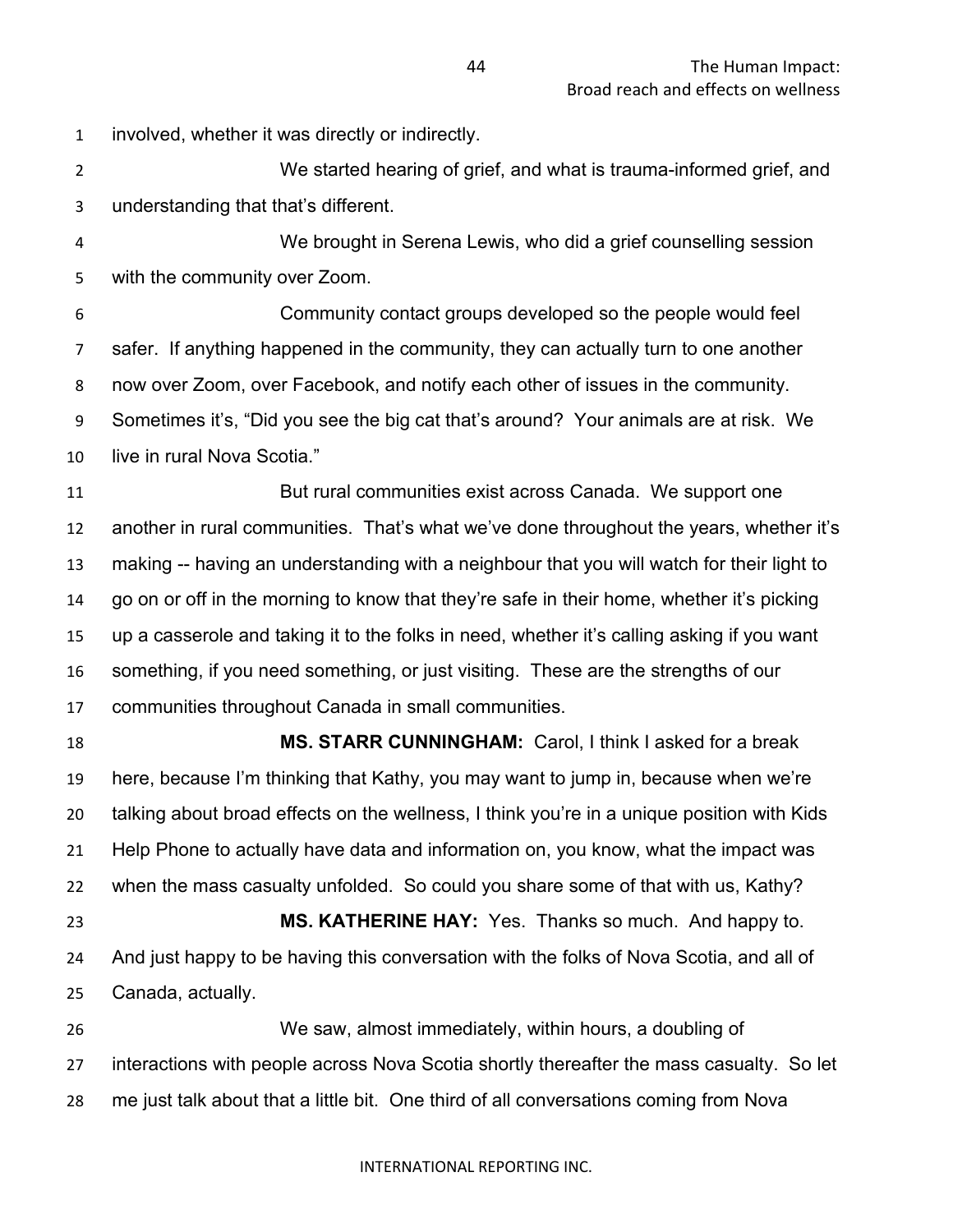involved, whether it was directly or indirectly.

 We started hearing of grief, and what is trauma-informed grief, and understanding that that's different.

 We brought in Serena Lewis, who did a grief counselling session with the community over Zoom.

 Community contact groups developed so the people would feel safer. If anything happened in the community, they can actually turn to one another now over Zoom, over Facebook, and notify each other of issues in the community. Sometimes it's, "Did you see the big cat that's around? Your animals are at risk. We live in rural Nova Scotia."

 But rural communities exist across Canada. We support one another in rural communities. That's what we've done throughout the years, whether it's making -- having an understanding with a neighbour that you will watch for their light to go on or off in the morning to know that they're safe in their home, whether it's picking up a casserole and taking it to the folks in need, whether it's calling asking if you want something, if you need something, or just visiting. These are the strengths of our communities throughout Canada in small communities.

 **MS. STARR CUNNINGHAM:** Carol, I think I asked for a break here, because I'm thinking that Kathy, you may want to jump in, because when we're talking about broad effects on the wellness, I think you're in a unique position with Kids Help Phone to actually have data and information on, you know, what the impact was when the mass casualty unfolded. So could you share some of that with us, Kathy? **MS. KATHERINE HAY:** Yes. Thanks so much. And happy to. And just happy to be having this conversation with the folks of Nova Scotia, and all of

Canada, actually.

 We saw, almost immediately, within hours, a doubling of interactions with people across Nova Scotia shortly thereafter the mass casualty. So let me just talk about that a little bit. One third of all conversations coming from Nova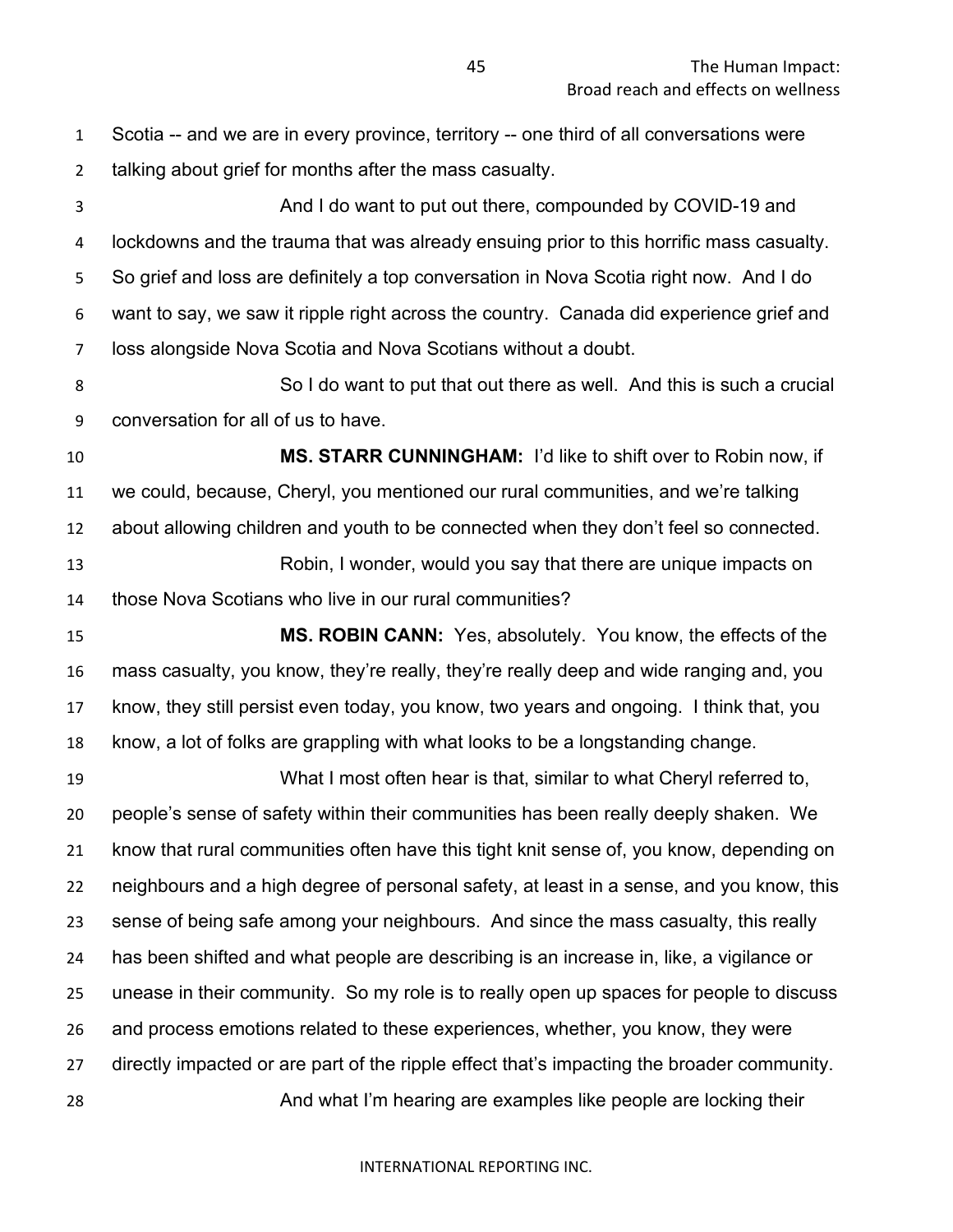Scotia -- and we are in every province, territory -- one third of all conversations were talking about grief for months after the mass casualty. And I do want to put out there, compounded by COVID-19 and lockdowns and the trauma that was already ensuing prior to this horrific mass casualty. So grief and loss are definitely a top conversation in Nova Scotia right now. And I do want to say, we saw it ripple right across the country. Canada did experience grief and loss alongside Nova Scotia and Nova Scotians without a doubt. 8 So I do want to put that out there as well. And this is such a crucial conversation for all of us to have. **MS. STARR CUNNINGHAM:** I'd like to shift over to Robin now, if we could, because, Cheryl, you mentioned our rural communities, and we're talking about allowing children and youth to be connected when they don't feel so connected. Robin, I wonder, would you say that there are unique impacts on those Nova Scotians who live in our rural communities? **MS. ROBIN CANN:** Yes, absolutely. You know, the effects of the mass casualty, you know, they're really, they're really deep and wide ranging and, you know, they still persist even today, you know, two years and ongoing. I think that, you know, a lot of folks are grappling with what looks to be a longstanding change. What I most often hear is that, similar to what Cheryl referred to, people's sense of safety within their communities has been really deeply shaken. We know that rural communities often have this tight knit sense of, you know, depending on neighbours and a high degree of personal safety, at least in a sense, and you know, this sense of being safe among your neighbours. And since the mass casualty, this really has been shifted and what people are describing is an increase in, like, a vigilance or unease in their community. So my role is to really open up spaces for people to discuss and process emotions related to these experiences, whether, you know, they were directly impacted or are part of the ripple effect that's impacting the broader community. And what I'm hearing are examples like people are locking their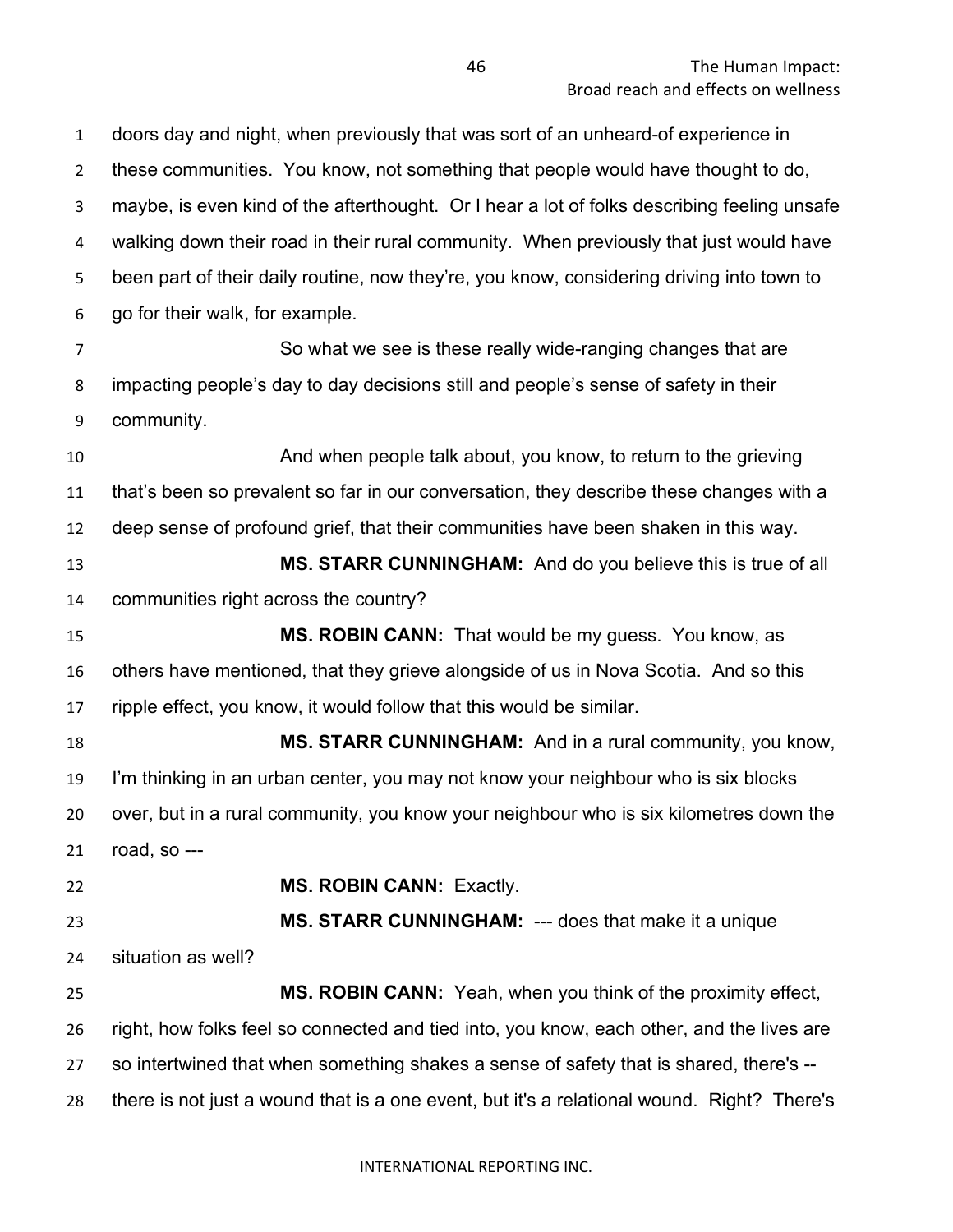doors day and night, when previously that was sort of an unheard-of experience in these communities. You know, not something that people would have thought to do, maybe, is even kind of the afterthought. Or I hear a lot of folks describing feeling unsafe walking down their road in their rural community. When previously that just would have been part of their daily routine, now they're, you know, considering driving into town to go for their walk, for example. So what we see is these really wide-ranging changes that are impacting people's day to day decisions still and people's sense of safety in their community. And when people talk about, you know, to return to the grieving that's been so prevalent so far in our conversation, they describe these changes with a deep sense of profound grief, that their communities have been shaken in this way. **MS. STARR CUNNINGHAM:** And do you believe this is true of all communities right across the country? **MS. ROBIN CANN:** That would be my guess. You know, as others have mentioned, that they grieve alongside of us in Nova Scotia. And so this ripple effect, you know, it would follow that this would be similar. **MS. STARR CUNNINGHAM:** And in a rural community, you know, I'm thinking in an urban center, you may not know your neighbour who is six blocks over, but in a rural community, you know your neighbour who is six kilometres down the road, so --- **MS. ROBIN CANN:** Exactly. **MS. STARR CUNNINGHAM:** --- does that make it a unique situation as well? **MS. ROBIN CANN:** Yeah, when you think of the proximity effect, right, how folks feel so connected and tied into, you know, each other, and the lives are so intertwined that when something shakes a sense of safety that is shared, there's -- there is not just a wound that is a one event, but it's a relational wound. Right? There's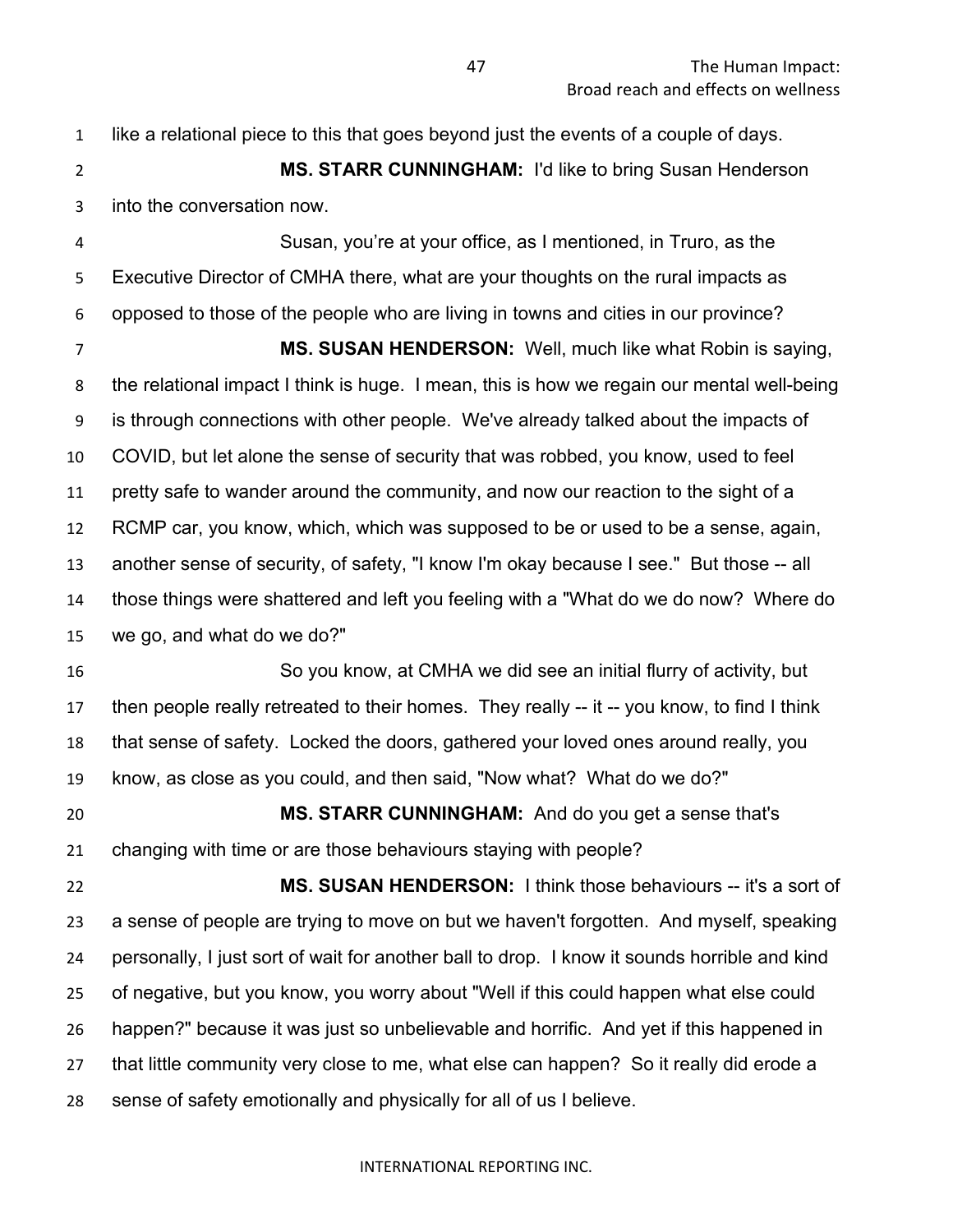like a relational piece to this that goes beyond just the events of a couple of days. **MS. STARR CUNNINGHAM:** I'd like to bring Susan Henderson into the conversation now. Susan, you're at your office, as I mentioned, in Truro, as the Executive Director of CMHA there, what are your thoughts on the rural impacts as opposed to those of the people who are living in towns and cities in our province? **MS. SUSAN HENDERSON:** Well, much like what Robin is saying, the relational impact I think is huge. I mean, this is how we regain our mental well-being is through connections with other people. We've already talked about the impacts of COVID, but let alone the sense of security that was robbed, you know, used to feel pretty safe to wander around the community, and now our reaction to the sight of a RCMP car, you know, which, which was supposed to be or used to be a sense, again, another sense of security, of safety, "I know I'm okay because I see." But those -- all those things were shattered and left you feeling with a "What do we do now? Where do we go, and what do we do?" So you know, at CMHA we did see an initial flurry of activity, but then people really retreated to their homes. They really -- it -- you know, to find I think that sense of safety. Locked the doors, gathered your loved ones around really, you know, as close as you could, and then said, "Now what? What do we do?" **MS. STARR CUNNINGHAM:** And do you get a sense that's changing with time or are those behaviours staying with people? **MS. SUSAN HENDERSON:** I think those behaviours -- it's a sort of a sense of people are trying to move on but we haven't forgotten. And myself, speaking personally, I just sort of wait for another ball to drop. I know it sounds horrible and kind of negative, but you know, you worry about "Well if this could happen what else could happen?" because it was just so unbelievable and horrific. And yet if this happened in that little community very close to me, what else can happen? So it really did erode a sense of safety emotionally and physically for all of us I believe.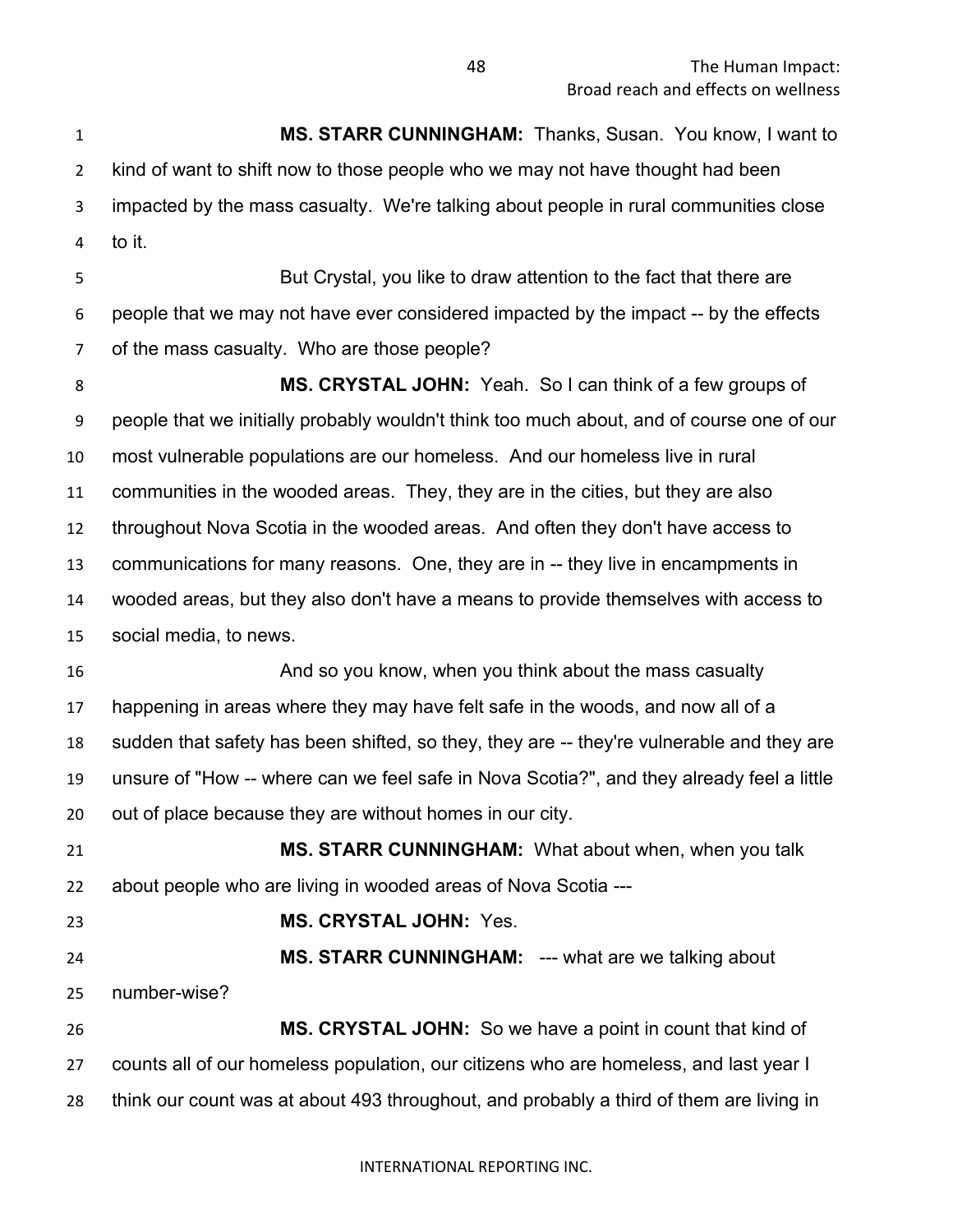**MS. STARR CUNNINGHAM:** Thanks, Susan. You know, I want to kind of want to shift now to those people who we may not have thought had been impacted by the mass casualty. We're talking about people in rural communities close to it. But Crystal, you like to draw attention to the fact that there are people that we may not have ever considered impacted by the impact -- by the effects of the mass casualty. Who are those people? **MS. CRYSTAL JOHN:** Yeah. So I can think of a few groups of people that we initially probably wouldn't think too much about, and of course one of our most vulnerable populations are our homeless. And our homeless live in rural communities in the wooded areas. They, they are in the cities, but they are also throughout Nova Scotia in the wooded areas. And often they don't have access to communications for many reasons. One, they are in -- they live in encampments in wooded areas, but they also don't have a means to provide themselves with access to social media, to news. **And so you know, when you think about the mass casualty** the mass of  $\mathbf{A}$  and so you know, when you think about the mass casualty happening in areas where they may have felt safe in the woods, and now all of a sudden that safety has been shifted, so they, they are -- they're vulnerable and they are unsure of "How -- where can we feel safe in Nova Scotia?", and they already feel a little out of place because they are without homes in our city. **MS. STARR CUNNINGHAM:** What about when, when you talk about people who are living in wooded areas of Nova Scotia --- **MS. CRYSTAL JOHN:** Yes. **MS. STARR CUNNINGHAM:** --- what are we talking about number-wise? **MS. CRYSTAL JOHN:** So we have a point in count that kind of counts all of our homeless population, our citizens who are homeless, and last year I think our count was at about 493 throughout, and probably a third of them are living in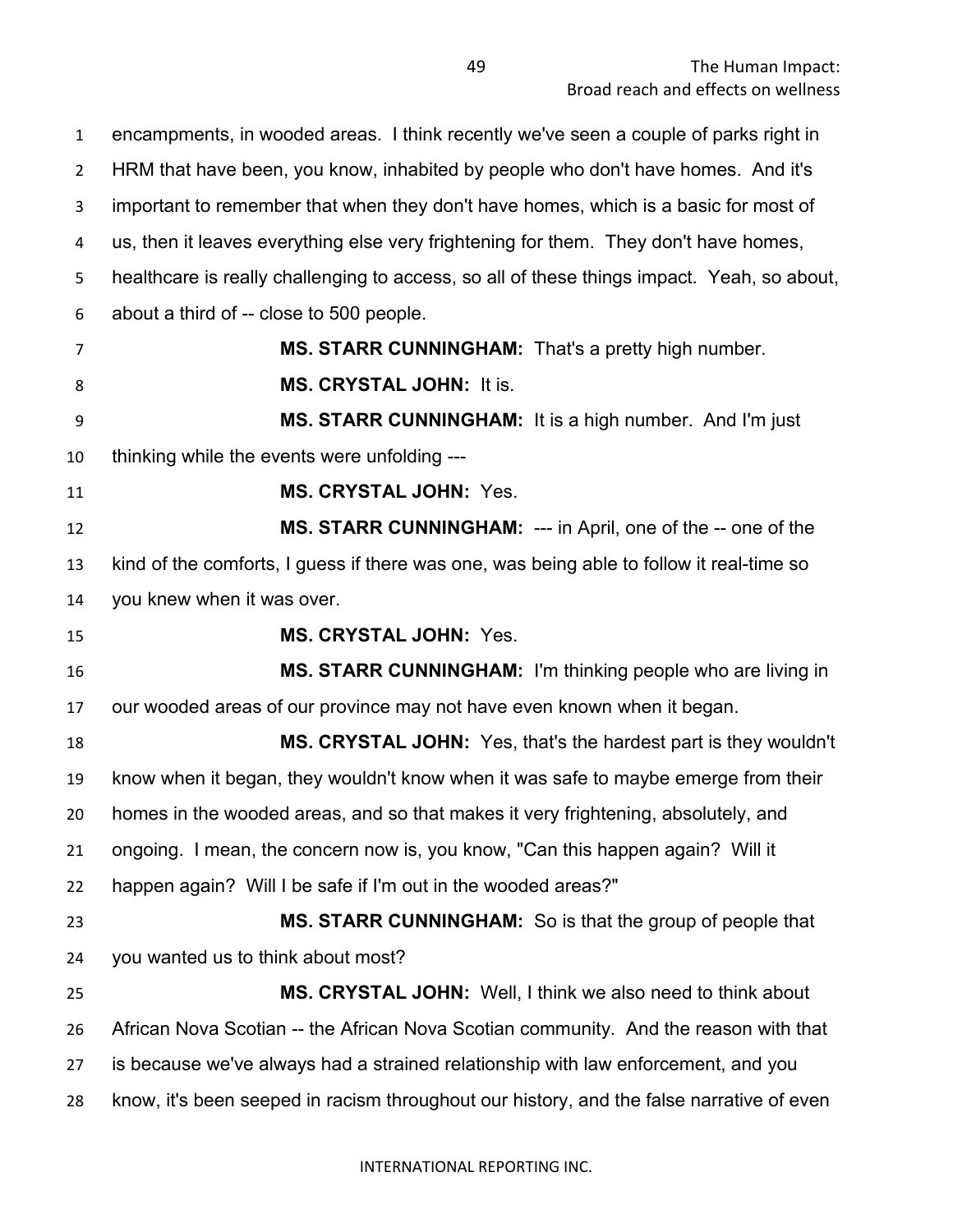encampments, in wooded areas. I think recently we've seen a couple of parks right in HRM that have been, you know, inhabited by people who don't have homes. And it's important to remember that when they don't have homes, which is a basic for most of us, then it leaves everything else very frightening for them. They don't have homes, healthcare is really challenging to access, so all of these things impact. Yeah, so about, about a third of -- close to 500 people. **MS. STARR CUNNINGHAM:** That's a pretty high number. **MS. CRYSTAL JOHN:** It is. **MS. STARR CUNNINGHAM:** It is a high number. And I'm just thinking while the events were unfolding --- **MS. CRYSTAL JOHN:** Yes. **MS. STARR CUNNINGHAM:** --- in April, one of the -- one of the kind of the comforts, I guess if there was one, was being able to follow it real-time so you knew when it was over. **MS. CRYSTAL JOHN:** Yes. **MS. STARR CUNNINGHAM:** I'm thinking people who are living in our wooded areas of our province may not have even known when it began. **MS. CRYSTAL JOHN:** Yes, that's the hardest part is they wouldn't know when it began, they wouldn't know when it was safe to maybe emerge from their homes in the wooded areas, and so that makes it very frightening, absolutely, and ongoing. I mean, the concern now is, you know, "Can this happen again? Will it happen again? Will I be safe if I'm out in the wooded areas?" **MS. STARR CUNNINGHAM:** So is that the group of people that you wanted us to think about most? **MS. CRYSTAL JOHN:** Well, I think we also need to think about African Nova Scotian -- the African Nova Scotian community. And the reason with that is because we've always had a strained relationship with law enforcement, and you know, it's been seeped in racism throughout our history, and the false narrative of even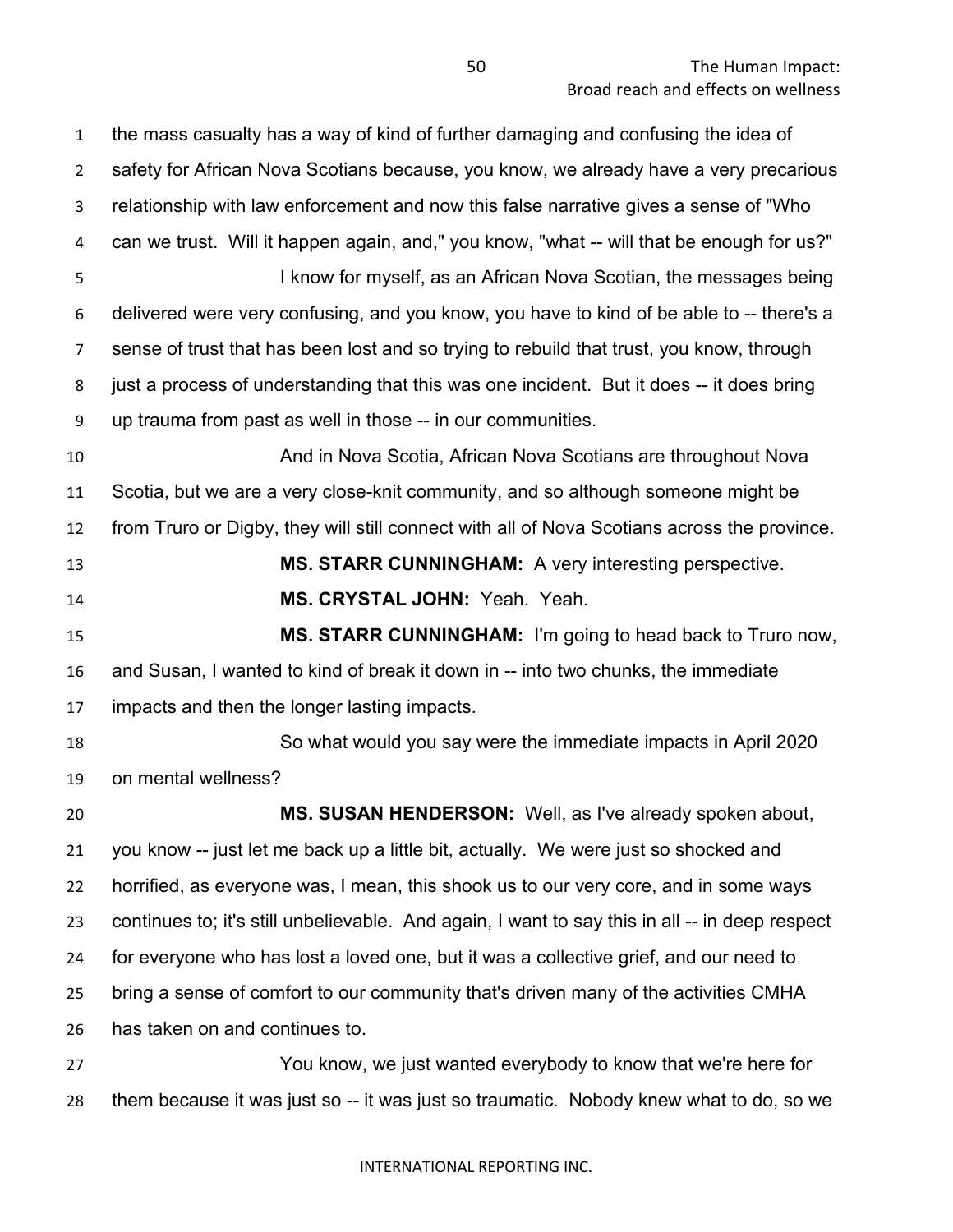the mass casualty has a way of kind of further damaging and confusing the idea of safety for African Nova Scotians because, you know, we already have a very precarious relationship with law enforcement and now this false narrative gives a sense of "Who can we trust. Will it happen again, and," you know, "what -- will that be enough for us?" I know for myself, as an African Nova Scotian, the messages being delivered were very confusing, and you know, you have to kind of be able to -- there's a sense of trust that has been lost and so trying to rebuild that trust, you know, through just a process of understanding that this was one incident. But it does -- it does bring up trauma from past as well in those -- in our communities. And in Nova Scotia, African Nova Scotians are throughout Nova Scotia, but we are a very close-knit community, and so although someone might be from Truro or Digby, they will still connect with all of Nova Scotians across the province. **MS. STARR CUNNINGHAM:** A very interesting perspective. **MS. CRYSTAL JOHN:** Yeah. Yeah. **MS. STARR CUNNINGHAM:** I'm going to head back to Truro now, and Susan, I wanted to kind of break it down in -- into two chunks, the immediate impacts and then the longer lasting impacts. So what would you say were the immediate impacts in April 2020 on mental wellness? **MS. SUSAN HENDERSON:** Well, as I've already spoken about, you know -- just let me back up a little bit, actually. We were just so shocked and horrified, as everyone was, I mean, this shook us to our very core, and in some ways continues to; it's still unbelievable. And again, I want to say this in all -- in deep respect for everyone who has lost a loved one, but it was a collective grief, and our need to bring a sense of comfort to our community that's driven many of the activities CMHA has taken on and continues to. You know, we just wanted everybody to know that we're here for them because it was just so -- it was just so traumatic. Nobody knew what to do, so we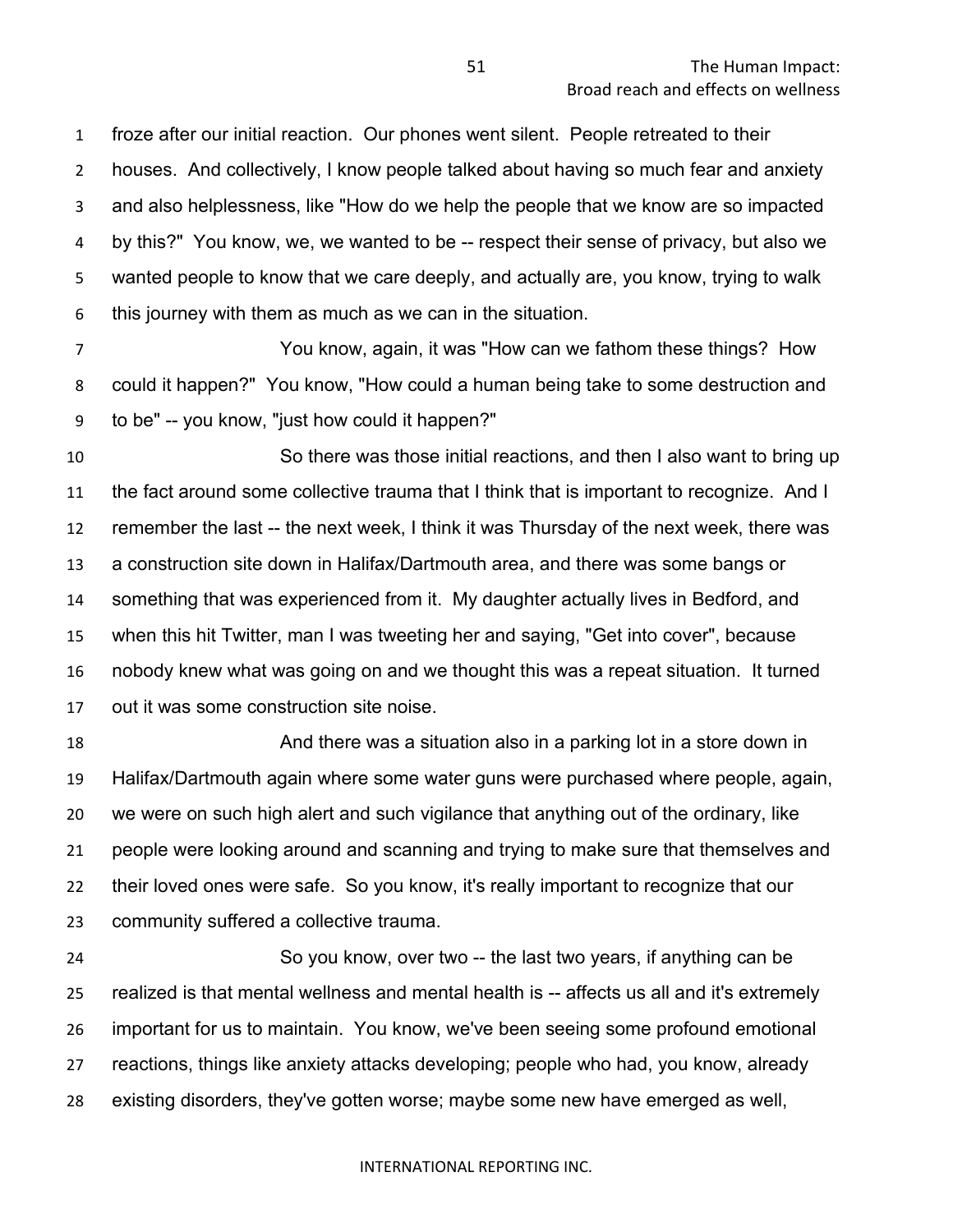froze after our initial reaction. Our phones went silent. People retreated to their houses. And collectively, I know people talked about having so much fear and anxiety and also helplessness, like "How do we help the people that we know are so impacted by this?" You know, we, we wanted to be -- respect their sense of privacy, but also we wanted people to know that we care deeply, and actually are, you know, trying to walk this journey with them as much as we can in the situation.

 You know, again, it was "How can we fathom these things? How could it happen?" You know, "How could a human being take to some destruction and to be" -- you know, "just how could it happen?"

 So there was those initial reactions, and then I also want to bring up the fact around some collective trauma that I think that is important to recognize. And I remember the last -- the next week, I think it was Thursday of the next week, there was a construction site down in Halifax/Dartmouth area, and there was some bangs or something that was experienced from it. My daughter actually lives in Bedford, and when this hit Twitter, man I was tweeting her and saying, "Get into cover", because nobody knew what was going on and we thought this was a repeat situation. It turned out it was some construction site noise.

 And there was a situation also in a parking lot in a store down in Halifax/Dartmouth again where some water guns were purchased where people, again, we were on such high alert and such vigilance that anything out of the ordinary, like people were looking around and scanning and trying to make sure that themselves and their loved ones were safe. So you know, it's really important to recognize that our community suffered a collective trauma.

 So you know, over two -- the last two years, if anything can be realized is that mental wellness and mental health is -- affects us all and it's extremely important for us to maintain. You know, we've been seeing some profound emotional reactions, things like anxiety attacks developing; people who had, you know, already existing disorders, they've gotten worse; maybe some new have emerged as well,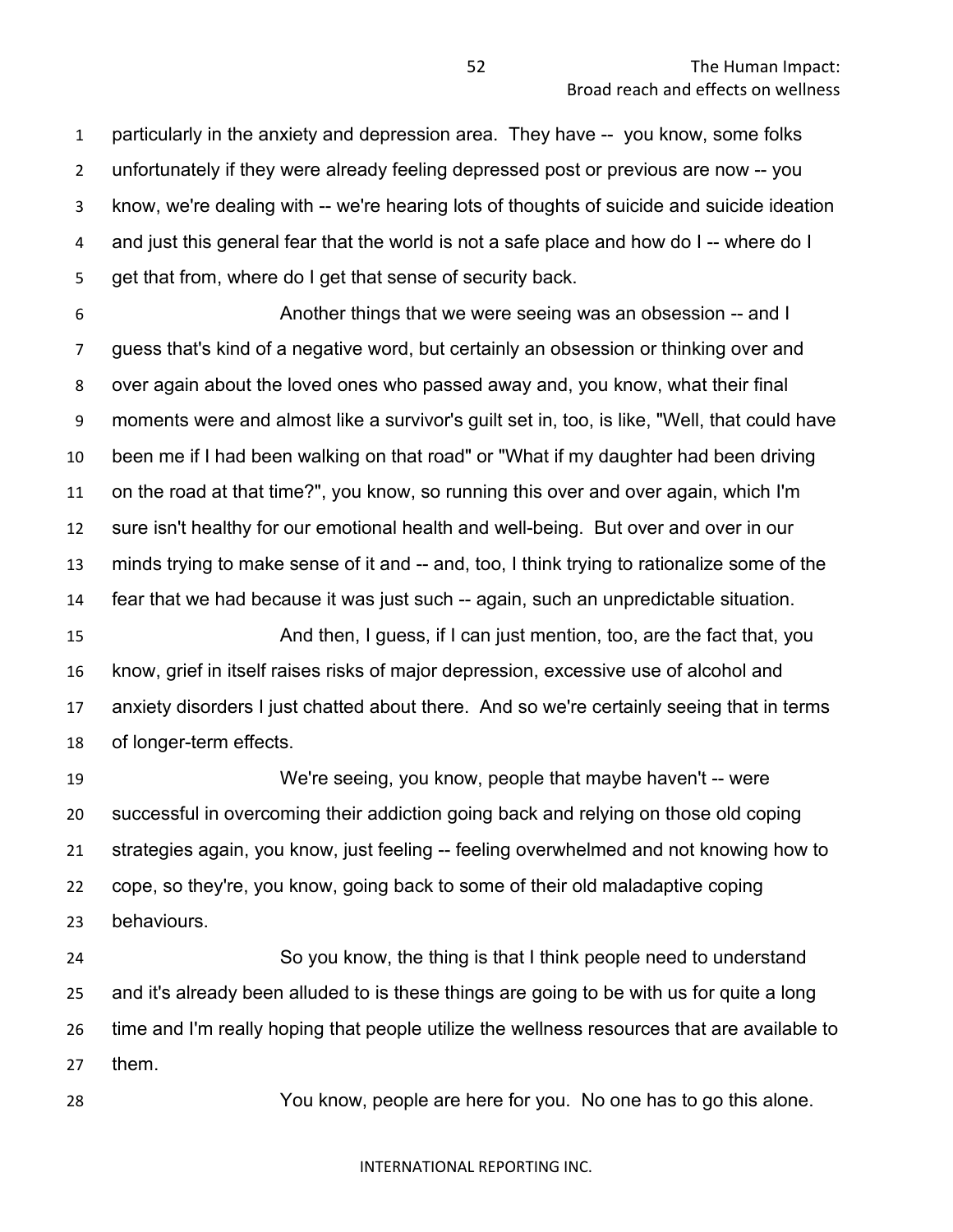particularly in the anxiety and depression area. They have -- you know, some folks unfortunately if they were already feeling depressed post or previous are now -- you know, we're dealing with -- we're hearing lots of thoughts of suicide and suicide ideation and just this general fear that the world is not a safe place and how do I -- where do I get that from, where do I get that sense of security back.

 Another things that we were seeing was an obsession -- and I guess that's kind of a negative word, but certainly an obsession or thinking over and over again about the loved ones who passed away and, you know, what their final moments were and almost like a survivor's guilt set in, too, is like, "Well, that could have been me if I had been walking on that road" or "What if my daughter had been driving on the road at that time?", you know, so running this over and over again, which I'm sure isn't healthy for our emotional health and well-being. But over and over in our minds trying to make sense of it and -- and, too, I think trying to rationalize some of the fear that we had because it was just such -- again, such an unpredictable situation.

 And then, I guess, if I can just mention, too, are the fact that, you know, grief in itself raises risks of major depression, excessive use of alcohol and anxiety disorders I just chatted about there. And so we're certainly seeing that in terms of longer-term effects.

 We're seeing, you know, people that maybe haven't -- were successful in overcoming their addiction going back and relying on those old coping strategies again, you know, just feeling -- feeling overwhelmed and not knowing how to cope, so they're, you know, going back to some of their old maladaptive coping behaviours.

 So you know, the thing is that I think people need to understand and it's already been alluded to is these things are going to be with us for quite a long time and I'm really hoping that people utilize the wellness resources that are available to them.

You know, people are here for you. No one has to go this alone.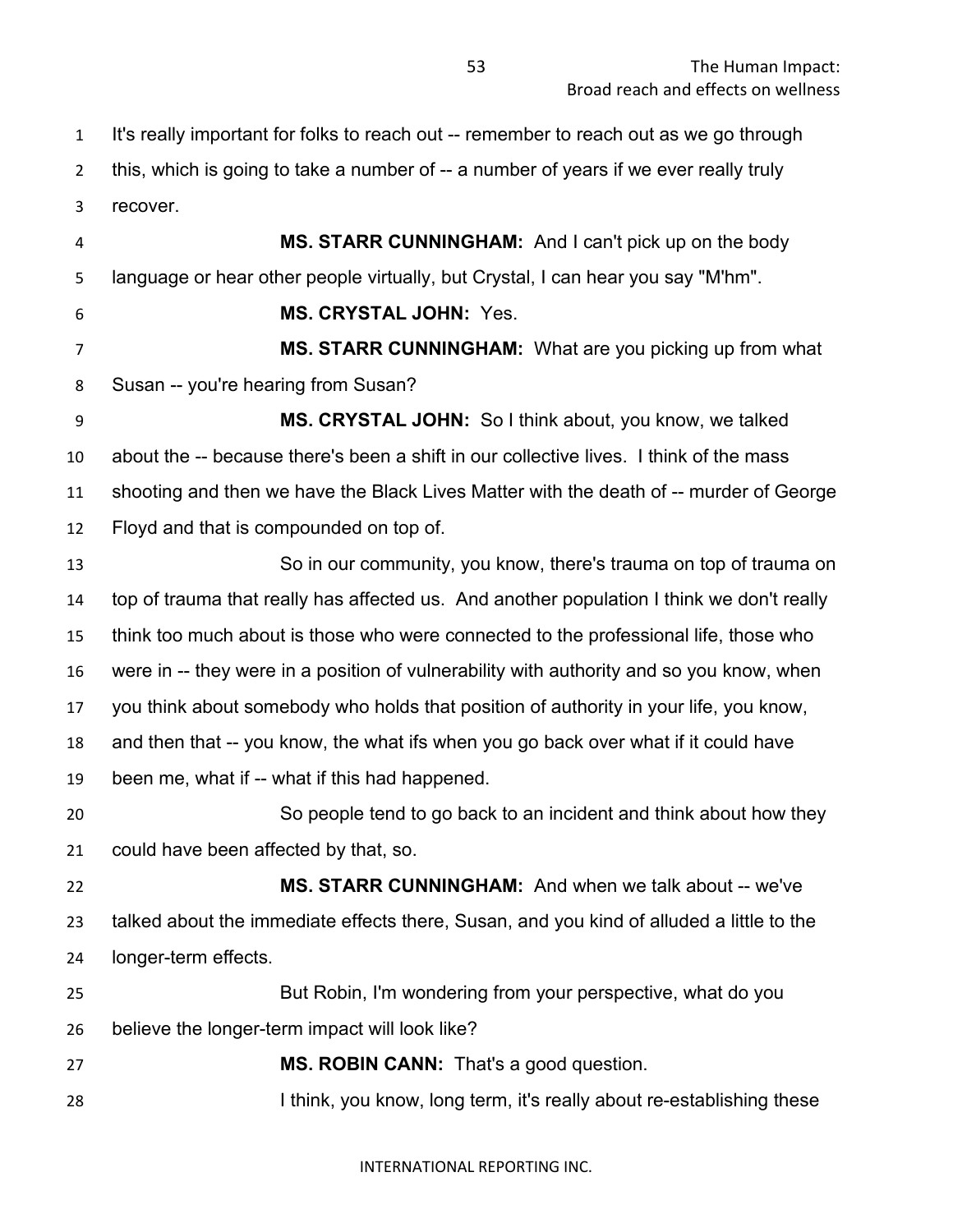It's really important for folks to reach out -- remember to reach out as we go through this, which is going to take a number of -- a number of years if we ever really truly recover.

 **MS. STARR CUNNINGHAM:** And I can't pick up on the body language or hear other people virtually, but Crystal, I can hear you say "M'hm". **MS. CRYSTAL JOHN:** Yes. **MS. STARR CUNNINGHAM:** What are you picking up from what Susan -- you're hearing from Susan? **MS. CRYSTAL JOHN:** So I think about, you know, we talked about the -- because there's been a shift in our collective lives. I think of the mass shooting and then we have the Black Lives Matter with the death of -- murder of George Floyd and that is compounded on top of. So in our community, you know, there's trauma on top of trauma on top of trauma that really has affected us. And another population I think we don't really think too much about is those who were connected to the professional life, those who were in -- they were in a position of vulnerability with authority and so you know, when you think about somebody who holds that position of authority in your life, you know, and then that -- you know, the what ifs when you go back over what if it could have been me, what if -- what if this had happened. So people tend to go back to an incident and think about how they could have been affected by that, so. **MS. STARR CUNNINGHAM:** And when we talk about -- we've talked about the immediate effects there, Susan, and you kind of alluded a little to the longer-term effects. But Robin, I'm wondering from your perspective, what do you believe the longer-term impact will look like? **MS. ROBIN CANN:** That's a good question. 28 I think, you know, long term, it's really about re-establishing these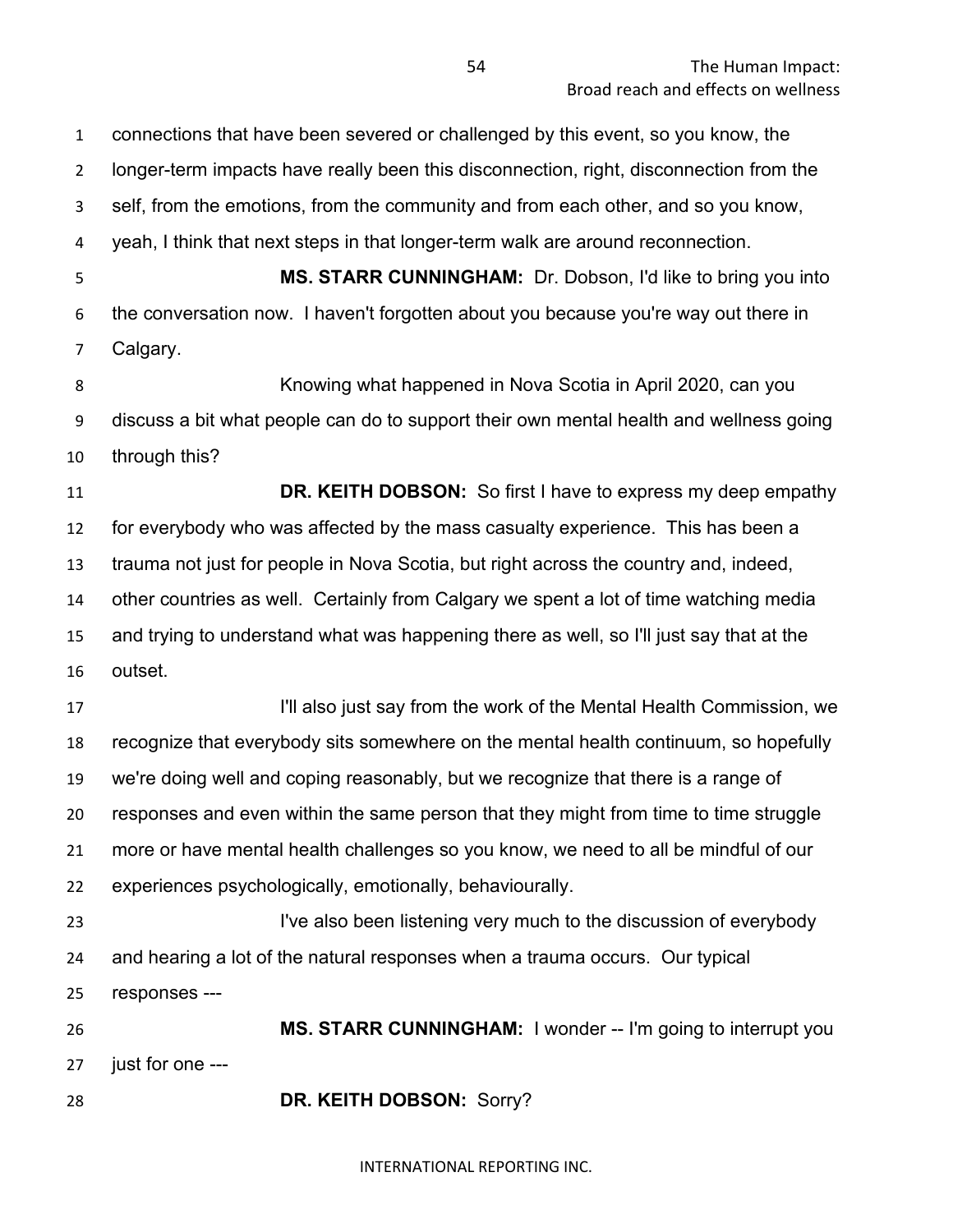connections that have been severed or challenged by this event, so you know, the longer-term impacts have really been this disconnection, right, disconnection from the self, from the emotions, from the community and from each other, and so you know, yeah, I think that next steps in that longer-term walk are around reconnection. **MS. STARR CUNNINGHAM:** Dr. Dobson, I'd like to bring you into the conversation now. I haven't forgotten about you because you're way out there in Calgary. Knowing what happened in Nova Scotia in April 2020, can you discuss a bit what people can do to support their own mental health and wellness going through this? **DR. KEITH DOBSON:** So first I have to express my deep empathy for everybody who was affected by the mass casualty experience. This has been a trauma not just for people in Nova Scotia, but right across the country and, indeed, other countries as well. Certainly from Calgary we spent a lot of time watching media and trying to understand what was happening there as well, so I'll just say that at the outset. **I'll also just say from the work of the Mental Health Commission, we**  recognize that everybody sits somewhere on the mental health continuum, so hopefully we're doing well and coping reasonably, but we recognize that there is a range of responses and even within the same person that they might from time to time struggle more or have mental health challenges so you know, we need to all be mindful of our experiences psychologically, emotionally, behaviourally. **I've also been listening very much to the discussion of everybody**  and hearing a lot of the natural responses when a trauma occurs. Our typical responses --- **MS. STARR CUNNINGHAM:** I wonder -- I'm going to interrupt you just for one --- **DR. KEITH DOBSON:** Sorry?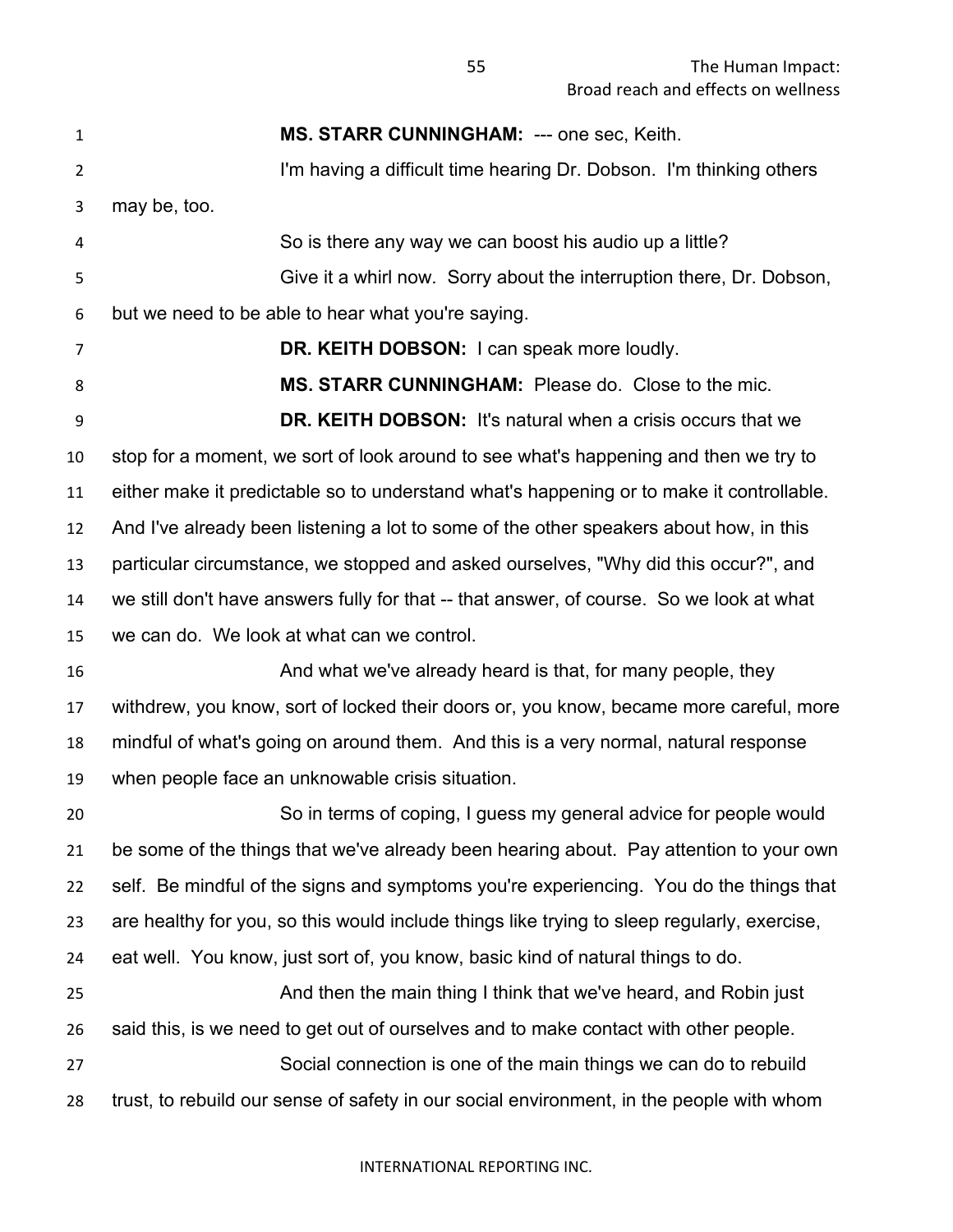**MS. STARR CUNNINGHAM:** --- one sec, Keith. 2 I'm having a difficult time hearing Dr. Dobson. I'm thinking others may be, too. So is there any way we can boost his audio up a little? Give it a whirl now. Sorry about the interruption there, Dr. Dobson, but we need to be able to hear what you're saying. **DR. KEITH DOBSON:** I can speak more loudly. 8 MS. STARR CUNNINGHAM: Please do. Close to the mic. **DR. KEITH DOBSON:** It's natural when a crisis occurs that we stop for a moment, we sort of look around to see what's happening and then we try to either make it predictable so to understand what's happening or to make it controllable. And I've already been listening a lot to some of the other speakers about how, in this particular circumstance, we stopped and asked ourselves, "Why did this occur?", and we still don't have answers fully for that -- that answer, of course. So we look at what we can do. We look at what can we control. **And what we've already heard is that, for many people, they** heard is that, for many people, they withdrew, you know, sort of locked their doors or, you know, became more careful, more mindful of what's going on around them. And this is a very normal, natural response when people face an unknowable crisis situation. So in terms of coping, I guess my general advice for people would be some of the things that we've already been hearing about. Pay attention to your own self. Be mindful of the signs and symptoms you're experiencing. You do the things that are healthy for you, so this would include things like trying to sleep regularly, exercise, eat well. You know, just sort of, you know, basic kind of natural things to do. And then the main thing I think that we've heard, and Robin just said this, is we need to get out of ourselves and to make contact with other people. Social connection is one of the main things we can do to rebuild trust, to rebuild our sense of safety in our social environment, in the people with whom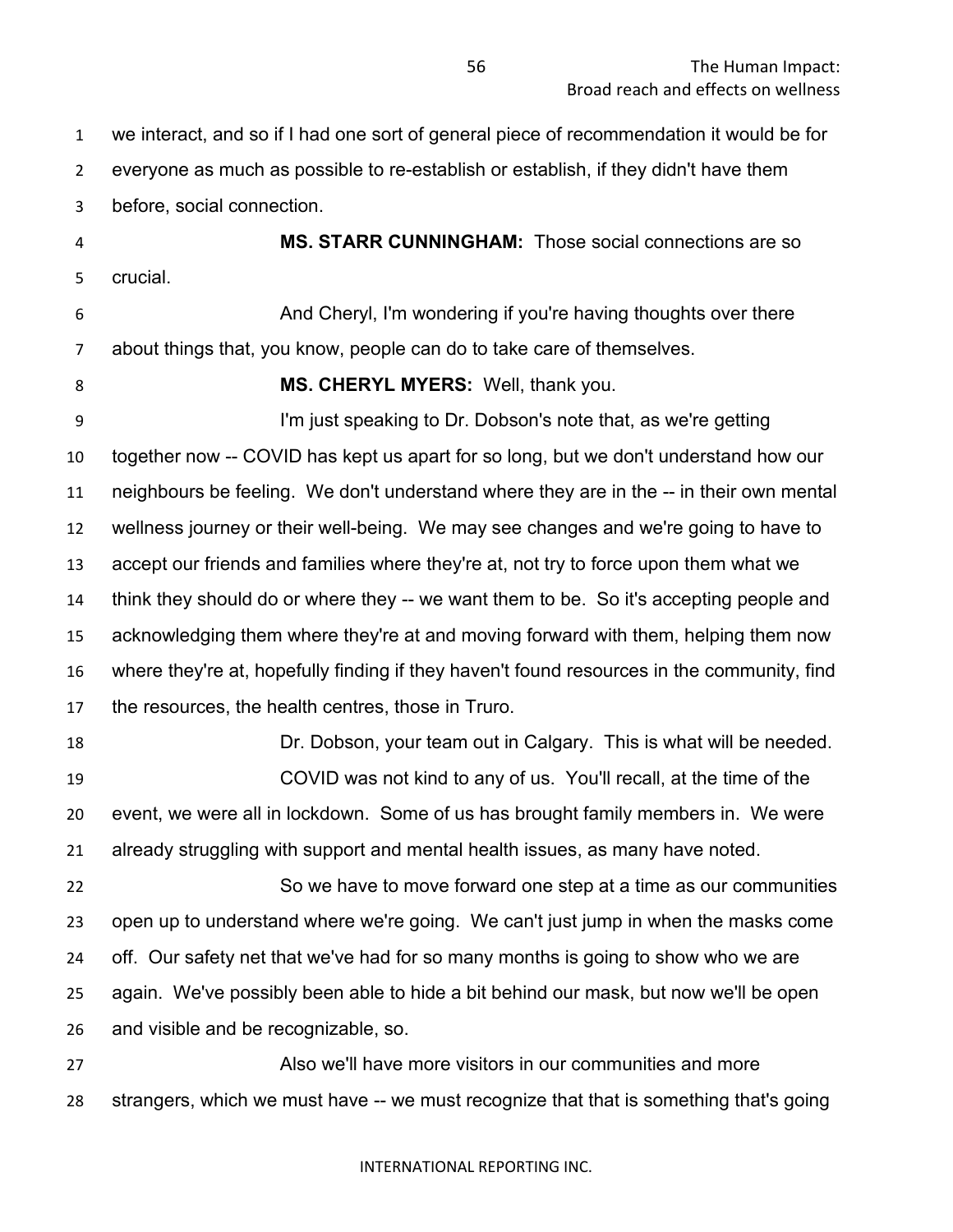we interact, and so if I had one sort of general piece of recommendation it would be for everyone as much as possible to re-establish or establish, if they didn't have them before, social connection.

 **MS. STARR CUNNINGHAM:** Those social connections are so crucial.

 And Cheryl, I'm wondering if you're having thoughts over there about things that, you know, people can do to take care of themselves.

**MS. CHERYL MYERS:** Well, thank you.

 I'm just speaking to Dr. Dobson's note that, as we're getting together now -- COVID has kept us apart for so long, but we don't understand how our neighbours be feeling. We don't understand where they are in the -- in their own mental wellness journey or their well-being. We may see changes and we're going to have to accept our friends and families where they're at, not try to force upon them what we think they should do or where they -- we want them to be. So it's accepting people and acknowledging them where they're at and moving forward with them, helping them now where they're at, hopefully finding if they haven't found resources in the community, find the resources, the health centres, those in Truro.

 Dr. Dobson, your team out in Calgary. This is what will be needed. COVID was not kind to any of us. You'll recall, at the time of the event, we were all in lockdown. Some of us has brought family members in. We were already struggling with support and mental health issues, as many have noted.

 So we have to move forward one step at a time as our communities open up to understand where we're going. We can't just jump in when the masks come off. Our safety net that we've had for so many months is going to show who we are again. We've possibly been able to hide a bit behind our mask, but now we'll be open and visible and be recognizable, so.

 Also we'll have more visitors in our communities and more strangers, which we must have -- we must recognize that that is something that's going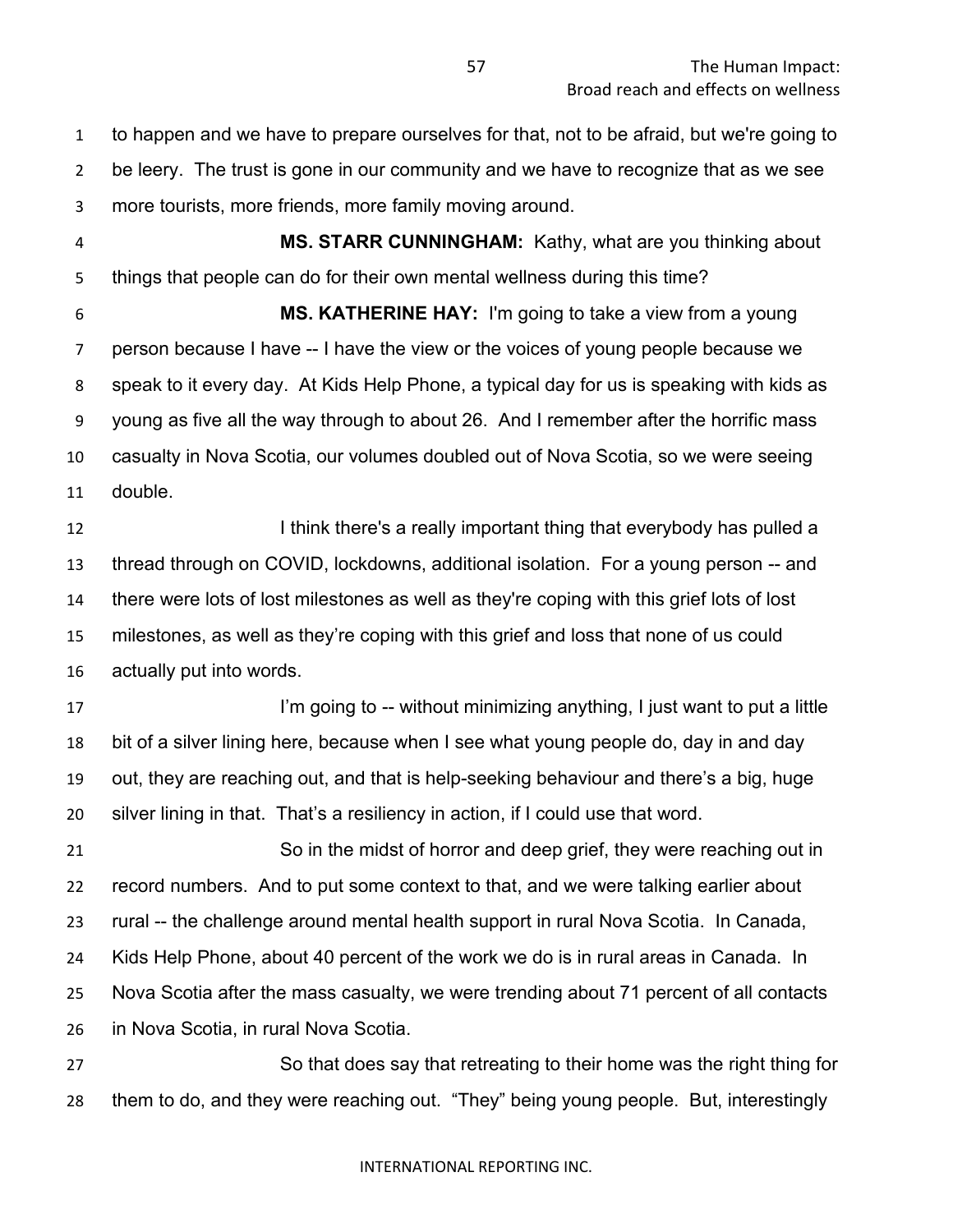to happen and we have to prepare ourselves for that, not to be afraid, but we're going to be leery. The trust is gone in our community and we have to recognize that as we see more tourists, more friends, more family moving around.

 **MS. STARR CUNNINGHAM:** Kathy, what are you thinking about things that people can do for their own mental wellness during this time?

 **MS. KATHERINE HAY:** I'm going to take a view from a young person because I have -- I have the view or the voices of young people because we speak to it every day. At Kids Help Phone, a typical day for us is speaking with kids as young as five all the way through to about 26. And I remember after the horrific mass casualty in Nova Scotia, our volumes doubled out of Nova Scotia, so we were seeing double.

**I think there's a really important thing that everybody has pulled a**  thread through on COVID, lockdowns, additional isolation. For a young person -- and there were lots of lost milestones as well as they're coping with this grief lots of lost milestones, as well as they're coping with this grief and loss that none of us could actually put into words.

17 I'm going to -- without minimizing anything, I just want to put a little bit of a silver lining here, because when I see what young people do, day in and day out, they are reaching out, and that is help-seeking behaviour and there's a big, huge silver lining in that. That's a resiliency in action, if I could use that word.

 So in the midst of horror and deep grief, they were reaching out in record numbers. And to put some context to that, and we were talking earlier about rural -- the challenge around mental health support in rural Nova Scotia. In Canada, Kids Help Phone, about 40 percent of the work we do is in rural areas in Canada. In Nova Scotia after the mass casualty, we were trending about 71 percent of all contacts in Nova Scotia, in rural Nova Scotia.

 So that does say that retreating to their home was the right thing for them to do, and they were reaching out. "They" being young people. But, interestingly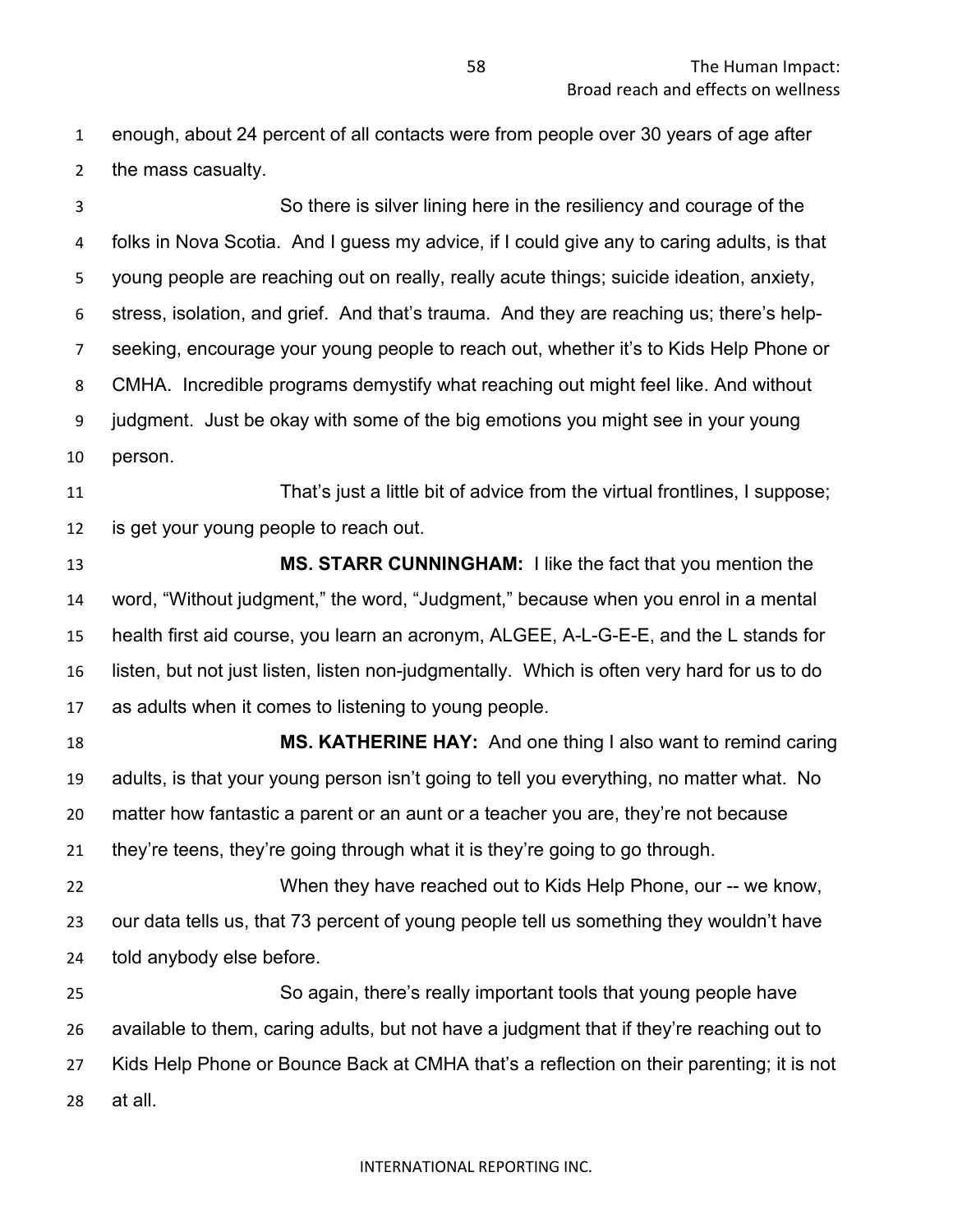enough, about 24 percent of all contacts were from people over 30 years of age after the mass casualty.

 So there is silver lining here in the resiliency and courage of the folks in Nova Scotia. And I guess my advice, if I could give any to caring adults, is that young people are reaching out on really, really acute things; suicide ideation, anxiety, stress, isolation, and grief. And that's trauma. And they are reaching us; there's help- seeking, encourage your young people to reach out, whether it's to Kids Help Phone or CMHA. Incredible programs demystify what reaching out might feel like. And without judgment. Just be okay with some of the big emotions you might see in your young person.

 That's just a little bit of advice from the virtual frontlines, I suppose; is get your young people to reach out.

 **MS. STARR CUNNINGHAM:** I like the fact that you mention the word, "Without judgment," the word, "Judgment," because when you enrol in a mental health first aid course, you learn an acronym, ALGEE, A-L-G-E-E, and the L stands for listen, but not just listen, listen non-judgmentally. Which is often very hard for us to do as adults when it comes to listening to young people.

 **MS. KATHERINE HAY:** And one thing I also want to remind caring adults, is that your young person isn't going to tell you everything, no matter what. No matter how fantastic a parent or an aunt or a teacher you are, they're not because they're teens, they're going through what it is they're going to go through.

 When they have reached out to Kids Help Phone, our -- we know, our data tells us, that 73 percent of young people tell us something they wouldn't have told anybody else before.

 So again, there's really important tools that young people have available to them, caring adults, but not have a judgment that if they're reaching out to Kids Help Phone or Bounce Back at CMHA that's a reflection on their parenting; it is not at all.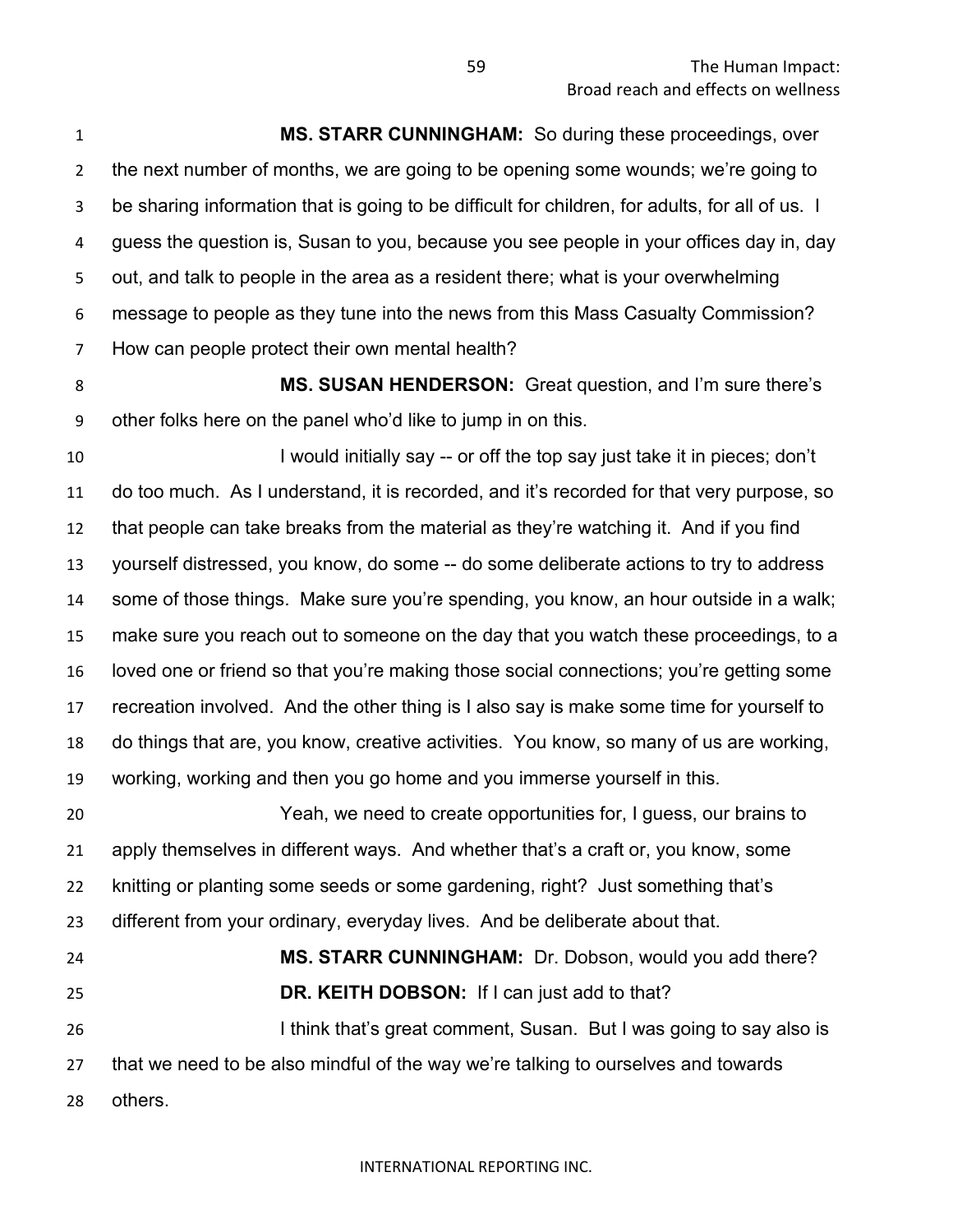**MS. STARR CUNNINGHAM:** So during these proceedings, over the next number of months, we are going to be opening some wounds; we're going to be sharing information that is going to be difficult for children, for adults, for all of us. I guess the question is, Susan to you, because you see people in your offices day in, day out, and talk to people in the area as a resident there; what is your overwhelming message to people as they tune into the news from this Mass Casualty Commission? How can people protect their own mental health?

 **MS. SUSAN HENDERSON:** Great question, and I'm sure there's other folks here on the panel who'd like to jump in on this.

10 I would initially say -- or off the top say just take it in pieces; don't do too much. As I understand, it is recorded, and it's recorded for that very purpose, so that people can take breaks from the material as they're watching it. And if you find yourself distressed, you know, do some -- do some deliberate actions to try to address some of those things. Make sure you're spending, you know, an hour outside in a walk; make sure you reach out to someone on the day that you watch these proceedings, to a loved one or friend so that you're making those social connections; you're getting some recreation involved. And the other thing is I also say is make some time for yourself to do things that are, you know, creative activities. You know, so many of us are working, working, working and then you go home and you immerse yourself in this.

 Yeah, we need to create opportunities for, I guess, our brains to apply themselves in different ways. And whether that's a craft or, you know, some knitting or planting some seeds or some gardening, right? Just something that's different from your ordinary, everyday lives. And be deliberate about that.

 **MS. STARR CUNNINGHAM:** Dr. Dobson, would you add there? **DR. KEITH DOBSON:** If I can just add to that? **I think that's great comment, Susan. But I was going to say also is**  that we need to be also mindful of the way we're talking to ourselves and towards others.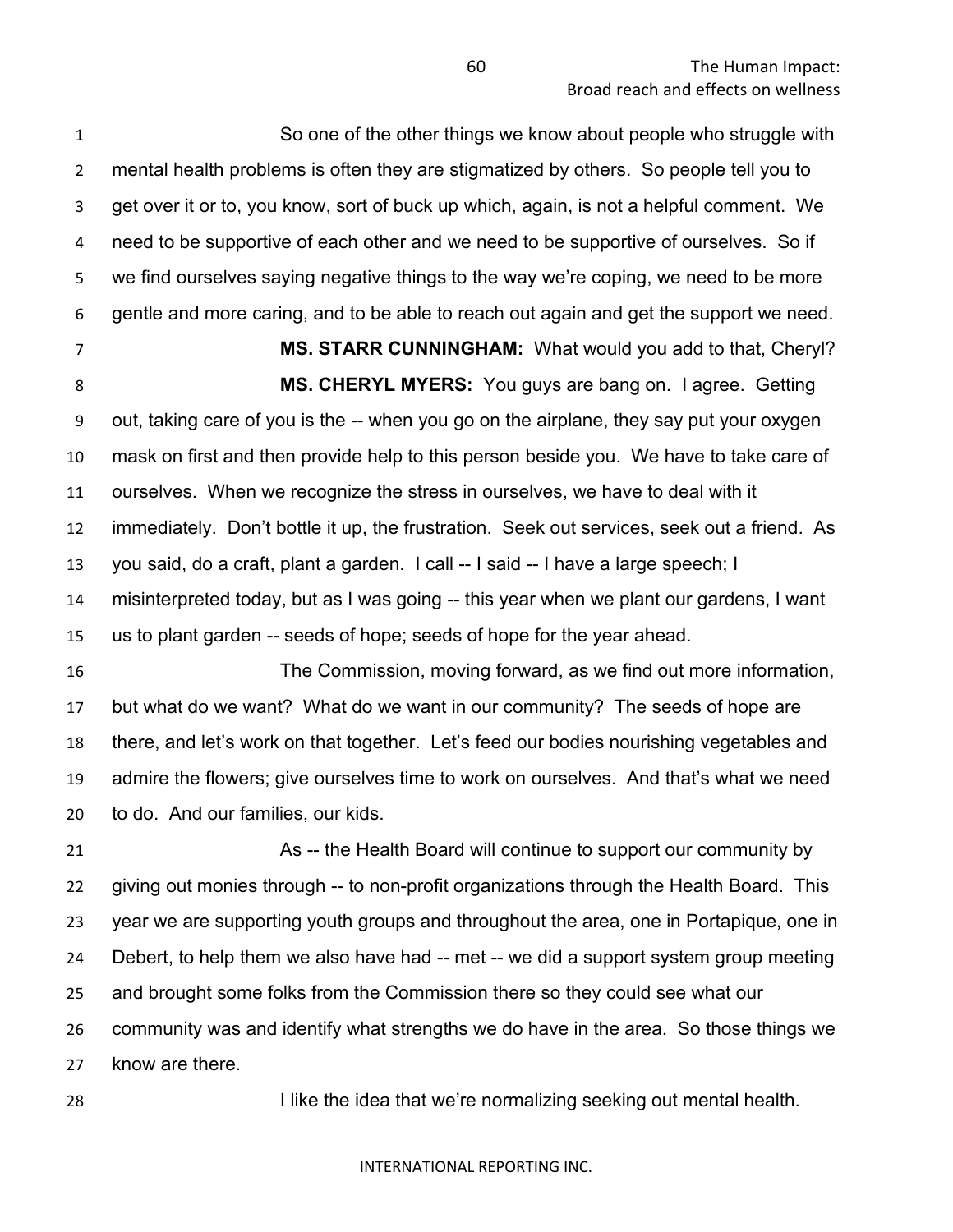So one of the other things we know about people who struggle with mental health problems is often they are stigmatized by others. So people tell you to get over it or to, you know, sort of buck up which, again, is not a helpful comment. We need to be supportive of each other and we need to be supportive of ourselves. So if we find ourselves saying negative things to the way we're coping, we need to be more gentle and more caring, and to be able to reach out again and get the support we need.

**MS. STARR CUNNINGHAM:** What would you add to that, Cheryl?

 **MS. CHERYL MYERS:** You guys are bang on. I agree. Getting out, taking care of you is the -- when you go on the airplane, they say put your oxygen mask on first and then provide help to this person beside you. We have to take care of ourselves. When we recognize the stress in ourselves, we have to deal with it immediately. Don't bottle it up, the frustration. Seek out services, seek out a friend. As you said, do a craft, plant a garden. I call -- I said -- I have a large speech; I misinterpreted today, but as I was going -- this year when we plant our gardens, I want us to plant garden -- seeds of hope; seeds of hope for the year ahead.

 The Commission, moving forward, as we find out more information, but what do we want? What do we want in our community? The seeds of hope are there, and let's work on that together. Let's feed our bodies nourishing vegetables and admire the flowers; give ourselves time to work on ourselves. And that's what we need to do. And our families, our kids.

 As -- the Health Board will continue to support our community by giving out monies through -- to non-profit organizations through the Health Board. This year we are supporting youth groups and throughout the area, one in Portapique, one in Debert, to help them we also have had -- met -- we did a support system group meeting and brought some folks from the Commission there so they could see what our community was and identify what strengths we do have in the area. So those things we know are there.

**I like the idea that we're normalizing seeking out mental health.**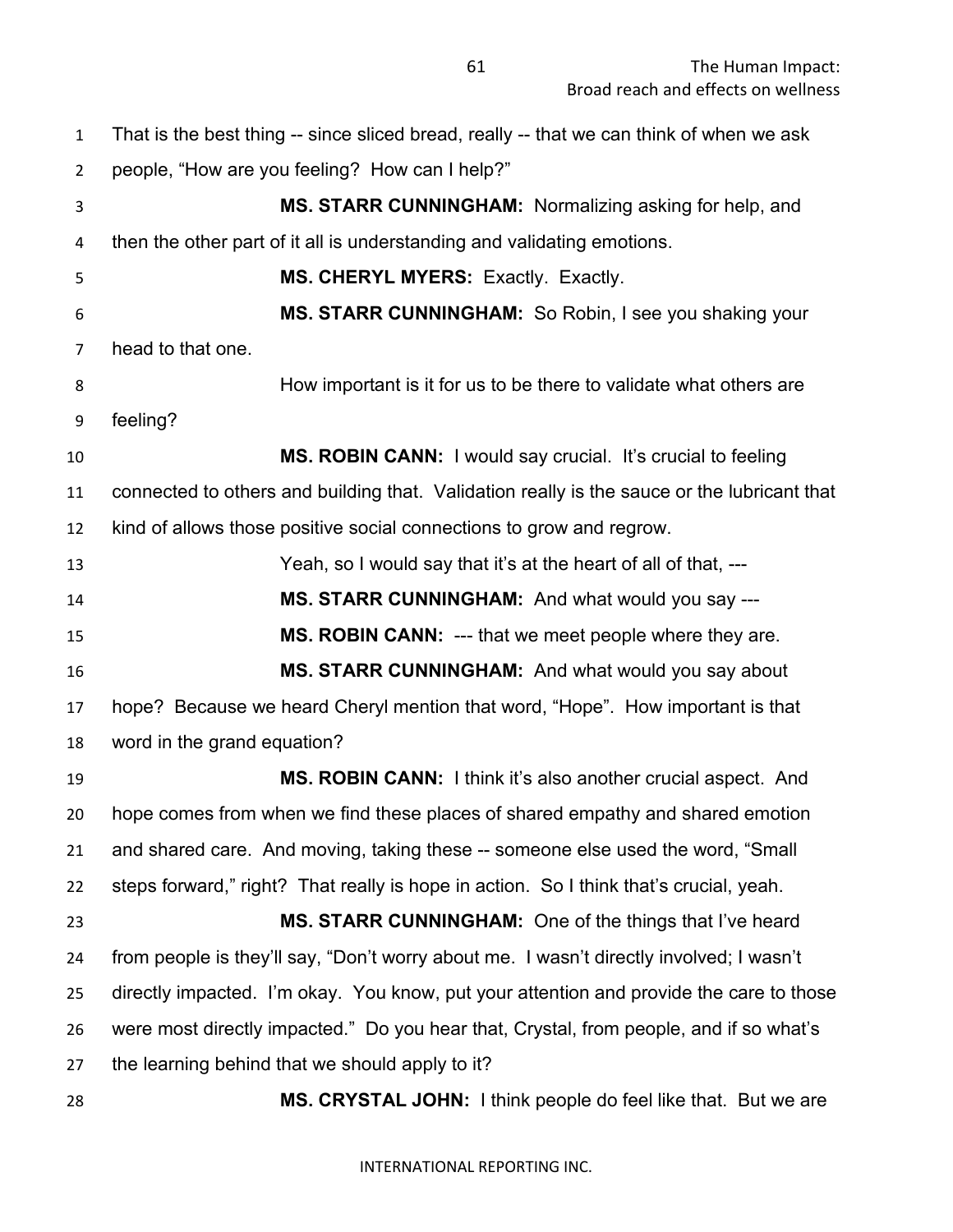The Human Impact: Broad reach and effects on wellness

**MS. CRYSTAL JOHN:** I think people do feel like that. But we are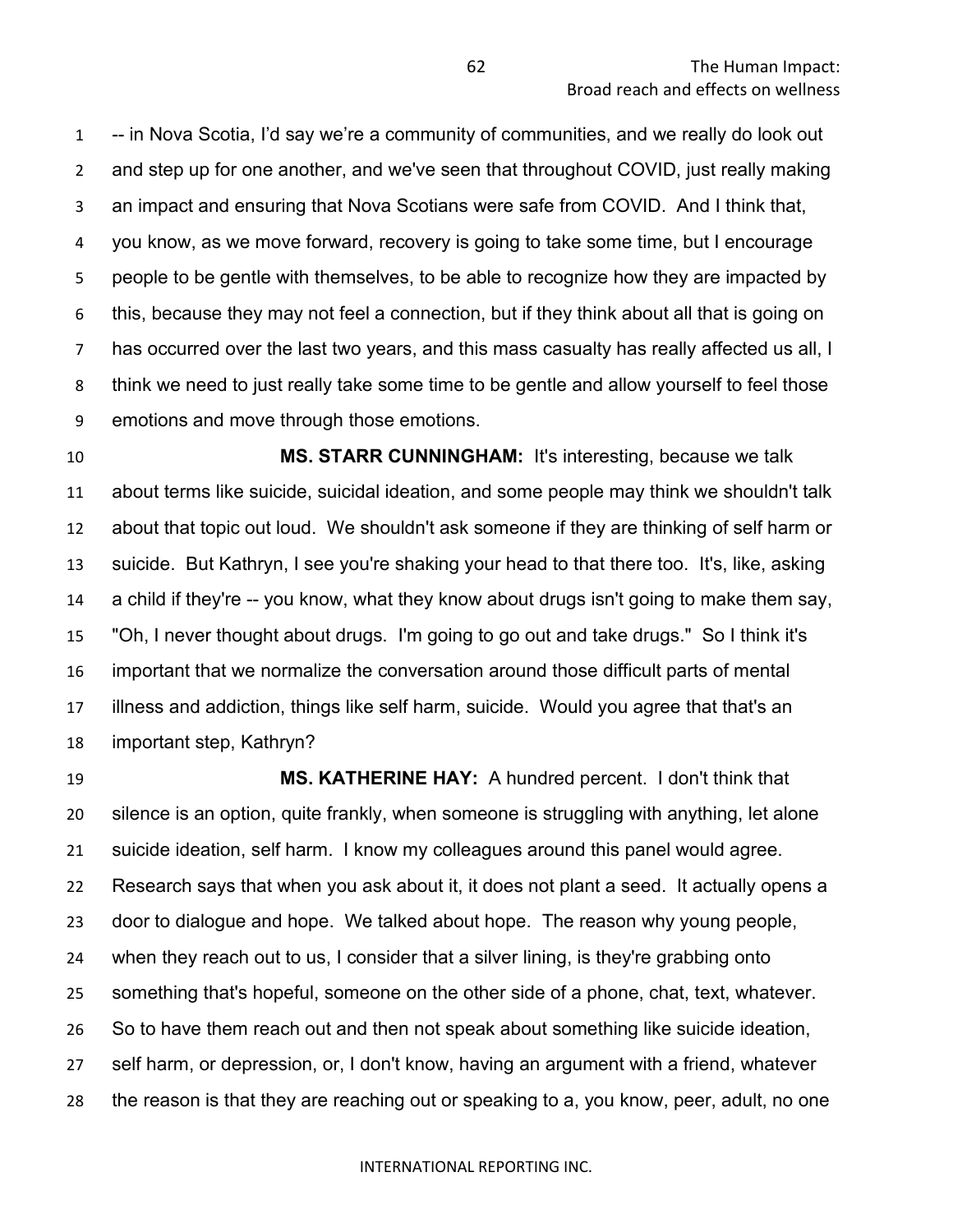-- in Nova Scotia, I'd say we're a community of communities, and we really do look out and step up for one another, and we've seen that throughout COVID, just really making an impact and ensuring that Nova Scotians were safe from COVID. And I think that, you know, as we move forward, recovery is going to take some time, but I encourage people to be gentle with themselves, to be able to recognize how they are impacted by this, because they may not feel a connection, but if they think about all that is going on has occurred over the last two years, and this mass casualty has really affected us all, I think we need to just really take some time to be gentle and allow yourself to feel those emotions and move through those emotions.

 **MS. STARR CUNNINGHAM:** It's interesting, because we talk about terms like suicide, suicidal ideation, and some people may think we shouldn't talk about that topic out loud. We shouldn't ask someone if they are thinking of self harm or suicide. But Kathryn, I see you're shaking your head to that there too. It's, like, asking a child if they're -- you know, what they know about drugs isn't going to make them say, "Oh, I never thought about drugs. I'm going to go out and take drugs." So I think it's important that we normalize the conversation around those difficult parts of mental illness and addiction, things like self harm, suicide. Would you agree that that's an important step, Kathryn?

 **MS. KATHERINE HAY:** A hundred percent. I don't think that silence is an option, quite frankly, when someone is struggling with anything, let alone suicide ideation, self harm. I know my colleagues around this panel would agree. Research says that when you ask about it, it does not plant a seed. It actually opens a door to dialogue and hope. We talked about hope. The reason why young people, when they reach out to us, I consider that a silver lining, is they're grabbing onto something that's hopeful, someone on the other side of a phone, chat, text, whatever. So to have them reach out and then not speak about something like suicide ideation, self harm, or depression, or, I don't know, having an argument with a friend, whatever the reason is that they are reaching out or speaking to a, you know, peer, adult, no one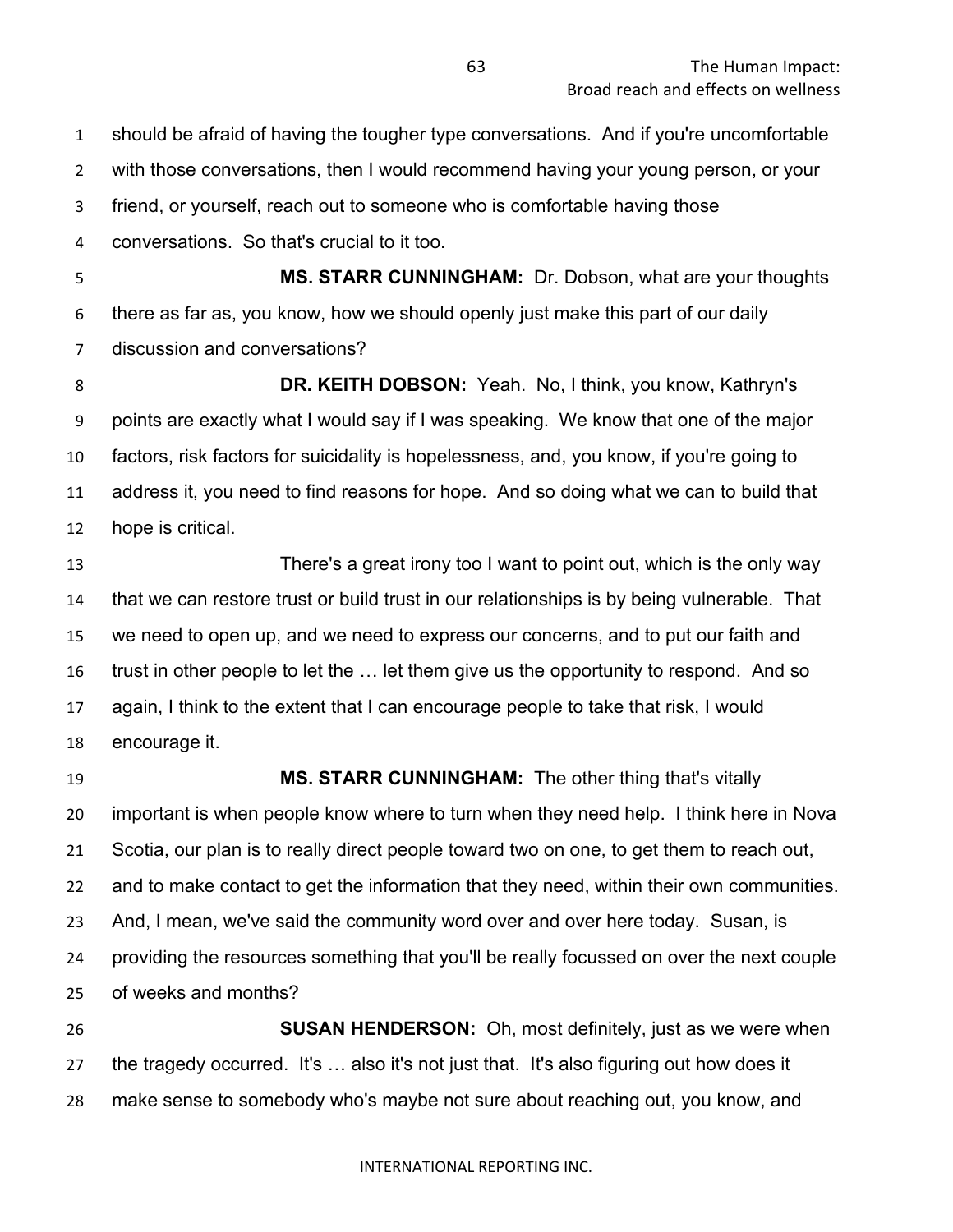should be afraid of having the tougher type conversations. And if you're uncomfortable

with those conversations, then I would recommend having your young person, or your

friend, or yourself, reach out to someone who is comfortable having those

conversations. So that's crucial to it too.

 **MS. STARR CUNNINGHAM:** Dr. Dobson, what are your thoughts there as far as, you know, how we should openly just make this part of our daily discussion and conversations?

 **DR. KEITH DOBSON:** Yeah. No, I think, you know, Kathryn's points are exactly what I would say if I was speaking. We know that one of the major factors, risk factors for suicidality is hopelessness, and, you know, if you're going to address it, you need to find reasons for hope. And so doing what we can to build that hope is critical.

 There's a great irony too I want to point out, which is the only way that we can restore trust or build trust in our relationships is by being vulnerable. That we need to open up, and we need to express our concerns, and to put our faith and trust in other people to let the … let them give us the opportunity to respond. And so again, I think to the extent that I can encourage people to take that risk, I would encourage it.

 **MS. STARR CUNNINGHAM:** The other thing that's vitally important is when people know where to turn when they need help. I think here in Nova Scotia, our plan is to really direct people toward two on one, to get them to reach out, and to make contact to get the information that they need, within their own communities. And, I mean, we've said the community word over and over here today. Susan, is providing the resources something that you'll be really focussed on over the next couple of weeks and months?

 **SUSAN HENDERSON:** Oh, most definitely, just as we were when the tragedy occurred. It's … also it's not just that. It's also figuring out how does it make sense to somebody who's maybe not sure about reaching out, you know, and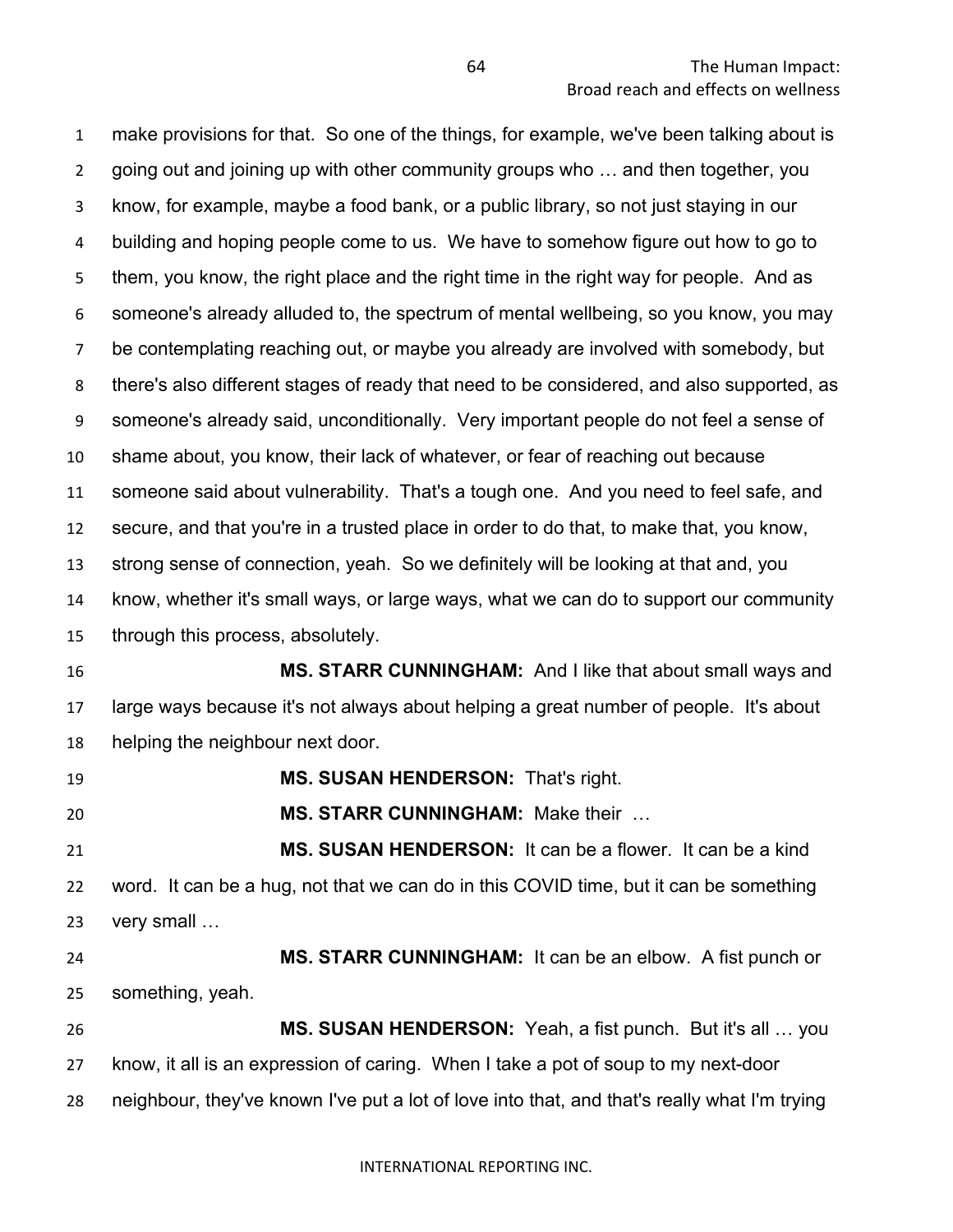make provisions for that. So one of the things, for example, we've been talking about is going out and joining up with other community groups who … and then together, you know, for example, maybe a food bank, or a public library, so not just staying in our building and hoping people come to us. We have to somehow figure out how to go to them, you know, the right place and the right time in the right way for people. And as someone's already alluded to, the spectrum of mental wellbeing, so you know, you may be contemplating reaching out, or maybe you already are involved with somebody, but there's also different stages of ready that need to be considered, and also supported, as someone's already said, unconditionally. Very important people do not feel a sense of shame about, you know, their lack of whatever, or fear of reaching out because someone said about vulnerability. That's a tough one. And you need to feel safe, and secure, and that you're in a trusted place in order to do that, to make that, you know, strong sense of connection, yeah. So we definitely will be looking at that and, you know, whether it's small ways, or large ways, what we can do to support our community through this process, absolutely. **MS. STARR CUNNINGHAM:** And I like that about small ways and large ways because it's not always about helping a great number of people. It's about helping the neighbour next door.

**MS. SUSAN HENDERSON:** That's right.

**MS. STARR CUNNINGHAM:** Make their …

 **MS. SUSAN HENDERSON:** It can be a flower. It can be a kind word. It can be a hug, not that we can do in this COVID time, but it can be something very small …

 **MS. STARR CUNNINGHAM:** It can be an elbow. A fist punch or something, yeah.

 **MS. SUSAN HENDERSON:** Yeah, a fist punch. But it's all … you know, it all is an expression of caring. When I take a pot of soup to my next-door neighbour, they've known I've put a lot of love into that, and that's really what I'm trying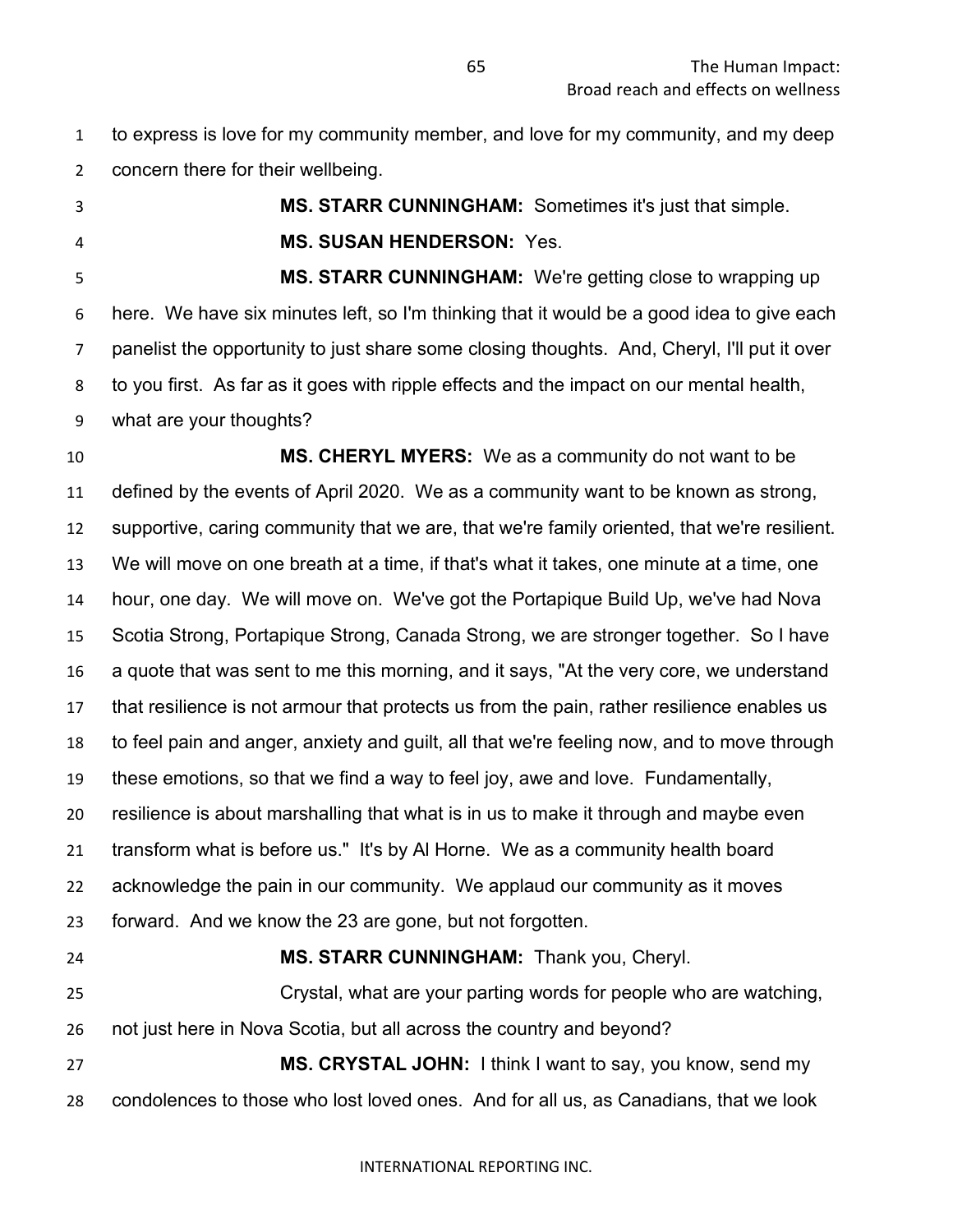to express is love for my community member, and love for my community, and my deep concern there for their wellbeing.

**MS. STARR CUNNINGHAM:** Sometimes it's just that simple.

**MS. SUSAN HENDERSON:** Yes.

 **MS. STARR CUNNINGHAM:** We're getting close to wrapping up here. We have six minutes left, so I'm thinking that it would be a good idea to give each panelist the opportunity to just share some closing thoughts. And, Cheryl, I'll put it over to you first. As far as it goes with ripple effects and the impact on our mental health, what are your thoughts?

 **MS. CHERYL MYERS:** We as a community do not want to be defined by the events of April 2020. We as a community want to be known as strong, supportive, caring community that we are, that we're family oriented, that we're resilient. We will move on one breath at a time, if that's what it takes, one minute at a time, one hour, one day. We will move on. We've got the Portapique Build Up, we've had Nova Scotia Strong, Portapique Strong, Canada Strong, we are stronger together. So I have a quote that was sent to me this morning, and it says, "At the very core, we understand that resilience is not armour that protects us from the pain, rather resilience enables us to feel pain and anger, anxiety and guilt, all that we're feeling now, and to move through these emotions, so that we find a way to feel joy, awe and love. Fundamentally, resilience is about marshalling that what is in us to make it through and maybe even transform what is before us." It's by Al Horne. We as a community health board acknowledge the pain in our community. We applaud our community as it moves forward. And we know the 23 are gone, but not forgotten. **MS. STARR CUNNINGHAM:** Thank you, Cheryl. Crystal, what are your parting words for people who are watching, not just here in Nova Scotia, but all across the country and beyond?

 **MS. CRYSTAL JOHN:** I think I want to say, you know, send my condolences to those who lost loved ones. And for all us, as Canadians, that we look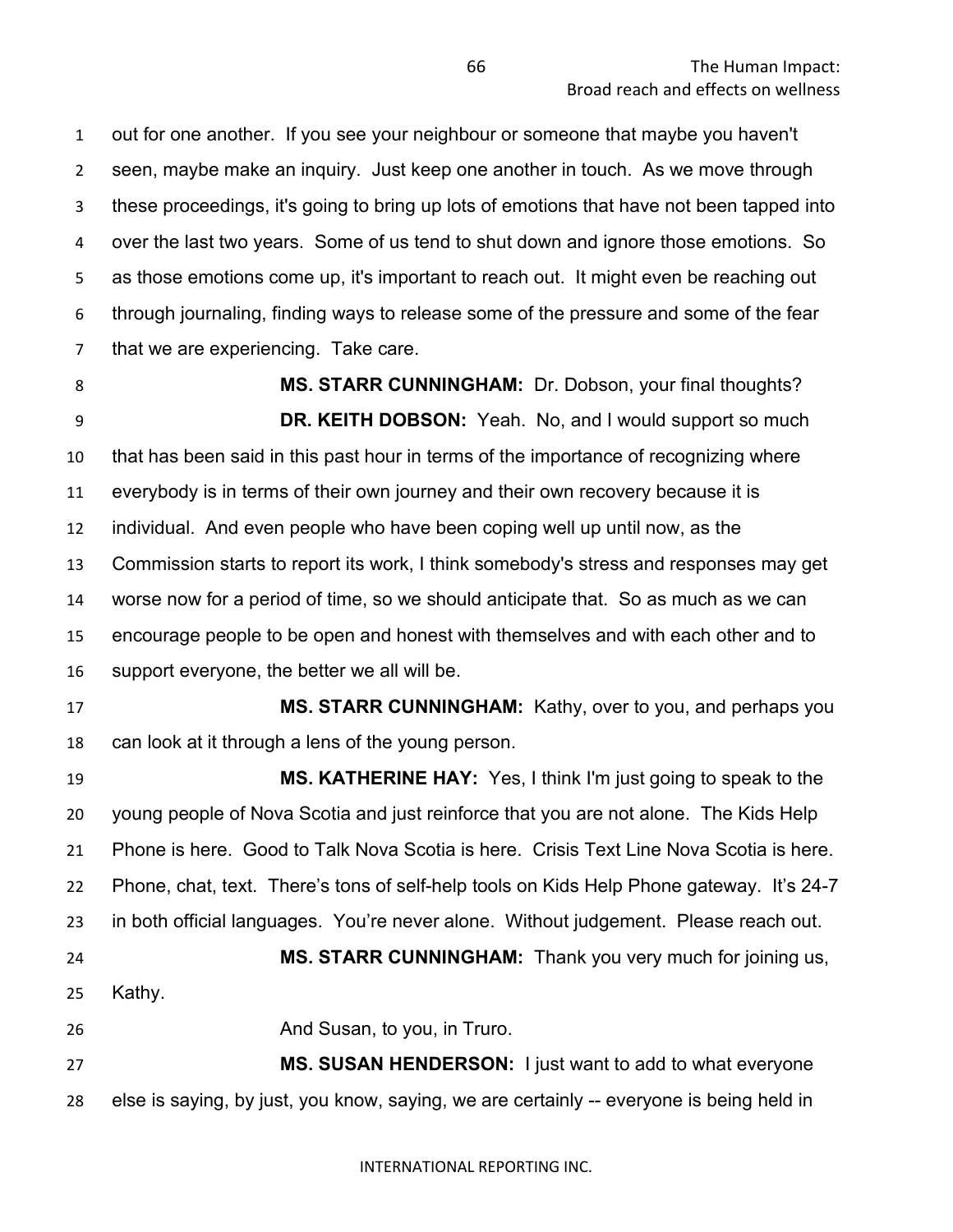out for one another. If you see your neighbour or someone that maybe you haven't seen, maybe make an inquiry. Just keep one another in touch. As we move through these proceedings, it's going to bring up lots of emotions that have not been tapped into over the last two years. Some of us tend to shut down and ignore those emotions. So as those emotions come up, it's important to reach out. It might even be reaching out through journaling, finding ways to release some of the pressure and some of the fear that we are experiencing. Take care.

**MS. STARR CUNNINGHAM:** Dr. Dobson, your final thoughts? **DR. KEITH DOBSON:** Yeah. No, and I would support so much that has been said in this past hour in terms of the importance of recognizing where everybody is in terms of their own journey and their own recovery because it is individual. And even people who have been coping well up until now, as the Commission starts to report its work, I think somebody's stress and responses may get worse now for a period of time, so we should anticipate that. So as much as we can encourage people to be open and honest with themselves and with each other and to support everyone, the better we all will be.

 **MS. STARR CUNNINGHAM:** Kathy, over to you, and perhaps you can look at it through a lens of the young person.

 **MS. KATHERINE HAY:** Yes, I think I'm just going to speak to the young people of Nova Scotia and just reinforce that you are not alone. The Kids Help Phone is here. Good to Talk Nova Scotia is here. Crisis Text Line Nova Scotia is here. Phone, chat, text. There's tons of self-help tools on Kids Help Phone gateway. It's 24-7 in both official languages. You're never alone. Without judgement. Please reach out. **MS. STARR CUNNINGHAM:** Thank you very much for joining us, Kathy.

26 And Susan, to you, in Truro.

 **MS. SUSAN HENDERSON:** I just want to add to what everyone else is saying, by just, you know, saying, we are certainly -- everyone is being held in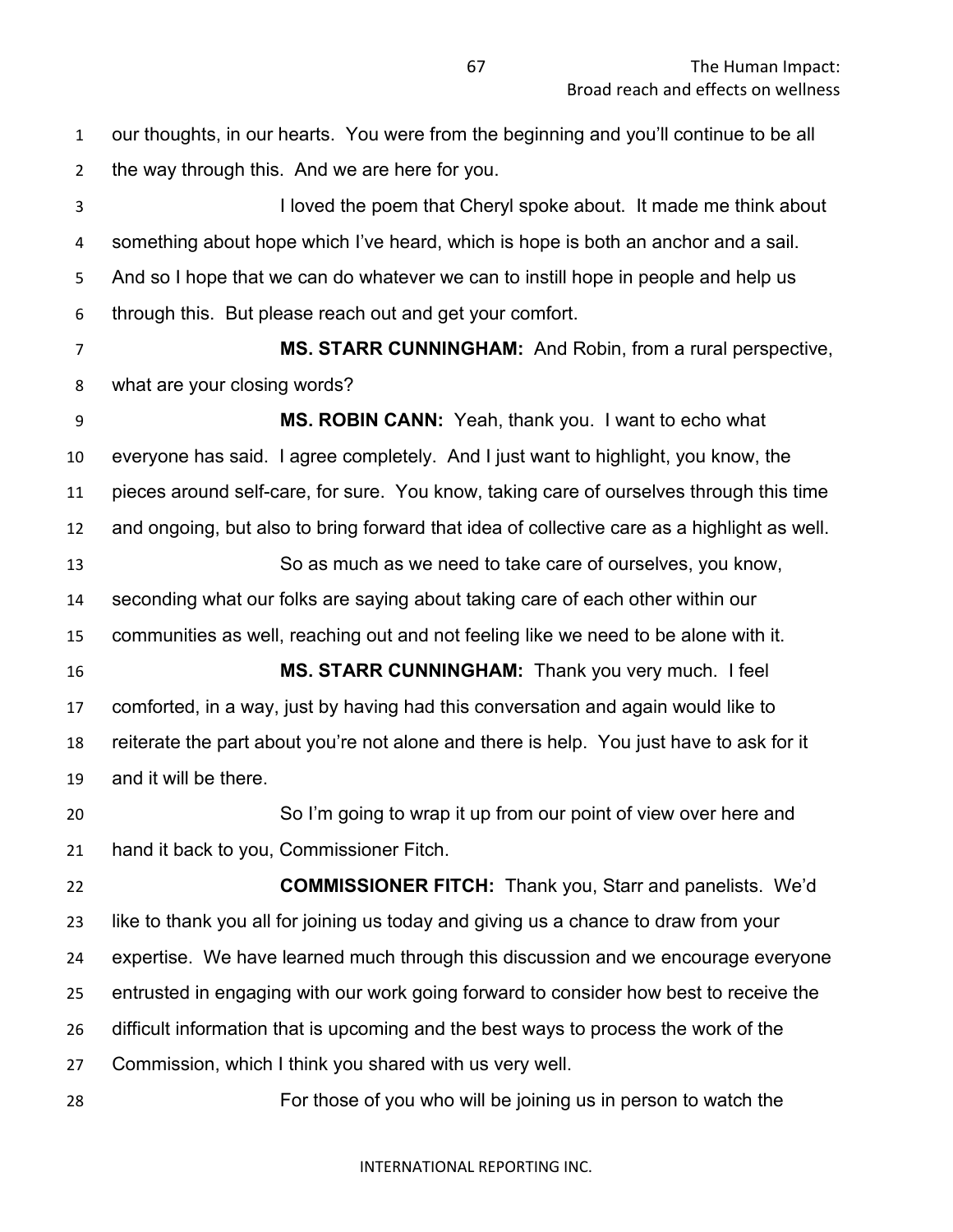our thoughts, in our hearts. You were from the beginning and you'll continue to be all the way through this. And we are here for you.

 I loved the poem that Cheryl spoke about. It made me think about something about hope which I've heard, which is hope is both an anchor and a sail. And so I hope that we can do whatever we can to instill hope in people and help us through this. But please reach out and get your comfort.

 **MS. STARR CUNNINGHAM:** And Robin, from a rural perspective, what are your closing words?

 **MS. ROBIN CANN:** Yeah, thank you. I want to echo what everyone has said. I agree completely. And I just want to highlight, you know, the pieces around self-care, for sure. You know, taking care of ourselves through this time and ongoing, but also to bring forward that idea of collective care as a highlight as well. So as much as we need to take care of ourselves, you know, seconding what our folks are saying about taking care of each other within our communities as well, reaching out and not feeling like we need to be alone with it. **MS. STARR CUNNINGHAM:** Thank you very much. I feel comforted, in a way, just by having had this conversation and again would like to reiterate the part about you're not alone and there is help. You just have to ask for it and it will be there. So I'm going to wrap it up from our point of view over here and hand it back to you, Commissioner Fitch.

 **COMMISSIONER FITCH:** Thank you, Starr and panelists. We'd like to thank you all for joining us today and giving us a chance to draw from your expertise. We have learned much through this discussion and we encourage everyone entrusted in engaging with our work going forward to consider how best to receive the difficult information that is upcoming and the best ways to process the work of the Commission, which I think you shared with us very well.

For those of you who will be joining us in person to watch the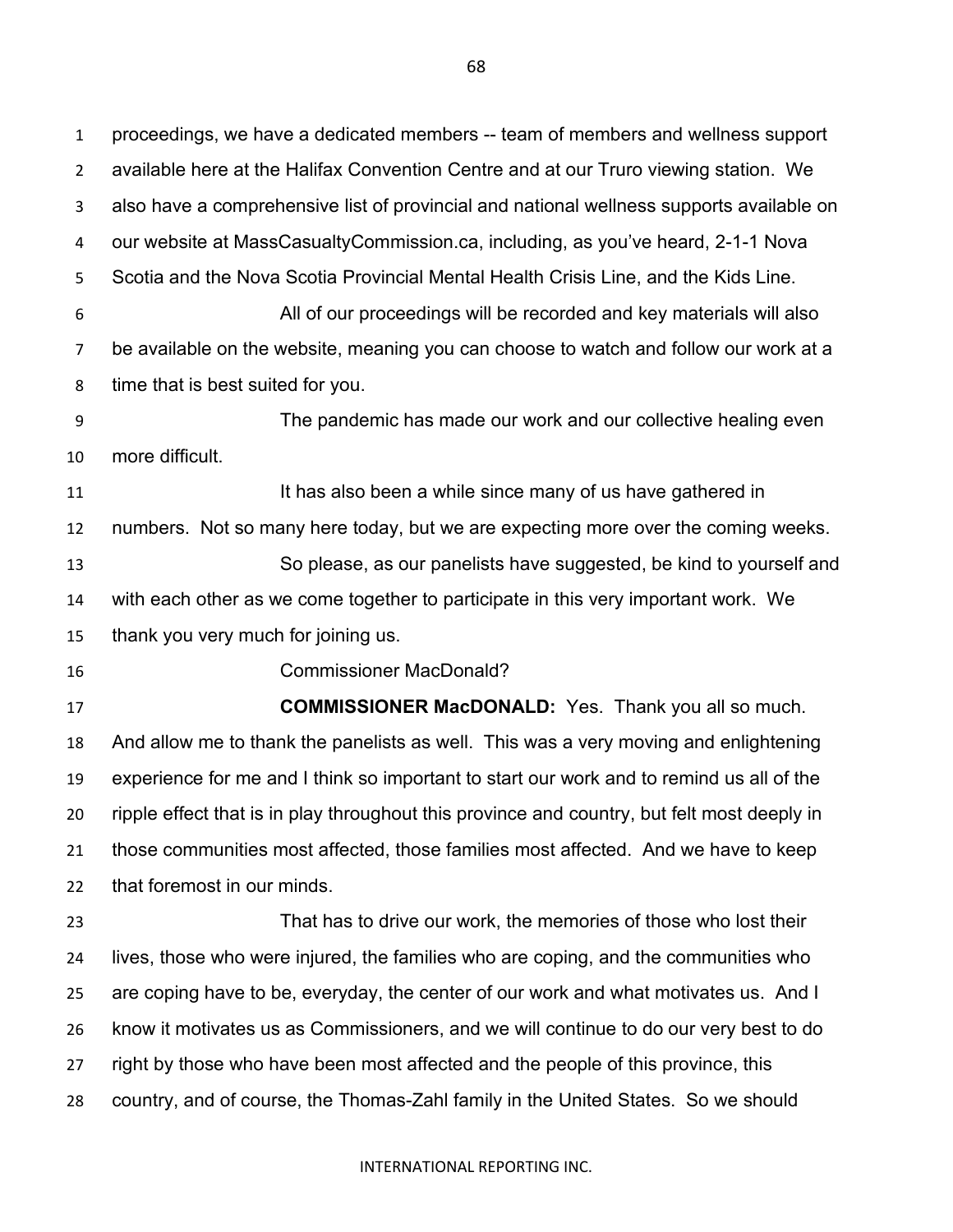proceedings, we have a dedicated members -- team of members and wellness support available here at the Halifax Convention Centre and at our Truro viewing station. We also have a comprehensive list of provincial and national wellness supports available on our website at MassCasualtyCommission.ca, including, as you've heard, 2-1-1 Nova Scotia and the Nova Scotia Provincial Mental Health Crisis Line, and the Kids Line. All of our proceedings will be recorded and key materials will also be available on the website, meaning you can choose to watch and follow our work at a time that is best suited for you. The pandemic has made our work and our collective healing even more difficult. 11 11 It has also been a while since many of us have gathered in numbers. Not so many here today, but we are expecting more over the coming weeks. So please, as our panelists have suggested, be kind to yourself and with each other as we come together to participate in this very important work. We thank you very much for joining us. Commissioner MacDonald? **COMMISSIONER MacDONALD:** Yes. Thank you all so much. And allow me to thank the panelists as well. This was a very moving and enlightening experience for me and I think so important to start our work and to remind us all of the ripple effect that is in play throughout this province and country, but felt most deeply in those communities most affected, those families most affected. And we have to keep that foremost in our minds. That has to drive our work, the memories of those who lost their lives, those who were injured, the families who are coping, and the communities who are coping have to be, everyday, the center of our work and what motivates us. And I know it motivates us as Commissioners, and we will continue to do our very best to do right by those who have been most affected and the people of this province, this

country, and of course, the Thomas-Zahl family in the United States. So we should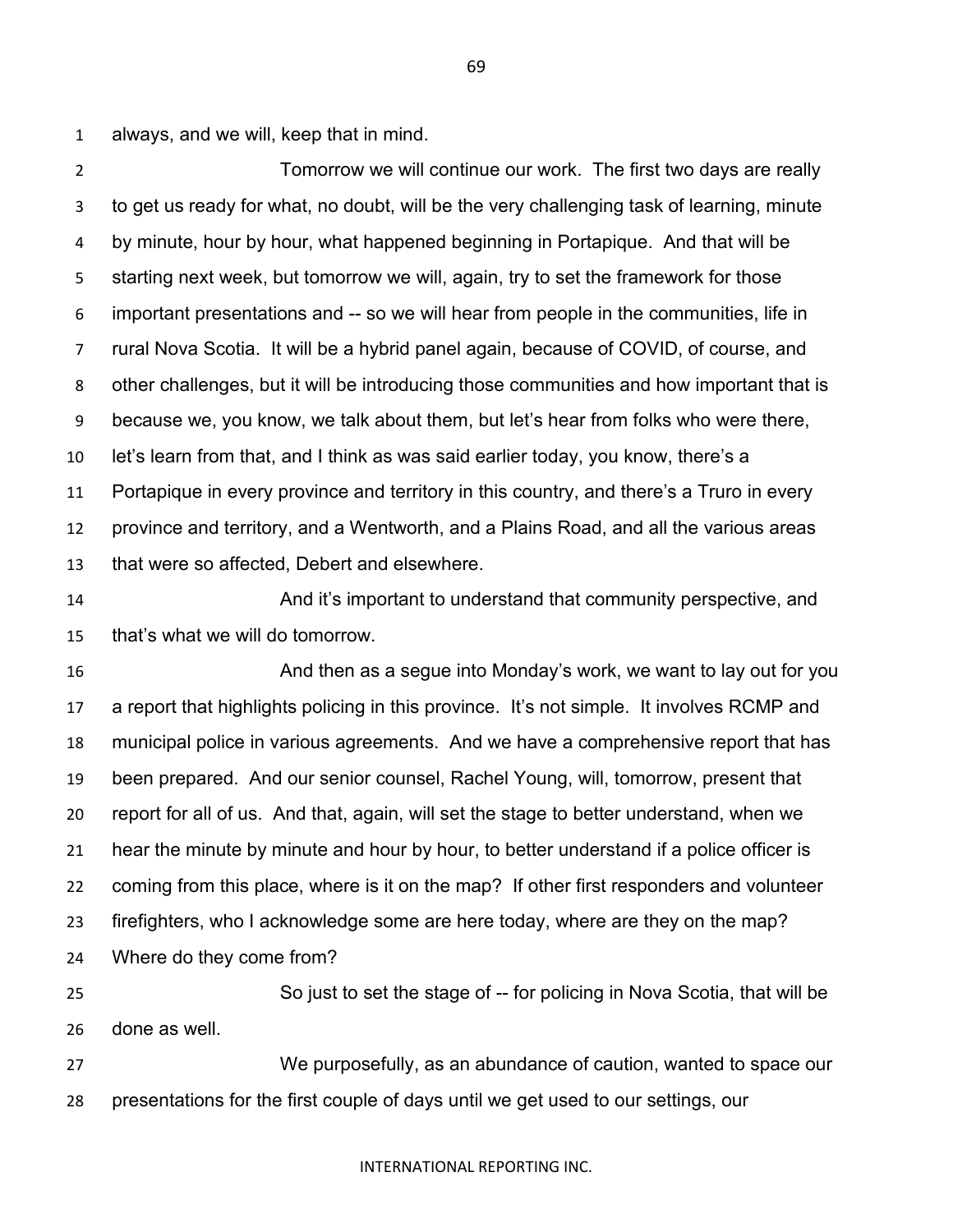always, and we will, keep that in mind.

 Tomorrow we will continue our work. The first two days are really to get us ready for what, no doubt, will be the very challenging task of learning, minute by minute, hour by hour, what happened beginning in Portapique. And that will be starting next week, but tomorrow we will, again, try to set the framework for those important presentations and -- so we will hear from people in the communities, life in rural Nova Scotia. It will be a hybrid panel again, because of COVID, of course, and other challenges, but it will be introducing those communities and how important that is because we, you know, we talk about them, but let's hear from folks who were there, let's learn from that, and I think as was said earlier today, you know, there's a Portapique in every province and territory in this country, and there's a Truro in every province and territory, and a Wentworth, and a Plains Road, and all the various areas that were so affected, Debert and elsewhere.

 And it's important to understand that community perspective, and that's what we will do tomorrow.

 And then as a segue into Monday's work, we want to lay out for you a report that highlights policing in this province. It's not simple. It involves RCMP and municipal police in various agreements. And we have a comprehensive report that has been prepared. And our senior counsel, Rachel Young, will, tomorrow, present that report for all of us. And that, again, will set the stage to better understand, when we hear the minute by minute and hour by hour, to better understand if a police officer is coming from this place, where is it on the map? If other first responders and volunteer firefighters, who I acknowledge some are here today, where are they on the map?

Where do they come from?

 So just to set the stage of -- for policing in Nova Scotia, that will be done as well.

 We purposefully, as an abundance of caution, wanted to space our presentations for the first couple of days until we get used to our settings, our

## INTERNATIONAL REPORTING INC.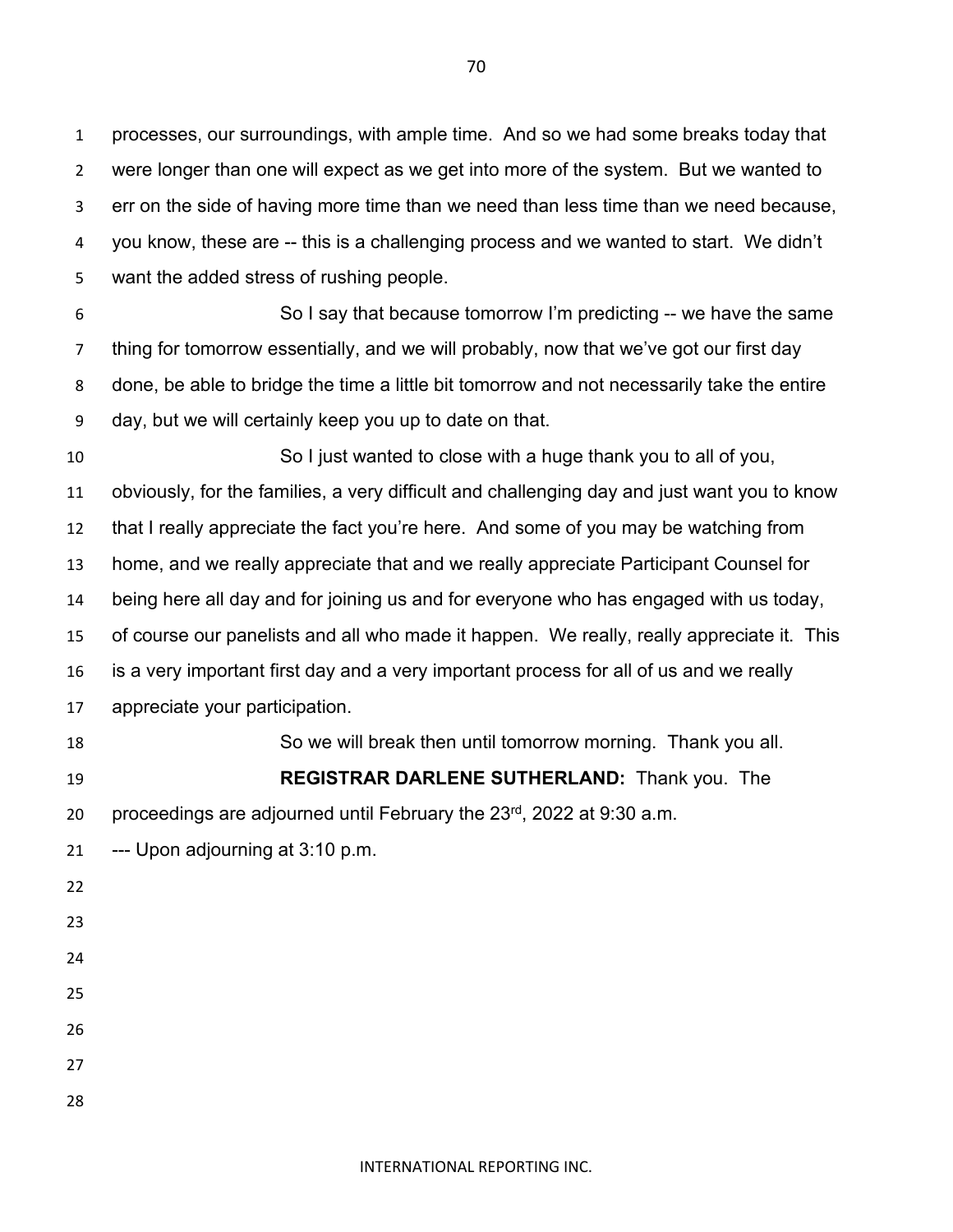processes, our surroundings, with ample time. And so we had some breaks today that were longer than one will expect as we get into more of the system. But we wanted to err on the side of having more time than we need than less time than we need because, you know, these are -- this is a challenging process and we wanted to start. We didn't want the added stress of rushing people.

 So I say that because tomorrow I'm predicting -- we have the same thing for tomorrow essentially, and we will probably, now that we've got our first day done, be able to bridge the time a little bit tomorrow and not necessarily take the entire day, but we will certainly keep you up to date on that.

 So I just wanted to close with a huge thank you to all of you, obviously, for the families, a very difficult and challenging day and just want you to know that I really appreciate the fact you're here. And some of you may be watching from home, and we really appreciate that and we really appreciate Participant Counsel for being here all day and for joining us and for everyone who has engaged with us today, of course our panelists and all who made it happen. We really, really appreciate it. This is a very important first day and a very important process for all of us and we really appreciate your participation. So we will break then until tomorrow morning. Thank you all.

 **REGISTRAR DARLENE SUTHERLAND:** Thank you. The 20 proceedings are adjourned until February the  $23<sup>rd</sup>$ , 2022 at 9:30 a.m.

--- Upon adjourning at 3:10 p.m.

- 
- 
- 
- 
- 
- 
- 
-